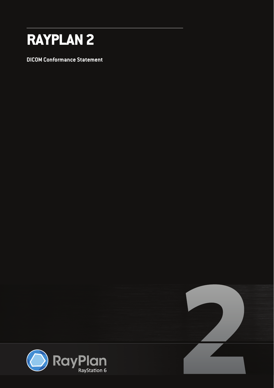

**DICOM Conformance Statement** 

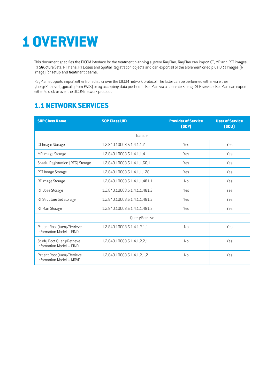# <span id="page-1-0"></span>**1 OVERVIEW**

This document specifies the DICOM interface for the treatment planning system RayPlan. RayPlan can import CT, MR and PET images, RT Structure Sets, RT Plans, RT Doses and Spatial Registration objects and can export all of the aforementioned plus DRR Images (RT Image) for setup and treatment beams.

RayPlan supports import either from disc or over the DICOM network protocol. The latter can be performed either via either Query/Retrieve (typically from PACS) or by accepting data pushed to RayPlan viaaseparate Storage SCP service. RayPlan can export either to disk or over the DICOM network protocol.

# <span id="page-1-1"></span>**1.1 NETWORK SERVICES**

| <b>SOP Class Name</b>                                   | <b>SOP Class UID</b>          | <b>Provider of Service</b><br>(SCP) | <b>User of Service</b><br>(SCU) |
|---------------------------------------------------------|-------------------------------|-------------------------------------|---------------------------------|
|                                                         | Transfer                      |                                     |                                 |
| CT Image Storage                                        | 1.2.840.10008.5.1.4.1.1.2     | Yes                                 | Yes                             |
| MR Image Storage                                        | 1.2.840.10008.5.1.4.1.1.4     | Yes                                 | Yes                             |
| Spatial Registration (REG) Storage                      | 1.2.840.10008.5.1.4.1.1.66.1  | Yes                                 | Yes                             |
| PET Image Storage                                       | 1.2.840.10008.5.1.4.1.1.128   | Yes                                 | <b>Yes</b>                      |
| RT Image Storage                                        | 1.2.840.10008.5.1.4.1.1.481.1 | N <sub>o</sub>                      | Yes                             |
| RT Dose Storage                                         | 1.2.840.10008.5.1.4.1.1.481.2 | Yes                                 | Yes                             |
| RT Structure Set Storage                                | 1.2.840.10008.5.1.4.1.1.481.3 | Yes                                 | Yes                             |
| RT Plan Storage                                         | 1.2.840.10008.5.1.4.1.1.481.5 | Yes                                 | Yes                             |
|                                                         | Query/Retrieve                |                                     |                                 |
| Patient Root Query/Retrieve<br>Information Model - FIND | 1.2.840.10008.5.1.4.1.2.1.1   | N <sub>0</sub>                      | Yes                             |
| Study Root Query/Retrieve<br>Information Model - FIND   | 1.2.840.10008.5.1.4.1.2.2.1   | <b>No</b>                           | Yes                             |
| Patient Root Query/Retrieve<br>Information Model - MOVE | 1.2.840.10008.5.1.4.1.2.1.2   | <b>No</b>                           | Yes                             |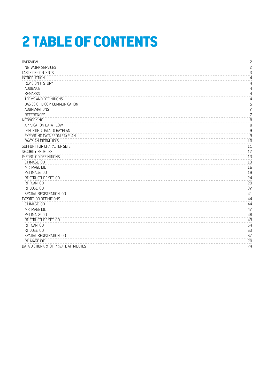# <span id="page-2-0"></span>**2 TABLE OF CONTENTS**

<span id="page-2-21"></span><span id="page-2-20"></span><span id="page-2-19"></span><span id="page-2-18"></span><span id="page-2-17"></span><span id="page-2-16"></span><span id="page-2-15"></span><span id="page-2-14"></span><span id="page-2-13"></span><span id="page-2-12"></span><span id="page-2-11"></span><span id="page-2-10"></span><span id="page-2-9"></span><span id="page-2-8"></span><span id="page-2-7"></span><span id="page-2-6"></span><span id="page-2-5"></span><span id="page-2-4"></span><span id="page-2-3"></span><span id="page-2-2"></span><span id="page-2-1"></span>

| <b>OVERVIEW</b>                       | $\overline{c}$           |
|---------------------------------------|--------------------------|
| NETWORK SERVICES                      | $\overline{c}$           |
| <b>TABLE OF CONTENTS</b>              | 3                        |
| <b>INTRODUCTION</b>                   | 4                        |
| REVISION HISTORY                      | 4                        |
| AUDIENCE                              | 4                        |
| <b>REMARKS</b>                        | 4                        |
| <b>TERMS AND DEFINITIONS</b>          | 4                        |
| BASICS OF DICOM COMMUNICATION         | 5                        |
| ABBREVIATIONS                         | $\overline{z}$           |
| <b>REFERENCES</b>                     | $\overline{\phantom{a}}$ |
| NETWORKING                            | 8                        |
| APPLICATION DATA FLOW                 | 8                        |
| <b>IMPORTING DATA TO RAYPLAN</b>      | $\mathsf g$              |
| EXPORTING DATA FROM RAYPLAN           | 9                        |
| RAYPLAN DICOM UID'S                   | 10                       |
| SUPPORT FOR CHARACTER SETS            | 11                       |
| SECURITY PROFILES                     | 12                       |
| IMPORT IOD DEFINITIONS                | 13                       |
| CT IMAGE IOD                          | 13                       |
| MR IMAGE IOD                          | 16                       |
| PET IMAGE IOD                         | 19                       |
| RT STRUCTURE SET IOD                  | 24                       |
| RT PLAN IOD                           | 29                       |
| RT DOSE IOD                           | 37                       |
| SPATIAL REGISTRATION IOD              | 41                       |
| EXPORT IOD DEFINITIONS                | 44                       |
| CT IMAGE IOD                          | 44                       |
| MR IMAGE IOD                          | 47                       |
| PET IMAGE IOD                         | 48                       |
| RT STRUCTURE SET IOD                  | 49                       |
| RT PLAN IOD                           | 54                       |
| RT DOSE IOD                           | 63                       |
| SPATIAL REGISTRATION IOD              | 67                       |
| RT IMAGE IOD                          | 70                       |
| DATA DICTIONARY OF PRIVATE ATTRIBUTES | 74                       |
|                                       |                          |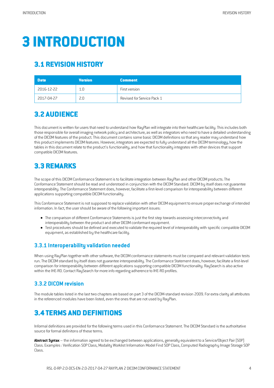# <span id="page-3-0"></span>**3 [INTRODUCTION](#page-2-1)**

# <span id="page-3-1"></span>**3.1 [REVISION](#page-2-2) HISTORY**

| <b>Date</b> | <b>Version</b> | <b>Comment</b>             |
|-------------|----------------|----------------------------|
| 2016-12-22  | 1.0            | First version              |
| 2017-04-27  | 2.0            | Revised for Service Pack 1 |

## <span id="page-3-2"></span>**3.2 [AUDIENCE](#page-2-3)**

This document is written for users that need to understand how RayPlan will integrate into their healthcare facility. This includes both those responsible for overall imaging network policy and architecture, as well as integrators who need to have a detailed understanding of the DICOM features of the product. This document contains some basic DICOM definitions so that any reader may understand how this product implements DICOM features. However, integrators are expected to fully understand all the DICOM terminology, how the tables in this document relate to the product's functionality, and how that functionality integrates with other devices that support compatible DICOM features.

# <span id="page-3-3"></span>**3.3 [REMARKS](#page-2-4)**

The scope of this DICOM Conformance Statement is to facilitate integration between RayPlan and other DICOM products. The Conformance Statement should be read and understood in conjunction with the DICOM Standard. DICOM by itself does not guarantee interoperability.The Conformance Statement does, however, facilitate afirst-levelcomparison for interoperability between different applications supporting compatible DICOM functionality.

This Conformance Statement is not supposed to replace validation with other DICOM equipment to ensure proper exchange of intended information. In fact, the user should be aware of the following important issues:

- The comparison of different Conformance Statements is just the first step towards assessing interconnectivity and interoperability between the product and other DICOM conformant equipment.
- Test procedures should be defined and executed to validate the required level of interoperability with specific compatible DICOM equipment,as established by the healthcare facility.

### **3.3.1 Interoperability validation needed**

When using RayPlan together with other software, the DICOM conformance statements must be compared and relevant validation tests run. The DICOM standard by itself does not guarantee interoperability. The Conformance Statement does, however, facilitate a first-level comparison for interoperability between different applications supporting compatible DICOM functionality. RaySearch is also active within the IHE-RO. Contact RaySearch formore info regarding adherence to IHE-RO profiles.

### **3.3.2 DICOM revision**

The module tables listed in the last two chapters are based on part 3 of the DICOM-standard revision 2009. For extra clarity all attributes in the referenced modules have been listed, even the ones that are not used by RayPlan.

# <span id="page-3-4"></span>**3.4 TERMS AND [DEFINITIONS](#page-2-5)**

Informal definitions are provided for the following terms used in this Conformance Statement. The DICOM Standard is the authoritative source for formal definitons of these terms.

**Abstract Syntax** – the information agreed to be exchanged between applications, generally equivalent to a Service/Object Pair(SOP) Class. Examples: Verification SOP Class, Modality Worklist Information Model Find SOP Class, Computed Radiography Image Storage SOP Class.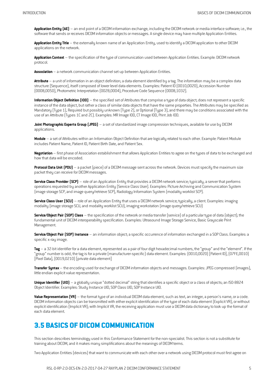**Application Entity (AE)** – an end point ofa DICOMinformation exchange, including the DICOMnetwork ormediainterface software; i.e., the software that sends or receives DICOM information objects or messages. A single device may have multiple Application Entities.

**Application Entity Title** – the externally known name ofan Application Entity, used to identify a DICOMapplication to other DICOM applications on the network.

Application Context – the specification of the type of communication used between Application Entities. Example: DICOM network protocol.

**Association** – a network communication channel set up between Application Entities.

Attribute – a unit of information in an object definition; a data element identified by a tag. The information may be a complex data structure (Sequence), itself composed of lower level data elements. Examples: Patient ID (0010,0020), Accession Number (0008,0050), Photometric Interpretation (0028,0004), Procedure Code Sequence (0008,1032).

**Information Object Definition (IOD)** – the specified set of Attributes that comprise a type of data object; does not represent a specific instance of the data object, but rather a class of similar data objects that have the same properties. The Attributes may be specified as Mandatory (Type 1), Required but possibly unknown (Type 2), or Optional (Type 3), and there may be conditions associated with the use of an Attribute (Types 1C and 2C). Examples: MR Image IOD, CT Image IOD, Print Job IOD.

**Joint Photographic Experts Group [JPEG]** – a set of standardized image compression techniques, available for use by DICOM applications.

**Module** – aset of Attributes within an Information Object Definition thatare logically related to each other. Example: Patient Module includes Patient Name, Patient ID, Patient Birth Date, and Patient Sex.

**Negotiation**– first phase of Association establishment thatallows Application Entitiesto agree on the types of datato be exchanged and how that data will be encoded.

**Protocol Data Unit (PDU)** – a packet (piece) of a DICOM message sent across the network. Devices must specify the maximum size packet they can receive for DICOMmessages.

**Service Class Provider (SCP)** – role of an Application Entity that provides a DICOM network service; typically, a server that performs operations requested by another Application Entity (Service Class User). Examples: Picture Archiving and Communication System (image storage SCP,and image query/retrieve SCP), Radiology Information System (modality worklist SCP).

**Service Class User (SCU)** – role of an Application Entity that uses a DICOM network service; typically, a client. Examples: imaging modality (image storage SCU, and modality worklist SCU), imaging workstation (image query/retrieve SCU)

**Service/Object Pair (SOP) Class** – the specification of the network or media transfer (service) of a particular type of data (object); the fundamental unit of DICOMinteroperability specification. Examples: Ultrasound Image Storage Service, Basic Grayscale Print Management.

**Service/Object Pair (SOP) Instance** – an information object; a specific occurrence of information exchanged in a SOP Class. Examples: a specific x-ray image.

Tag – a 32-bit identifier for a data element, represented as a pair of four digit hexadecimal numbers, the "group" and the "element". If the "group" number is odd, the tag isfora private (manufacturer-specific) data element. Examples: (0010,0020)[Patient ID],(07FE,0010) [Pixel Data], [0019,0210] [private data element]

**Transfer Syntax** – the encoding used for exchange of DICOMinformation objectsand messages. Examples:JPEG compressed (images), little endian explicit value representation.

**Unique Identifier [UID]** – a globally unique "dotted decimal" string that identifies a specific object or a class of objects; an ISO-8824 Object Identifier. Examples: Study Instance UID, SOP Class UID, SOP Instance UID.

**Value Representation (VR)** – the format type of an individual DICOM data element, such as text, an integer, a person's name, or a code. DICOM information objects can be transmitted with either explicit identification of the type of each data element (Explicit VR), or without explicit identification (Implicit VR); with Implicit VR, the receiving application must use a DICOM data dictionary to look up the format of each data element.

## <span id="page-4-0"></span>**3.5 BASICS OF [DICOMCOMMUNICATION](#page-2-6)**

This section describes terminology used in this Conformance Statement for the non-specialist. This section is not a substitute for training about DICOM, and it makes many simplifications about the meanings of DICOM terms.

Two Application Entities (devices) that want to communicate with each other over a network using DICOM protocol must first agree on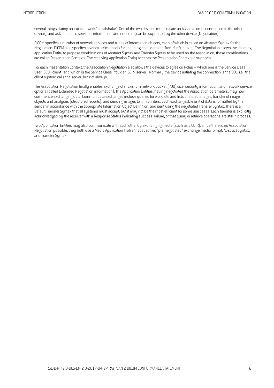several things during an intial network "handshake". One of the two devices must initiate an Association (a connection to the other device), and ask if specific services, information, and encoding can be supported by the other device (Negotiation).

DICOM specifes a number of network services and types of information objects, each of which is called an Abstract Syntax for the Negotiation. DICOM also specifes a variety of methods for encoding data, denoted Transfer Syntaxes. The Negotiation allows the initiating Application Entity to propose combinations of Abstract Syntax and Transfer Syntax to be used on the Association; these combinations are called Presentation Contexts. The receiving Application Entity accepts the Presentation Contexts it supports.

For each Presentation Context, the Association Negotiation also allows the devices to agree on Roles – which one is the Service Class User (SCU - client) and which is the Service Class Provider (SCP - server). Normally the device initiating the connection is the SCU, i.e., the client system calls the server, but not always.

The Association Negotiation finally enables exchange of maximum network packet (PDU) size, security information, and network service options (called Extended Negotiation information). The Application Entities, having negotiated the Association parameters, may now commence exchanging data. Common data exchanges include queries for worklists and lists of stored images, transfer of image objects and analyses (structured reports), and sending images to film printers. Each exchangeable unit of data is formatted by the sender in accordance with the appropriate Information Object Definition, and sent using the negotiated Transfer Syntax. There is a Default Transfer Syntax that all systems must accept, but it may not be the most efficient for some use cases. Each transfer is explicitly acknowledged by the receiver with a Response Status indicating success, failure, or that query or retrieve operations are still in process.

Two Application Entities may also communicate with each other by exchanging media (such as a CD-R). Since there is no Association Negotiation possible, they both use a Media Application Profile that specifies "pre-negotiated" exchange media format, Abstract Syntax, and Transfer Syntax.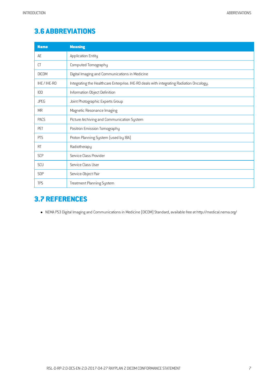# <span id="page-6-0"></span>**3.6 [ABBREVIATIONS](#page-2-7)**

| <b>Name</b>  | <b>Meaning</b>                                                                           |
|--------------|------------------------------------------------------------------------------------------|
| AE           | Application Entity                                                                       |
| СT           | Computed Tomography                                                                      |
| <b>DICOM</b> | Digital Imaging and Communications in Medicine                                           |
| IHE / IHE-RO | Integrating the Healthcare Enterprise. IHE-RO deals with integrating Radiation Oncology. |
| IOD          | Information Object Definition                                                            |
| <b>JPEG</b>  | Joint Photographic Experts Group                                                         |
| <b>MR</b>    | Magnetic Resonance Imaging                                                               |
| <b>PACS</b>  | Picture Archiving and Communication System                                               |
| PFT          | Positron Emission Tomography                                                             |
| <b>PTS</b>   | Proton Planning System (used by IBA)                                                     |
| <b>RT</b>    | Radiotherapy                                                                             |
| <b>SCP</b>   | Service Class Provider                                                                   |
| SCU          | Service Class User                                                                       |
| <b>SOP</b>   | Service-Object Pair                                                                      |
| <b>TPS</b>   | <b>Treatment Planning System</b>                                                         |

## <span id="page-6-1"></span>**3.7 [REFERENCES](#page-2-8)**

• NEMA PS3 Digital Imaging and Communications in Medicine (DICOM) Standard, available free at http://medical.nema.org/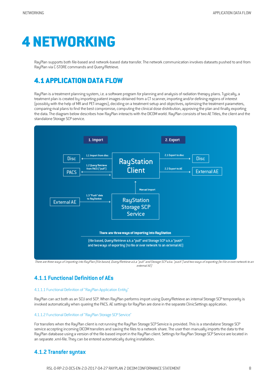# <span id="page-7-0"></span>**4 [NETWORKING](#page-2-9)**

RayPlan supports both file-based and network-based data transfer. The network communication involves datasets pushed to and from RayPlan via C-STORE commandsand Query/Retrieve.

# <span id="page-7-1"></span>**4.1 [APPLICATION](#page-2-10) DATA FLOW**

RayPlan is a treatment planning system, i.e. a software program for planning and analysis of radiation therapy plans. Typically, a treatment plan is created by importing patient images obtained from a CT scanner, importing and/or defining regions of interest (possibly with the help ofMR and PET-images), deciding on atreatmentsetup and objectives, optimizing the treatment parameters, comparing rival plans to find the best compromise, computing the clinical dose distribution, approving the plan and finally exporting the data. The diagram below describes how RayPlan interacts with the DICOM world. RayPlan consists of two AE Titles, the client and the standalone Storage SCP service.



There are three ways of importing into RayPlan (file based, Query/Retrieve a.k.a "pull" and Storage SCP a.ka. "push") and two ways of exporting (to file or over network to an external AE)

## **4.1.1 Functional Definition ofAEs**

#### 4.1.1.1 Functional Definition of "RayPlan Application Entity"

RayPlan can act both as an SCU and SCP. When RayPlan performs import using Query/Retrieve an internal Storage SCP temporarily is invoked automatically when quering the PACS. AE settings for RayPlan are done in the separate ClinicSettings application.

#### 4.1.1.2 Functional Definition of "RayPlan Storage SCP Service"

For transfers when the RayPlan client is not running the RayPlan Storage SCP Service is provided. This is a standalone Storage SCP service accepting incoming DICOM transfers and saving the files to a network share. The user then manually imports the data to the RayPlan database using aversion of the file-based import in the RayPlan client. Settingsfor RayPlan Storage SCP Service are located in an separate .xml-file. They can be entered automatically during installation.

#### **4.1.2 Transfersyntax**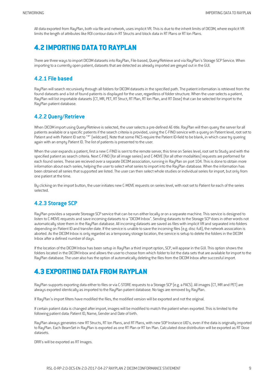All data exported from RayPlan, both viafile and network, usesimplicit VR.Thisis due to the inherit limits of DICOM, where explicit VR limits the length of attributes like ROI contour data in RT Structs and block data in RT Plans or RT Ion Plans.

## <span id="page-8-0"></span>**4.2 [IMPORTING](#page-2-11) DATA TO RAYPLAN**

There are three ways to import DICOM datasets into RayPlan, File-based, Query/Retrieve and via RayPlan's Storage SCP Service. When importing to a currently open patient, datasets that are detected as already imported are greyed out in the GUI.

#### **4.2.1 File based**

RayPlan will search recursively through all folders for DICOM datasets in the specified path. The patient information is retrieved from the found datasets and a list of found patients is displayed for the user, regardless of folder structure. When the user selects a patient, RayPlan will list importable datasets (CT, MR, PET, RT Struct, RT Plan, RT Ion Plan, and RT Dose) that can be selected for import to the RayPlan patient database.

#### **4.2.2 Query/Retrieve**

When DICOM import using Query/Retrieve is selected, the user selects a pre-defined AE-title. RayPlan will then query the server for all patients available or a specific patients if the search criteria is provided, using the C-FIND service with a query on Patient level, root set to Patient and with Patient ID set to "\*" (wildcard). Note that some PACS require the Patient ID-field to be blank, in which case try quering again with an empty Patient ID. The list of patients is presented to the user.

When the user expands a patient, first a new C-FIND is sent to the remote server, this time on Series level, root set to Study and with the specified patient as search criteria. Next C-FIND (for all image series) and C-MOVE (for all other modalities) requests are performed for each found series. These are recieved over a separate DICOM association, running in RayPlan on port 104. This is done to obtain more information about each series, helping the user to select what series to import into the RayPlan database. When the information has been obtained all series that supported are listed. The user can then select whole studies or individual series for import, but only from one patient at the time.

By clicking on the import button, the user initiates new C-MOVE requests on serieslevel, with rootset to Patient for each of the series selected.

### **4.2.3 Storage SCP**

RayPlan provides a separate Storeage SCP service that can be run either locally or on a separate machine. This service is designed to listen to C-MOVE-requests and save incoming datasets to a "DICOM Inbox". Sending datasets to the Storage SCP does in other words not automatically store them in the RayPlan database. All incoming datasets are saved as files with implicit VR and separated into folders depending on Patient ID and transfer date. If the service is unable to save the incoming files (e.g. disc full), the network assocation is aborted. As the DICOM Inbox is only regarded as a temporary storage location, the service is setup to delete the folders in the DICOM Inboxaftera defined number of days.

If the location of the DICOMInbox has been setup in RayPlan athird import option, SCP, willappear in the GUI.This option showsthe folders located in the DICOM Inbox and allows the user to choose from which folder to list the data sets that are available for import to the RayPlan database. The user also has the option of automatically deleting the files from the DICOM Inbox after succesful import.

## <span id="page-8-1"></span>**4.3 EXPORTING DATA [FROMRAYPLAN](#page-2-12)**

RayPlan supports exporting data either to files or via C-STORE requests to a Storage SCP (e.g. a PACS). All images (CT, MR and PET) are always exported identically asimported to the RayPlan patient database. No tagsare removed by RayPlan.

If RayPlan's import filters have modified the files, the modified version will be exported and not the original.

If certain patient data is changed after import, images will be modified to match the patient when exported. This is limited to the following patient data: Patient ID, Name, Genderand Date of birth.

RayPlan always generates new RT Structs, RT Ion Plans, and RT Plans, with new SOP Instance UID's, even if the data is originally imported to RayPlan. Each BeamSet in RayPlan is exported as one RT Plan or RT Ion Plan. Calculated dose distribution will be exported as RT Dose datasets.

DRR's will be exported as RT Images.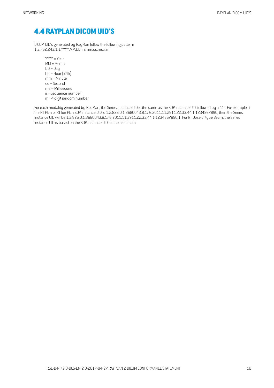## <span id="page-9-0"></span>**4.4 RAYPLAN [DICOMUID'S](#page-2-13)**

DICOMUID's generated by RayPlan follow the following pattern: 1.2.752.243.1.1.YYYY.MM.DDhh.mm.ss.ms.ii.rr

> YYYY = Year MM=Month  $DD = Day$ hh = Hour  $(24h)$  $mm =$ Minute ss = Second ms =Millisecond ii = Sequence number  $rr = 4$  digit random number

For each modality generated by RayPlan, the Series Instance UID is the same as the SOP Instance UID, followed by a ".1". For example, if the RT Plan or RTIon Plan SOP Instance UID is 1.2.826.0.1.3680043.8.176.2011.11.2911.22.33.44.1.1234567890, then the Series Instance UID will be 1.2.826.0.1.3680043.8.176.2011.11.2911.22.33.44.1.1234567890.1.For RT Dose of type Beam, the Series Instance UID is based on the SOP Instance UID for the first beam.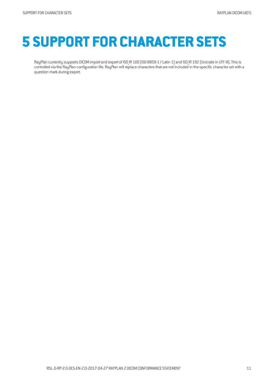# <span id="page-10-0"></span>**5 SUPPORT FOR [CHARACTER](#page-2-14) SETS**

RayPlan currently supports DICOM import and export of ISO IR 100 (ISO 8859-1 / Latin 1) and ISO IR 192 (Unicode in UTF-8). This is controlled viathe RayPlan configuration file. RayPlan will replace charactersthatare not included in the specificcharacterset with a question mark during export.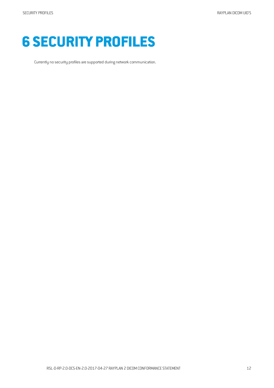<span id="page-11-0"></span>

Currently no security profiles are supported during network communication.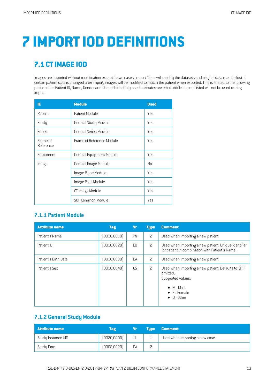# <span id="page-12-0"></span>**7 IMPORTIOD [DEFINITIONS](#page-2-16)**

# <span id="page-12-1"></span>**7.1 [CTIMAGE](#page-2-17) IOD**

Images are imported without modification except in two cases. Import filters will modify the datasets and original data may be lost. If certain patient data is changed after import, images will be modified to match the patient when exported. This is limited to the following patient data: Patient ID, Name, Gender and Date of birth. Only used attributes are listed. Attributes not listed will not be used during import.

| IE                    | <b>Module</b>                   | <b>Used</b> |
|-----------------------|---------------------------------|-------------|
| Patient               | Patient Module                  | Yes         |
| Study                 | General Study Module            | Yes         |
| Series                | General Series Module           | Yes         |
| Frame of<br>Reference | Frame of Reference Module       | Yes         |
| Equipment             | <b>General Equipment Module</b> | Yes         |
| Image                 | General Image Module            | No          |
|                       | Image Plane Module              | Yes         |
|                       | Image Pixel Module              | Yes         |
|                       | CT Image Module                 | Yes         |
|                       | SOP Common Module               | Yes         |

#### **7.1.1 Patient Module**

| <b>Attribute name</b> | <b>Tag</b>   | <b>Vr</b>       | <b>Type</b>    | <b>Comment</b>                                                                                                                                              |
|-----------------------|--------------|-----------------|----------------|-------------------------------------------------------------------------------------------------------------------------------------------------------------|
| Patient's Name        | [0010, 0010] | <b>PN</b>       | $\overline{c}$ | Used when importing a new patient.                                                                                                                          |
| Patient ID            | [0010, 0020] | $\overline{10}$ | 2              | Used when importing a new patient. Unique identifier<br>for patient in combination with Patient's Name.                                                     |
| Patient's Birth Date  | (0010, 0030) | DA              | 2              | Used when importing a new patient.                                                                                                                          |
| Patient's Sex         | [0010, 0040] | CS              | 2              | Used when importing a new patient. Defaults to '0' if<br>omitted.<br>Supported values:<br>$\bullet$ M - Male<br>$\bullet$ F - Female<br>$\bullet$ 0 - Other |

#### **7.1.2 General Study Module**

| <b>Attribute name</b> | Tag          | Vr | <b>Tupe</b> | <b>Comment</b>                  |
|-----------------------|--------------|----|-------------|---------------------------------|
| Study Instance UID    | [0020,0000]  | UI |             | Used when importing a new case. |
| Study Date            | (0008, 0020) | DA |             |                                 |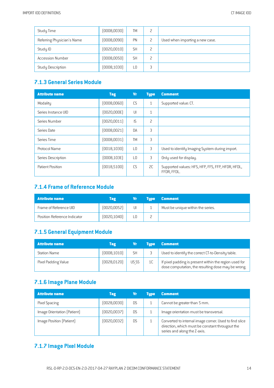| Study Time                 | (0008, 0030) | <b>TM</b> |   |                                 |
|----------------------------|--------------|-----------|---|---------------------------------|
| Referring Physician's Name | (0008,0090)  | PN        |   | Used when importing a new case. |
| Study ID                   | (0020, 0010) | <b>SH</b> |   |                                 |
| <b>Accession Number</b>    | (0008, 0050) | <b>SH</b> |   |                                 |
| <b>Study Description</b>   | (0008, 1030) | L0        | 3 |                                 |

### **7.1.3 General Series Module**

| <b>Attribute name</b> | <b>Tag</b>   | <b>Vr</b>       | <b>Type</b>  | <b>Comment</b>                                                   |
|-----------------------|--------------|-----------------|--------------|------------------------------------------------------------------|
| Modality              | (0008,0060)  | CS              | $\mathbf{1}$ | Supported value: CT.                                             |
| Series Instance UID   | [0020,000E]  | $\cup$          | $\mathbf{1}$ |                                                                  |
| Series Number         | [0020, 0011] | IS              | 2            |                                                                  |
| Series Date           | (0008, 0021) | DA              | 3            |                                                                  |
| Series Time           | (0008,0031)  | TM              | 3            |                                                                  |
| Protocol Name         | [0018, 1030] | $\overline{10}$ | 3            | Used to identify Imaging System during import.                   |
| Series Description    | [0008, 103E] | L0              | 3            | Only used for display.                                           |
| Patient Position      | [0018, 5100] | C <sub>S</sub>  | 2C           | Supported values: HFS, HFP, FFS, FFP, HFDR, HFDL,<br>FFDR, FFDL. |

## **7.1.4 Frameof Reference Module**

| <b>Attribute name</b>        | Tag          | Vr | <b>Tupe</b> | <b>Comment</b>                    |
|------------------------------|--------------|----|-------------|-----------------------------------|
| Frame of Reference UID       | [0020, 0052] | UI |             | Must be unique within the series. |
| Position Reference Indicator | [0020, 1040] |    |             |                                   |

## **7.1.5 General Equipment Module**

| <b>Attribute name</b> | <b>Tag</b>   |           | <b>Tupe</b>    | <b>Comment</b>                                                                                               |
|-----------------------|--------------|-----------|----------------|--------------------------------------------------------------------------------------------------------------|
| <b>Station Name</b>   | (0008, 1010) | <b>SH</b> |                | Used to identify the correct CT-to-Density table.                                                            |
| Pixel Padding Value   | [0028, 0120] | US SS     | 1 <sup>C</sup> | If pixel padding is present within the region used for<br>dose computation, the resulting dose may be wrong. |

## **7.1.6 Image Plane Module**

| <b>Attribute name</b>       | <b>Tag</b>   | Vī  | <b>Tupe</b> | <b>Comment</b>                                                                                                                            |
|-----------------------------|--------------|-----|-------------|-------------------------------------------------------------------------------------------------------------------------------------------|
| Pixel Spacing               | (0028,0030)  | D.S |             | Cannot be greater than 5 mm.                                                                                                              |
| Image Orientation (Patient) | [0020, 0037] | D.S |             | Image orientation must be transversal.                                                                                                    |
| Image Position (Patient)    | (0020, 0032) | D.S |             | Converted to internal image corner. Used to find slice<br>direction, which must be constant througout the<br>series and along the Z-axis. |

## **7.1.7 Image PixelModule**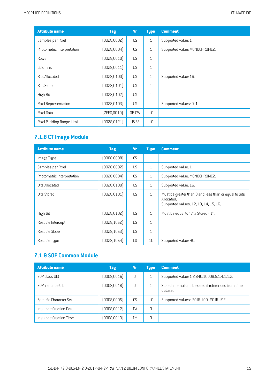| <b>Attribute name</b>      | <b>Tag</b>   | <b>Vr</b> | <b>Type</b>    | <b>Comment</b>                |
|----------------------------|--------------|-----------|----------------|-------------------------------|
| Samples per Pixel          | (0028,0002)  | US        | $\mathbf{1}$   | Supported value: 1.           |
| Photometric Interpretation | [0028,0004]  | CS        | $\mathbf{1}$   | Supported value: MONOCHROME2. |
| Rows                       | [0028, 0010] | US.       | $\mathbf{1}$   |                               |
| Columns                    | (0028, 0011) | <b>US</b> | $\mathbf{1}$   |                               |
| <b>Bits Allocated</b>      | (0028, 0100) | US        | $\mathbf{1}$   | Supported value: 16.          |
| <b>Bits Stored</b>         | [0028, 0101] | US        | $\mathbf{1}$   |                               |
| High Bit                   | [0028, 0102] | <b>US</b> | $\mathbf{1}$   |                               |
| Pixel Representation       | [0028, 0103] | US.       | $\mathbf{1}$   | Supported values: 0, 1.       |
| Pixel Data                 | [7FE0,0010]  | OB OW     | 1 <sup>C</sup> |                               |
| Pixel Padding Range Limit  | [0028, 0121] | US SS     | 1 <sup>C</sup> |                               |

## **7.1.8 CTImage Module**

| <b>Attribute name</b>      | <b>Tag</b>   | <b>Vr</b>       | <b>Type</b>  | <b>Comment</b>                                                                                               |
|----------------------------|--------------|-----------------|--------------|--------------------------------------------------------------------------------------------------------------|
| Image Type                 | (0008,0008)  | CS              | $\mathbf{1}$ |                                                                                                              |
| Samples per Pixel          | (0028,0002)  | US              | $\mathbf{1}$ | Supported value: 1.                                                                                          |
| Photometric Interpretation | [0028,0004]  | CS              | $\mathbf{1}$ | Supported value: MONOCHROME2.                                                                                |
| <b>Bits Allocated</b>      | (0028, 0100) | <b>US</b>       | $\mathbf{1}$ | Supported value: 16.                                                                                         |
| <b>Bits Stored</b>         | [0028, 0101] | <b>US</b>       | $\mathbf{1}$ | Must be greater than 0 and less than or equal to Bits<br>Allocated.<br>Supported values: 12, 13, 14, 15, 16. |
| High Bit                   | [0028, 0102] | <b>US</b>       | $\mathbf{1}$ | Must be equal to "Bits Stored - 1".                                                                          |
| Rescale Intercept          | [0028, 1052] | D.S             | $\mathbf{1}$ |                                                                                                              |
| Rescale Slope              | [0028, 1053] | <b>DS</b>       | $\mathbf{1}$ |                                                                                                              |
| Rescale Type               | [0028, 1054] | $\overline{10}$ | 1C           | Supported value: HU.                                                                                         |

## **7.1.9 SOP Common Module**

| <b>Attribute name</b>  | <b>Tag</b>   | Vr        | <b>Type</b>    | <b>Comment</b>                                                    |
|------------------------|--------------|-----------|----------------|-------------------------------------------------------------------|
| SOP Class UID          | (0008, 0016) | J         |                | Supported value: 1.2.840.10008.5.1.4.1.1.2.                       |
| SOP Instance UID       | (0008,0018)  | UI        |                | Stored internally to be used if referenced from other<br>dataset. |
| Specific Character Set | (0008,0005)  | CS.       | 1 <sup>C</sup> | Supported values: ISO IR 100, ISO IR 192.                         |
| Instance Creation Date | (0008, 0012) | <b>DA</b> | 3              |                                                                   |
| Instance Creation Time | (0008, 0013) | TM        | 3              |                                                                   |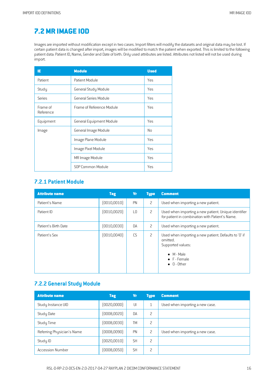# <span id="page-15-0"></span>**[7.2MR](#page-2-18) IMAGE IOD**

Images are imported without modification except in two cases. Import filters will modify the datasets and original data may be lost. If certain patient data is changed after import, images will be modified to match the patient when exported. This is limited to the following patient data: Patient ID, Name, Gender and Date of birth. Only used attributes are listed. Attributes not listed will not be used during import.

| ΙE                    | <b>Module</b>                   | <b>Used</b> |
|-----------------------|---------------------------------|-------------|
| Patient               | Patient Module                  | Yes         |
| Study                 | General Study Module            | Yes         |
| Series                | General Series Module           | Yes         |
| Frame of<br>Reference | Frame of Reference Module       | Yes         |
| Equipment             | <b>General Equipment Module</b> | Yes         |
| Image                 | General Image Module            | No          |
|                       | Image Plane Module              | Yes         |
|                       | Image Pixel Module              | Yes         |
|                       | MR Image Module                 | Yes         |
|                       | SOP Common Module               | Yes         |

### **7.2.1 Patient Module**

| <b>Attribute name</b> | <b>Tag</b>   | <b>Vr</b>      | <b>Type</b> | <b>Comment</b>                                                                                                                                              |
|-----------------------|--------------|----------------|-------------|-------------------------------------------------------------------------------------------------------------------------------------------------------------|
| Patient's Name        | [0010, 0010] | PN             | 2           | Used when importing a new patient.                                                                                                                          |
| Patient ID            | [0010, 0020] | L <sub>0</sub> | 2           | Used when importing a new patient. Unique identifier<br>for patient in combination with Patient's Name.                                                     |
| Patient's Birth Date  | [0010,0030]  | DA             | 2           | Used when importing a new patient.                                                                                                                          |
| Patient's Sex         | [0010, 0040] | CS             | 2           | Used when importing a new patient. Defaults to '0' if<br>omitted.<br>Supported values:<br>$\bullet$ M - Male<br>$\bullet$ F - Female<br>$\bullet$ 0 - Other |

### **7.2.2 General Study Module**

| <b>Attribute name</b>      | <b>Tag</b>   | <b>Vr</b> | <b>Type</b> | <b>Comment</b>                  |
|----------------------------|--------------|-----------|-------------|---------------------------------|
| Study Instance UID         | [0020,0000]  | UI        |             | Used when importing a new case. |
| Study Date                 | (0008, 0020) | DA        | 2           |                                 |
| Study Time                 | (0008, 0030) | <b>TM</b> | 2           |                                 |
| Referring Physician's Name | (0008, 0090) | PN        | 2           | Used when importing a new case. |
| Study ID                   | (0020, 0010) | <b>SH</b> | 2           |                                 |
| <b>Accession Number</b>    | (0008, 0050) | <b>SH</b> | 2           |                                 |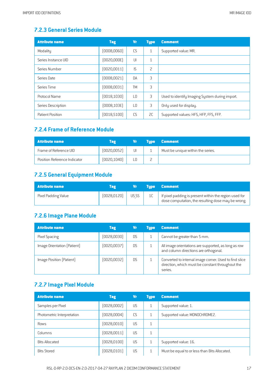### **7.2.3 General SeriesModule**

| <b>Attribute name</b> | <b>Tag</b>   | <b>Vr</b>       | <b>Type</b>    | <b>Comment</b>                                 |
|-----------------------|--------------|-----------------|----------------|------------------------------------------------|
| Modality              | (0008, 0060) | CS              | $\mathbf{1}$   | Supported value: MR.                           |
| Series Instance UID   | (0020,000E)  | UI              | $\mathbf{1}$   |                                                |
| Series Number         | (0020, 0011) | IS              | $\overline{c}$ |                                                |
| Series Date           | (0008, 0021) | <b>DA</b>       | 3              |                                                |
| Series Time           | (0008, 0031) | TM              | 3              |                                                |
| Protocol Name         | (0018, 1030) | $\overline{10}$ | 3              | Used to identify Imaging System during import. |
| Series Description    | (0008, 103E) | L <sub>0</sub>  | 3              | Only used for display.                         |
| Patient Position      | [0018, 5100] | CS              | 2C             | Supported values: HFS, HFP, FFS, FFP.          |

## **7.2.4 Frameof Reference Module**

| Attribute name               | Tag          | Vr | <b>Tupe</b> | <b>Comment</b>                    |
|------------------------------|--------------|----|-------------|-----------------------------------|
| Frame of Reference UID       | [0020, 0052] | UI |             | Must be unique within the series. |
| Position Reference Indicator | [0020, 1040] |    |             |                                   |

## **7.2.5 General Equipment Module**

| <b>Attribute name</b> | Tag          |       | <b>Type Comment</b>                                                                                          |
|-----------------------|--------------|-------|--------------------------------------------------------------------------------------------------------------|
| Pixel Padding Value   | [0028, 0120] | US SS | If pixel padding is present within the region used for<br>dose computation, the resulting dose may be wrong. |

## **7.2.6 Image Plane Module**

| <b>Attribute name</b>       | <b>Tag</b>  | Nт  | <b>Tupe</b> | <b>Comment</b>                                                                                                        |
|-----------------------------|-------------|-----|-------------|-----------------------------------------------------------------------------------------------------------------------|
| Pixel Spacing               | [0028,0030] | D.S |             | Cannot be greater than 5 mm.                                                                                          |
| Image Orientation (Patient) | [0020,0037] | D.S |             | All image orientations are supported, as long as row<br>and column directions are orthogonal.                         |
| Image Position (Patient)    | [0020,0032] | DS  |             | Converted to internal image corner. Used to find slice<br>direction, which must be constant throughout the<br>series. |

### **7.2.7 Image PixelModule**

| <b>Attribute name</b>      | <b>Tag</b>   | Vr | <b>Type</b> | <b>Comment</b>                                |
|----------------------------|--------------|----|-------------|-----------------------------------------------|
| Samples per Pixel          | (0028,0002)  | US | -1          | Supported value: 1.                           |
| Photometric Interpretation | [0028,0004]  | CS |             | Supported value: MONOCHROME2.                 |
| Rows                       | (0028, 0010) | US |             |                                               |
| Columns                    | [0028, 0011] | US | 1           |                                               |
| <b>Bits Allocated</b>      | [0028, 0100] | US |             | Supported value: 16.                          |
| <b>Bits Stored</b>         | (0028, 0101) | US |             | Must be equal to or less than Bits Allocated. |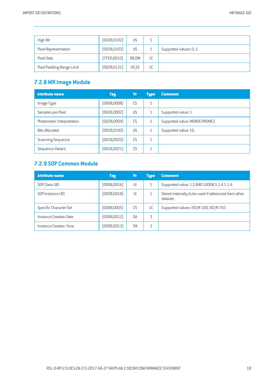| High Bit                  | [0028, 0102] | US        |    |                         |
|---------------------------|--------------|-----------|----|-------------------------|
| Pixel Representation      | [0028, 0103] | <b>US</b> |    | Supported values: 0, 1. |
| Pixel Data                | [7FE0,0010]  | OB OW     | 1C |                         |
| Pixel Padding Range Limit | (0028, 0121) | US SS     | 1C |                         |

## **7.2.8 MR Image Module**

| <b>Attribute name</b>      | <b>Tag</b>   | Vr | <b>Type</b> | <b>Comment</b>                |
|----------------------------|--------------|----|-------------|-------------------------------|
| Image Type                 | (0008,0008)  | CS | 1           |                               |
| Samples per Pixel          | (0028,0002)  | US | 1           | Supported value: 1.           |
| Photometric Interpretation | (0028,0004)  | CS |             | Supported value: MONOCHROME2. |
| <b>Bits Allocated</b>      | (0028, 0100) | US |             | Supported value: 16.          |
| Scanning Sequence          | [0018,0020]  | CS | 1           |                               |
| Sequence Variant           | (0018, 0021) | CS |             |                               |

#### **7.2.9 SOP Common Module**

| <b>Attribute name</b>  | <b>Tag</b>   | Vr        | <b>Type</b> | <b>Comment</b>                                                    |
|------------------------|--------------|-----------|-------------|-------------------------------------------------------------------|
| SOP Class UID          | (0008, 0016) | UI        |             | Supported value: 1.2.840.10008.5.1.4.1.1.4.                       |
| SOP Instance UID       | (0008, 0018) | UI        |             | Stored internally to be used if referenced from other<br>dataset. |
| Specific Character Set | (0008,0005)  | CS        | 1C          | Supported values: ISO IR 100, ISO IR 192.                         |
| Instance Creation Date | (0008, 0012) | <b>DA</b> | 3           |                                                                   |
| Instance Creation Time | (0008,0013)  | TМ        | 3           |                                                                   |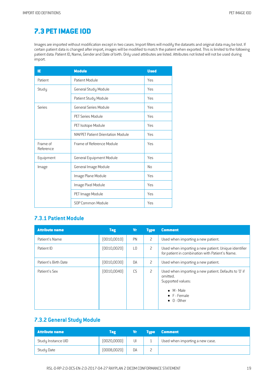# <span id="page-18-0"></span>**7.3 [PETIMAGE](#page-2-19) IOD**

Images are imported without modification except in two cases. Import filters will modify the datasets and original data may be lost. If certain patient data is changed after import, images will be modified to match the patient when exported. This is limited to the following patient data: Patient ID, Name, Gender and Date of birth. Only used attributes are listed. Attributes not listed will not be used during import.

| ΙE                    | <b>Module</b>                            | <b>Used</b> |
|-----------------------|------------------------------------------|-------------|
| Patient               | Patient Module                           | <b>Yes</b>  |
| Study                 | General Study Module                     | <b>Yes</b>  |
|                       | Patient Study Module                     | Yes         |
| Series                | General Series Module                    | Yes         |
|                       | PFT Series Module                        | <b>Yes</b>  |
|                       | PET Isotope Module                       | Yes         |
|                       | <b>NM/PET Patient Orientation Module</b> | Yes         |
| Frame of<br>Reference | Frame of Reference Module                | Yes         |
| Equipment             | <b>General Equipment Module</b>          | Yes         |
| Image                 | General Image Module                     | No          |
|                       | Image Plane Module                       | <b>Yes</b>  |
|                       | Image Pixel Module                       | Yes         |
|                       | PET Image Module                         | <b>Yes</b>  |
|                       | SOP Common Module                        | <b>Yes</b>  |

### **7.3.1 Patient Module**

| <b>Attribute name</b> | <b>Tag</b>   | <b>Vr</b>      | <b>Type</b> | <b>Comment</b>                                                                                                                                      |
|-----------------------|--------------|----------------|-------------|-----------------------------------------------------------------------------------------------------------------------------------------------------|
| Patient's Name        | [0010, 0010] | PN             | 2           | Used when importing a new patient.                                                                                                                  |
| Patient ID            | [0010, 0020] | L <sub>0</sub> | 2           | Used when importing a new patient. Unique identifier<br>for patient in combination with Patient's Name.                                             |
| Patient's Birth Date  | [0010,0030]  | DA             | 2           | Used when importing a new patient.                                                                                                                  |
| Patient's Sex         | [0010, 0040] | CS             | 2           | Used when importing a new patient. Defaults to '0' if<br>omitted.<br>Supported values:<br>$\bullet$ M - Male<br>• F - Female<br>$\bullet$ 0 - Other |

#### **7.3.2 General Study Module**

| <b>Attribute name</b> | Tag          | NП | <b>Tupe</b> | <b>Comment</b>                  |
|-----------------------|--------------|----|-------------|---------------------------------|
| Study Instance UID    | [0020,0000]  | UI |             | Used when importing a new case. |
| <b>Study Date</b>     | (0008, 0020) | DA | 느           |                                 |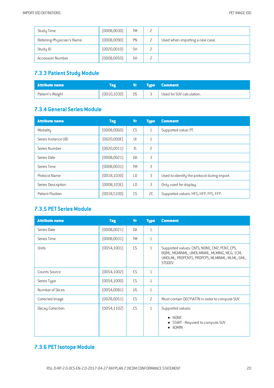| Study Time                 | (0008, 0030) | <b>TM</b> | ட |                                 |
|----------------------------|--------------|-----------|---|---------------------------------|
| Referring Physician's Name | (0008, 0090) | PN        |   | Used when importing a new case. |
| Study ID                   | [0020, 0010] | <b>SH</b> |   |                                 |
| <b>Accession Number</b>    | (0008, 0050) | <b>SH</b> |   |                                 |

## **7.3.3 Patient Study Module**

| Attribute name   | Tag          | Vr . | <b>Type Comment</b>       |
|------------------|--------------|------|---------------------------|
| Patient's Weight | [0010, 1030] | DS - | Used for SUV calculation. |

## **7.3.4 General SeriesModule**

| <b>Attribute name</b> | <b>Tag</b>   | <b>Vr</b>       | <b>Type</b>    | <b>Comment</b>                               |
|-----------------------|--------------|-----------------|----------------|----------------------------------------------|
| Modality              | (0008,0060)  | CS              | $\mathbf{1}$   | Supported value: PT.                         |
| Series Instance UID   | [0020,000E]  | UI              | $\mathbf{1}$   |                                              |
| Series Number         | [0020, 0011] | IS              | $\overline{c}$ |                                              |
| Series Date           | (0008, 0021) | DA              | 3              |                                              |
| Series Time           | (0008, 0031) | <b>TM</b>       | 3              |                                              |
| Protocol Name         | [0018, 1030] | $\overline{10}$ | 3              | Used to identify the protocol during import. |
| Series Description    | [0008, 103E] | L <sub>0</sub>  | 3              | Only used for display.                       |
| Patient Position      | [0018, 5100] | C <sub>S</sub>  | SC.            | Supported values: HFS, HFP, FFS, FFP.        |

#### **7.3.5 PET Series Module**

| <b>Attribute name</b> | <b>Tag</b>   | <b>Vr</b> | <b>Type</b>    | <b>Comment</b>                                                                                                                                            |
|-----------------------|--------------|-----------|----------------|-----------------------------------------------------------------------------------------------------------------------------------------------------------|
| Series Date           | (0008, 0021) | DA        | $\mathbf{1}$   |                                                                                                                                                           |
| Series Time           | (0008, 0031) | <b>TM</b> | $\mathbf{1}$   |                                                                                                                                                           |
| Units                 | [0054, 1001] | <b>CS</b> | $\mathbf{1}$   | Supported values: CNTS, NONE, CM2, PCNT, CPS,<br>BOML, MGMINML, UMOLMINML, MLMING, MLG, 1CM,<br>UMOLML, PROPCNTS, PROPCPS, MLMINML, MLML, GML,<br>STDDEV. |
| <b>Counts Source</b>  | (0054, 1002) | CS        | $\mathbf{1}$   |                                                                                                                                                           |
| Series Type           | [0054, 1000] | CS        | $\mathbf{1}$   |                                                                                                                                                           |
| Number of Slices      | (0054,0081)  | US.       | $\mathbf{1}$   |                                                                                                                                                           |
| Corrected Image       | [0028, 0051] | <b>CS</b> | $\overline{c}$ | Must contain DECY\ATTN in order to compute SUV.                                                                                                           |
| Decay Correction      | [0054, 1102] | <b>CS</b> | $\mathbf{1}$   | Supported values:<br>NONE<br>$\bullet$<br>START - Required to compute SUV<br><b>ADMIN</b>                                                                 |

# **7.3.6 PETIsotope Module**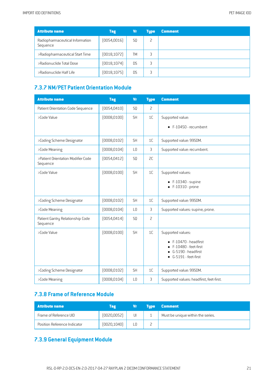| <b>Attribute name</b>                       | <b>Tag</b>   | Vr             | <b>Type</b> | <b>Comment</b> |
|---------------------------------------------|--------------|----------------|-------------|----------------|
| Radiopharmaceutical Information<br>Sequence | [0054, 0016] | S <sub>0</sub> | 2           |                |
| >Radiopharmaceutical Start Time             | [0018, 1072] | <b>TM</b>      | 3           |                |
| >Radionuclide Total Dose                    | [0018, 1074] | DS             | 3           |                |
| >Radionuclide Half Life                     | [0018, 1075] | DS             | 3           |                |

#### **7.3.7 NM/PET Patient Orientation Module**

| <b>Attribute name</b>                          | <b>Tag</b>   | <b>Vr</b>      | <b>Type</b>    | <b>Comment</b>                                                                                                |
|------------------------------------------------|--------------|----------------|----------------|---------------------------------------------------------------------------------------------------------------|
| Patient Orientation Code Sequence              | [0054, 0410] | SQ             | $\overline{c}$ |                                                                                                               |
| >Code Value                                    | [0008, 0100] | <b>SH</b>      | 1 <sup>C</sup> | Supported value:                                                                                              |
|                                                |              |                |                | $\bullet$ F-10450 - recumbent                                                                                 |
| >Coding Scheme Designator                      | [0008, 0102] | <b>SH</b>      | 1C             | Supported value: 99SDM.                                                                                       |
| >Code Meaning                                  | [0008, 0104] | L <sub>0</sub> | 3              | Supported value: recumbent.                                                                                   |
| >Patient Orientation Modifier Code<br>Sequence | [0054, 0412] | S <sub>0</sub> | 2C             |                                                                                                               |
| >Code Value                                    | (0008, 0100) | <b>SH</b>      | 1 <sup>C</sup> | Supported values:<br>$\bullet$ F-10340 - supine<br>$\bullet$ F-10310 - prone                                  |
| >Coding Scheme Designator                      | (0008, 0102) | <b>SH</b>      | 1C             | Supported value: 99SDM.                                                                                       |
| >Code Meaning                                  | [0008, 0104] | L <sub>0</sub> | 3              | Supported values: supine, prone.                                                                              |
| Patient Gantry Relationship Code<br>Sequence   | [0054, 0414] | SQ             | $\overline{c}$ |                                                                                                               |
| >Code Value                                    | [0008, 0100] | <b>SH</b>      | 1C             | Supported values:<br>F-10470 - headfirst<br>F-10480 - feet-first<br>G-5190 - headfirst<br>G-5191 - feet-first |
| >Coding Scheme Designator                      | (0008, 0102) | <b>SH</b>      | 1C             | Supported value: 99SDM.                                                                                       |
| >Code Meaning                                  | [0008, 0104] | L <sub>0</sub> | 3              | Supported values: headfirst, feet-first.                                                                      |

#### **7.3.8 Frameof Reference Module**

| <b>Attribute name</b>        | Tag          | Vr. | <b>Example 1</b> | <b>Comment</b>                    |
|------------------------------|--------------|-----|------------------|-----------------------------------|
| Frame of Reference UID       | [0020, 0052] | UI  |                  | Must be unique within the series. |
| Position Reference Indicator | [0020, 1040] |     |                  |                                   |

## **7.3.9 General Equipment Module**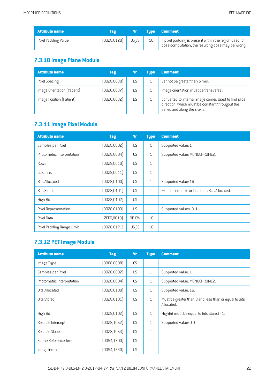| <b>Attribute name</b> |              |       | Type Comment                                                                                                 |
|-----------------------|--------------|-------|--------------------------------------------------------------------------------------------------------------|
| Pixel Padding Value   | [0028, 0120] | US SS | If pixel padding is present within the region used for<br>dose computation, the resulting dose may be wrong. |

## **7.3.10 Image Plane Module**

| <b>Attribute name</b>       | <b>Tag</b>   | Vr        | <b>Tupe</b> | <b>Comment</b>                                                                                                                            |
|-----------------------------|--------------|-----------|-------------|-------------------------------------------------------------------------------------------------------------------------------------------|
| Pixel Spacing               | [0028,0030]  | D.S       |             | Cannot be greater than 5 mm.                                                                                                              |
| Image Orientation (Patient) | (0020, 0037) | <b>DS</b> |             | Image orientation must be transversal.                                                                                                    |
| Image Position (Patient)    | (0020, 0032) | DS        |             | Converted to internal image corner. Used to find slice<br>direction, which must be constant througout the<br>series and along the Z-axis. |

## **7.3.11 Image Pixel Module**

| <b>Attribute name</b>      | <b>Tag</b>   | <b>Vr</b> | <b>Type</b>    | <b>Comment</b>                                |
|----------------------------|--------------|-----------|----------------|-----------------------------------------------|
| Samples per Pixel          | (0028,0002)  | US.       | $\mathbf{1}$   | Supported value: 1.                           |
| Photometric Interpretation | [0028,0004]  | CS        | $\mathbf{1}$   | Supported value: MONOCHROME2.                 |
| Rows                       | [0028, 0010] | US        | $\mathbf{1}$   |                                               |
| Columns                    | [0028, 0011] | US        | $\mathbf{1}$   |                                               |
| <b>Bits Allocated</b>      | [0028, 0100] | US        | $\mathbf{1}$   | Supported value: 16.                          |
| <b>Bits Stored</b>         | [0028, 0101] | US        | $\mathbf{1}$   | Must be equal to or less than Bits Allocated. |
| High Bit                   | [0028, 0102] | <b>US</b> | $\mathbf{1}$   |                                               |
| Pixel Representation       | [0028, 0103] | US.       | $\mathbf{1}$   | Supported values: 0, 1.                       |
| Pixel Data                 | [7FE0,0010]  | OB OW     | 1 <sup>C</sup> |                                               |
| Pixel Padding Range Limit  | [0028, 0121] | US SS     | 1C             |                                               |

## **7.3.12 PETImage Module**

| <b>Attribute name</b>      | <b>Tag</b>   | <b>Vr</b> | <b>Type</b>  | <b>Comment</b>                                                      |
|----------------------------|--------------|-----------|--------------|---------------------------------------------------------------------|
| Image Type                 | [0008,0008]  | CS        | $\mathbf{1}$ |                                                                     |
| Samples per Pixel          | [0028,0002]  | <b>US</b> | $\mathbf{1}$ | Supported value: 1.                                                 |
| Photometric Interpretation | [0028,0004]  | CS        | $\mathbf{1}$ | Supported value: MONOCHROME2.                                       |
| <b>Bits Allocated</b>      | [0028, 0100] | <b>US</b> | $\mathbf{1}$ | Supported value: 16.                                                |
| <b>Bits Stored</b>         | [0028, 0101] | <b>US</b> | $\mathbf{1}$ | Must be greater than 0 and less than or equal to Bits<br>Allocated. |
| High Bit                   | [0028, 0102] | <b>US</b> | $\mathbf{1}$ | HighBit must be equal to Bits Stored - 1.                           |
| Rescale Intercept          | [0028, 1052] | D.S       | $\mathbf{1}$ | Supported value: 0.0.                                               |
| Rescale Slope              | [0028, 1053] | <b>DS</b> | $\mathbf{1}$ |                                                                     |
| Frame Reference Time       | [0054, 1300] | <b>DS</b> | $\mathbf{1}$ |                                                                     |
| Image Index                | [0054, 1330] | US        | $\mathbf{1}$ |                                                                     |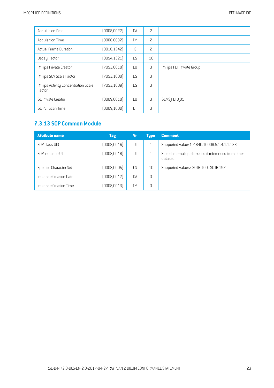| <b>Acquisition Date</b>                        | (0008, 0022) | <b>DA</b>      | 2              |                           |
|------------------------------------------------|--------------|----------------|----------------|---------------------------|
| <b>Acquisition Time</b>                        | (0008, 0032) | <b>TM</b>      | $\overline{c}$ |                           |
| <b>Actual Frame Duration</b>                   | [0018, 1242] | IS             | $\overline{c}$ |                           |
| Decay Factor                                   | [0054, 1321] | D.S            | 1 <sup>C</sup> |                           |
| Philips Private Creator                        | (7053,0010)  | L <sub>0</sub> | 3              | Philips PET Private Group |
| Philips SUV Scale Factor                       | [7053, 1000] | <b>DS</b>      | 3              |                           |
| Philips Activity Concentration Scale<br>Factor | [7053, 1009] | <b>DS</b>      | 3              |                           |
| <b>GE Private Creator</b>                      | (0009, 0010) | L <sub>0</sub> | 3              | GEMS PETD 01              |
| <b>GE PET Scan Time</b>                        | (0009, 100D) | DT             | 3              |                           |

## **7.3.13 SOP Common Module**

| <b>Attribute name</b>  | <b>Tag</b>   | Vr        | <b>Type</b> | <b>Comment</b>                                                    |
|------------------------|--------------|-----------|-------------|-------------------------------------------------------------------|
| SOP Class UID          | (0008, 0016) | UI        |             | Supported value: 1.2.840.10008.5.1.4.1.1.128.                     |
| SOP Instance UID       | (0008,0018)  | UI        |             | Stored internally to be used if referenced from other<br>dataset. |
| Specific Character Set | (0008,0005)  | C.S       | 1C          | Supported values: ISO IR 100, ISO IR 192.                         |
| Instance Creation Date | (0008, 0012) | <b>DA</b> | 3           |                                                                   |
| Instance Creation Time | (0008,0013)  | TМ        | 3           |                                                                   |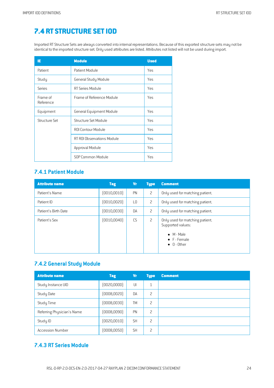# <span id="page-23-0"></span>**7.4 RT [STRUCTURE](#page-2-20) SETIOD**

Imported RT Structure Sets are always converted into internal representations. Because of this exported structure sets may not be identical to the imported structure set. Only used attributes are listed. Attributes not listed will not be used during import.

| ΙE                    | <b>Module</b>             | <b>Used</b> |
|-----------------------|---------------------------|-------------|
| Patient               | Patient Module            | Yes         |
| Study                 | General Study Module      | Yes         |
| Series                | RT Series Module          | Yes         |
| Frame of<br>Reference | Frame of Reference Module | Yes         |
| Equipment             | General Equipment Module  | Yes         |
| Structure Set         | Structure Set Module      | Yes         |
|                       | ROI Contour Module        | Yes         |
|                       | RT ROLObservations Module | Yes         |
|                       | Approval Module           | Yes         |
|                       | SOP Common Module         | Yes         |

### **7.4.1 Patient Module**

| <b>Attribute name</b> | <b>Tag</b>   | <b>Vr</b>      | <b>Type</b>    | <b>Comment</b>                                                                                                            |
|-----------------------|--------------|----------------|----------------|---------------------------------------------------------------------------------------------------------------------------|
| Patient's Name        | (0010, 0010) | PN             | $\overline{c}$ | Only used for matching patient.                                                                                           |
| Patient ID            | (0010, 0020) | L <sub>0</sub> | 2              | Only used for matching patient.                                                                                           |
| Patient's Birth Date  | (0010, 0030) | DA             | 2              | Only used for matching patient.                                                                                           |
| Patient's Sex         | (0010, 0040) | CS             | 2              | Only used for matching patient.<br>Supported values:<br>$\bullet$ M - Male<br>$\bullet$ F - Female<br>$\bullet$ 0 - Other |

#### **7.4.2 General Study Module**

| <b>Attribute name</b>      | <b>Tag</b>   | <b>Vr</b> | <b>Type</b> | <b>Comment</b> |
|----------------------------|--------------|-----------|-------------|----------------|
| Study Instance UID         | [0020,0000]  | UI        | -1<br>┸     |                |
| Study Date                 | (0008, 0020) | DA        | 2           |                |
| Study Time                 | (0008, 0030) | TМ        | 2           |                |
| Referring Physician's Name | (0008,0090)  | PN        | 2           |                |
| Study ID                   | (0020, 0010) | <b>SH</b> | 2           |                |
| <b>Accession Number</b>    | (0008, 0050) | <b>SH</b> | 2           |                |

#### **7.4.3 RT SeriesModule**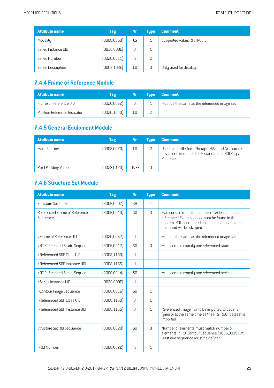| <b>Attribute name</b> | <b>Tag</b>   | Vr | <b>Tupe</b> | <b>Comment</b>             |
|-----------------------|--------------|----|-------------|----------------------------|
| Modality              | (0008, 0060) | CS |             | Supported value: RTSTRUCT. |
| Series Instance UID   | [0020,000E]  | UI |             |                            |
| Series Number         | (0020, 0011) | IS | L           |                            |
| Series Description    | [0008, 103E] | L0 |             | Only used for display.     |

#### **7.4.4 Frameof Reference Module**

| Attribute name               | Tag          | Vr | <b>Tupe</b> | <b>Comment</b>                                |
|------------------------------|--------------|----|-------------|-----------------------------------------------|
| Frame of Reference UID       | (0020, 0052) | UI |             | Must be the same as the referenced image set. |
| Position Reference Indicator | [0020, 1040] |    |             |                                               |

## **7.4.5 General Equipment Module**

| <b>Attribute name</b> | <b>Tag</b>   | Vr    | <b>Tupe</b> | <b>Comment</b>                                                                                                         |
|-----------------------|--------------|-------|-------------|------------------------------------------------------------------------------------------------------------------------|
| Manufacturer          | (0008, 0070) | L0    |             | Used to handle TomoTherapy HiArt and Nucletron's<br>deviations from the DICOM standard for ROI Physical<br>Properties. |
| Pixel Padding Value   | [0028, 0120] | US SS | 1C          |                                                                                                                        |

## **7.4.6 Structure Set Module**

| <b>Attribute name</b>                     | <b>Tag</b>   | <b>Vr</b>      | <b>Type</b>  | <b>Comment</b>                                                                                                                                                                        |
|-------------------------------------------|--------------|----------------|--------------|---------------------------------------------------------------------------------------------------------------------------------------------------------------------------------------|
| Structure Set Label                       | (3006,0002)  | <b>SH</b>      | $\mathbf{1}$ |                                                                                                                                                                                       |
| Referenced Frame of Reference<br>Sequence | (3006,0010)  | S <sub>0</sub> | 3            | May contain more than one item. At least one of the<br>referenced Examinations must be found in the<br>system. ROI's contoured on examinations that are<br>not found will be skipped. |
| >Frame of Reference UID                   | (0020, 0052) | UI             | $\mathbf{1}$ | Must be the same as the referenced image set.                                                                                                                                         |
| >RT Referenced Study Sequence             | [3006, 0012] | S <sub>0</sub> | 3            | Must contain exactly one referenced study.                                                                                                                                            |
| >Referenced SOP Class UID                 | [0008, 1150] | U              | $\mathbf{1}$ |                                                                                                                                                                                       |
| >Referenced SOP Instance UID              | [0008, 1155] | UL             | $\mathbf{1}$ |                                                                                                                                                                                       |
| >RT Referenced Series Sequence            | [3006, 0014] | S <sub>0</sub> | $\mathbf{1}$ | Must contain exactly one referenced series.                                                                                                                                           |
| >Series Instance UID                      | [0020,000E]  | U              | $\mathbf{1}$ |                                                                                                                                                                                       |
| >Contour Image Sequence                   | [3006, 0016] | S <sub>0</sub> | $\mathbf{1}$ |                                                                                                                                                                                       |
| >Referenced SOP Class UID                 | [0008, 1150] | J              | $\mathbf{1}$ |                                                                                                                                                                                       |
| >Referenced SOP Instance UID              | [0008, 1155] | U              | $\mathbf{1}$ | Referenced image has to be imported to patient<br>(prior or at the same time as the RTSTRUCT dataset is<br>imported).                                                                 |
| Structure Set R0I Sequence                | [3006, 0020] | S <sub>0</sub> | 3            | Number of elements must match number of<br>elements in ROI Contour Sequence (3006,0039). At<br>least one sequence must be defined.                                                    |
| >R0I Number                               | [3006, 0022] | IS.            | $\mathbf{1}$ |                                                                                                                                                                                       |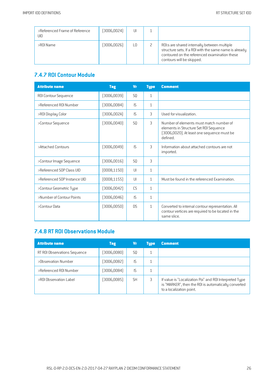| >Referenced Frame of Reference<br>UID | (3006, 0024) | Ш  |                                                                                                                                                                                      |
|---------------------------------------|--------------|----|--------------------------------------------------------------------------------------------------------------------------------------------------------------------------------------|
| >ROI Name                             | (3006, 0026) | L0 | ROI:s are shared internally between multiple<br>structure sets. If a ROI with the same name is already<br>contoured on the referenced examination these<br>contours will be skipped. |

## **7.4.7 ROI Contour Module**

| <b>Attribute name</b>        | <b>Tag</b>   | <b>Vr</b> | <b>Type</b>  | <b>Comment</b>                                                                                                                              |
|------------------------------|--------------|-----------|--------------|---------------------------------------------------------------------------------------------------------------------------------------------|
| ROI Contour Sequence         | (3006, 0039) | SQ        | $\mathbf{1}$ |                                                                                                                                             |
| >Referenced ROI Number       | [3006,0084]  | IS.       | $\mathbf{1}$ |                                                                                                                                             |
| >ROI Display Color           | [3006,002A]  | IS.       | 3            | Used for visualization.                                                                                                                     |
| >Contour Sequence            | (3006,0040)  | SQ        | 3            | Number of elements must match number of<br>elements in Structure Set ROI Sequence<br>(3006,0020). At least one sequence must be<br>defined. |
| >Attached Contours           | (3006,0049)  | IS.       | 3            | Information about attached contours are not<br>imported.                                                                                    |
| >Contour Image Sequence      | (3006, 0016) | SQ        | 3            |                                                                                                                                             |
| >Referenced SOP Class UID    | [0008, 1150] | U         | $\mathbf{1}$ |                                                                                                                                             |
| >Referenced SOP Instance UID | [0008, 1155] | U         | $\mathbf{1}$ | Must be found in the referenced Examination.                                                                                                |
| >Contour Geometric Type      | (3006,0042)  | CS.       | $\mathbf{1}$ |                                                                                                                                             |
| >Number of Contour Points    | (3006,0046)  | IS        | 1            |                                                                                                                                             |
| >Contour Data                | (3006,0050)  | D.S       | $\mathbf{1}$ | Converted to internal contour representation. All<br>contour vertices are required to be located in the<br>same slice.                      |

## **7.4.8 RT ROI Observations Module**

| <b>Attribute name</b>        | <b>Tag</b>  | Vr             | <b>Tupe</b> | <b>Comment</b>                                                                                                                              |
|------------------------------|-------------|----------------|-------------|---------------------------------------------------------------------------------------------------------------------------------------------|
| RT ROI Observations Sequence | (3006,0080) | S <sub>0</sub> |             |                                                                                                                                             |
| >Observation Number          | (3006,0082) | IS             |             |                                                                                                                                             |
| >Referenced R0I Number       | (3006,0084) | IS             |             |                                                                                                                                             |
| >ROI Observation Label       | (3006,0085) | <b>SH</b>      | 3           | If value is "Localization Poi" and ROI Interpreted Type<br>is "MARKER", then the ROI is automatically converted<br>to a localization point. |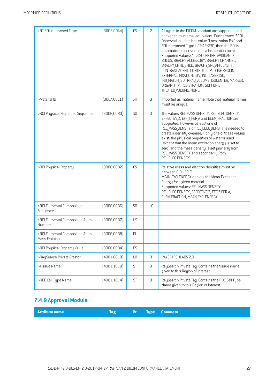| >RT ROI Interpreted Type                           | [3006,00A4]  | CS             | $\overline{c}$ | All types in the DICOM standard are supported and<br>converted to internal equivalent. Furthermore if ROI<br>Observation Label has value "Localization Poi" and<br>ROI Interpreted Type is "MARKER", then the ROI is<br>automatically converted to a localization point.<br>Supported values: ACQ ISOCENTER, AVOIDANCE,<br>BOLUS, BRACHY ACCESSORY, BRACHY CHANNEL,<br>BRACHY CHNL SHLD, BRACHY SRC APP, CAVITY,<br>CONTRAST AGENT, CONTROL, CTV, DOSE REGION,<br>EXTERNAL, FIXATION, GTV, INIT LASER ISO,<br>INIT MATCH ISO, IRRAD VOLUME, ISOCENTER, MARKER,<br>ORGAN, PTV, REGISTRATION, SUPPORT,<br>TREATED VOLUME, NONE. |
|----------------------------------------------------|--------------|----------------|----------------|-------------------------------------------------------------------------------------------------------------------------------------------------------------------------------------------------------------------------------------------------------------------------------------------------------------------------------------------------------------------------------------------------------------------------------------------------------------------------------------------------------------------------------------------------------------------------------------------------------------------------------|
| >Material ID                                       | [300A, 00E1] | <b>SH</b>      | 3              | Imported as material name. Note that material names<br>must be unique.                                                                                                                                                                                                                                                                                                                                                                                                                                                                                                                                                        |
| >R0I Physical Properties Sequence                  | (3006,00B0)  | S <sub>0</sub> | 3              | The values REL MASS DENSITY, REL ELEC DENSITY,<br>EFFECTIVE Z, EFF Z PER A and ELEM FRACTION are<br>supported. However at least one of<br>REL MASS DENSITY or REL ELEC DENSITY is needed to<br>create a density override. If only one of these values<br>exist, the physical properties of water is used<br>(except that the mean excitation energy is set to<br>zero) and the mass density is set primarily from<br>REL MASS DENSITY and secondarily from<br>REL ELEC DENSITY.                                                                                                                                               |
| >ROI Physical Property                             | [3006,00B2]  | CS             | $\mathbf{1}$   | Relative mass and electron densities must be<br>between 0.0 - 22.7.<br>MEAN EXCI ENERGY depicts the Mean Excitation<br>Energy for a given material.<br>Supported values: REL MASS DENSITY,<br>REL ELEC DENSITY, EFFECTIVE Z, EFF Z PER A,<br>ELEM FRACTION, MEAN EXCI ENERGY.                                                                                                                                                                                                                                                                                                                                                 |
| >ROI Elemental Composition<br>Sequence             | (3006,00B6)  | SQ             | 1 <sup>C</sup> |                                                                                                                                                                                                                                                                                                                                                                                                                                                                                                                                                                                                                               |
| >ROI Elemental Composition Atomic<br>Number        | [3006,00B7]  | <b>US</b>      | $\mathbf{1}$   |                                                                                                                                                                                                                                                                                                                                                                                                                                                                                                                                                                                                                               |
| >ROI Elemental Composition Atomic<br>Mass Fraction | (3006, 00B8) | FL             | 1              |                                                                                                                                                                                                                                                                                                                                                                                                                                                                                                                                                                                                                               |
| >ROI Physical Property Value                       | (3006,00B4)  | <b>DS</b>      | $\mathbf{1}$   |                                                                                                                                                                                                                                                                                                                                                                                                                                                                                                                                                                                                                               |
| >RaySearch Private Creator                         | (4001, 0010) | $\mathsf{L}0$  | 3              | RAYSEARCHLABS 2.0                                                                                                                                                                                                                                                                                                                                                                                                                                                                                                                                                                                                             |
| >Tissue Name                                       | (4001, 1010) | ST             | 3              | RaySearch Private Tag. Contains the tissue name<br>given to this Region of Interest.                                                                                                                                                                                                                                                                                                                                                                                                                                                                                                                                          |
| >RBE Cell Type Name                                | [4001, 1014] | ST             | 3              | RaySearch Private Tag. Contains the RBE Cell Type<br>Name given to this Region of Interest.                                                                                                                                                                                                                                                                                                                                                                                                                                                                                                                                   |

# **7.4.9 ApprovalModule**

**Attribute name Tag Vr Type Comment**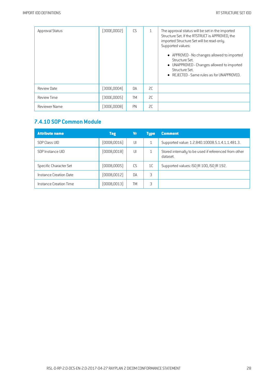| Approval Status    | (300E,0002) | CS        | $\mathbf{1}$ | The approval status will be set in the imported<br>Structure Set. If the RTSTRUCT is APPROVED, the<br>imported Structure Set will be read-only.<br>Supported values:<br>• APPROVED - No changes allowed to imported<br>Structure Set.<br>• UNAPPROVED - Changes allowed to imported<br>Structure Set.<br>$\bullet$ REJECTED - Same rules as for UNAPPROVED. |
|--------------------|-------------|-----------|--------------|-------------------------------------------------------------------------------------------------------------------------------------------------------------------------------------------------------------------------------------------------------------------------------------------------------------------------------------------------------------|
| Review Date        | [300E,0004] | <b>DA</b> | SC.          |                                                                                                                                                                                                                                                                                                                                                             |
| <b>Review Time</b> | [300E,0005] | TM        | 2C           |                                                                                                                                                                                                                                                                                                                                                             |
| Reviewer Name      | (300E,0008) | PN        | 2C           |                                                                                                                                                                                                                                                                                                                                                             |

## **7.4.10 SOP Common Module**

| <b>Attribute name</b>  | <b>Tag</b>   | Vr        | <b>Type</b>    | <b>Comment</b>                                                    |
|------------------------|--------------|-----------|----------------|-------------------------------------------------------------------|
| SOP Class UID          | (0008, 0016) | UI        |                | Supported value: 1.2.840.10008.5.1.4.1.1.481.3.                   |
| SOP Instance UID       | [0008,0018]  | UI        |                | Stored internally to be used if referenced from other<br>dataset. |
| Specific Character Set | (0008,0005)  | CS.       | 1 <sup>C</sup> | Supported values: ISO IR 100, ISO IR 192.                         |
| Instance Creation Date | (0008, 0012) | <b>DA</b> | 3              |                                                                   |
| Instance Creation Time | (0008, 0013) | TΜ        | 3              |                                                                   |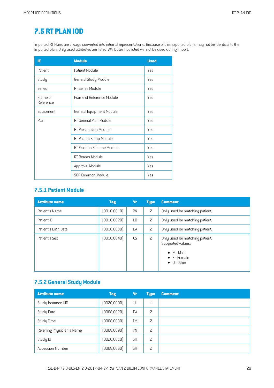## <span id="page-28-0"></span>**7.5 RT [PLAN](#page-2-21) IOD**

Imported RT Plans are always converted into internal representations. Because of this exported plans may not be identical to the imported plan. Only used attributes are listed. Attributes not listed will not be used during import.

| ΙE                    | <b>Module</b>                   | <b>Used</b> |
|-----------------------|---------------------------------|-------------|
| Patient               | Patient Module                  | Yes         |
| Study                 | General Study Module            | Yes         |
| Series                | RT Series Module                | Yes         |
| Frame of<br>Reference | Frame of Reference Module       | Yes         |
| Equipment             | <b>General Equipment Module</b> | Yes         |
| Plan                  | RT General Plan Module          | Yes         |
|                       | RT Prescription Module          | Yes         |
|                       | RT Patient Setup Module         | Yes         |
|                       | RT Fraction Scheme Module       | Yes         |
|                       | RT Beams Module                 | Yes         |
|                       | Approval Module                 | Yes         |
|                       | SOP Common Module               | Yes         |

#### **7.5.1 Patient Module**

| <b>Attribute name</b> | <b>Tag</b>   | <b>Vr</b>      | <b>Type</b>    | <b>Comment</b>                                                                                                            |
|-----------------------|--------------|----------------|----------------|---------------------------------------------------------------------------------------------------------------------------|
| Patient's Name        | [0010, 0010] | PN             | $\overline{c}$ | Only used for matching patient.                                                                                           |
| Patient ID            | (0010, 0020) | L <sub>0</sub> | 2              | Only used for matching patient.                                                                                           |
| Patient's Birth Date  | [0010, 0030] | DA             | 2              | Only used for matching patient.                                                                                           |
| Patient's Sex         | [0010, 0040] | CS             | $\overline{c}$ | Only used for matching patient.<br>Supported values:<br>$\bullet$ M - Male<br>$\bullet$ F - Female<br>$\bullet$ 0 - Other |

## **7.5.2 General Study Module**

| <b>Attribute name</b>      | <b>Tag</b>   | Vr        | <b>Type</b> | <b>Comment</b> |
|----------------------------|--------------|-----------|-------------|----------------|
| Study Instance UID         | [0020,0000]  | UI        | 1           |                |
| Study Date                 | (0008, 0020) | DA        | 2           |                |
| Study Time                 | (0008, 0030) | <b>TM</b> | 2           |                |
| Referring Physician's Name | (0008,0090)  | PN        | 2           |                |
| Study ID                   | (0020, 0010) | <b>SH</b> | 2           |                |
| <b>Accession Number</b>    | (0008, 0050) | <b>SH</b> | 2           |                |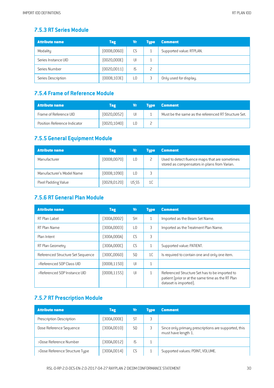#### **7.5.3 RT Series Module**

| <b>Attribute name</b> | <b>Tag</b>   | Vr  | <b>Tupe</b> | <b>Comment</b>           |
|-----------------------|--------------|-----|-------------|--------------------------|
| Modality              | (0008, 0060) | CS  |             | Supported value: RTPLAN. |
| Series Instance UID   | (0020,000E)  | UI  |             |                          |
| Series Number         | (0020, 0011) | ΙS  |             |                          |
| Series Description    | [0008, 103E] | LO. | 3           | Only used for display.   |

#### **7.5.4 Frameof Reference Module**

| <b>Attribute name</b>        | Tag          | Vr | <b>Tupe</b> | <b>Comment</b>                                       |
|------------------------------|--------------|----|-------------|------------------------------------------------------|
| Frame of Reference UID       | [0020,0052]  | UI |             | Must be the same as the referenced RT Structure Set. |
| Position Reference Indicator | [0020, 1040] |    |             |                                                      |

## **7.5.5 General Equipment Module**

| <b>Attribute name</b>     | <b>Tag</b>   | Vr    | <b>Tupe</b>    | <b>Comment</b>                                                                                 |
|---------------------------|--------------|-------|----------------|------------------------------------------------------------------------------------------------|
| Manufacturer              | (0008, 0070) | LО    |                | Used to detect fluence maps that are sometimes<br>stored as compensators in plans from Varian. |
| Manufacturer's Model Name | (0008, 1090) | LΟ    |                |                                                                                                |
| Pixel Padding Value       | [0028, 0120] | US SS | 1 <sup>C</sup> |                                                                                                |

#### **7.5.6 RT General PlanModule**

| <b>Attribute name</b>             | <b>Tag</b>   | <b>Vr</b>      | <b>Type</b>    | <b>Comment</b>                                                                                                               |
|-----------------------------------|--------------|----------------|----------------|------------------------------------------------------------------------------------------------------------------------------|
| RT Plan Label                     | (300A,0002)  | <b>SH</b>      | 1              | Imported as the Beam Set Name.                                                                                               |
| RT Plan Name                      | (300A,0003)  | LО             | 3              | Imported as the Treatment Plan Name.                                                                                         |
| Plan Intent                       | [300A,000A]  | CS.            | 3              |                                                                                                                              |
| RT Plan Geometry                  | [300A,000C]  | CS.            | $\mathbf{1}$   | Supported value: PATIENT.                                                                                                    |
| Referenced Structure Set Sequence | [300C,0060]  | S <sub>0</sub> | 1 <sup>C</sup> | Is required to contain one and only one item.                                                                                |
| >Referenced SOP Class UID         | [0008, 1150] | $  \cdot  $    | $\mathbf{1}$   |                                                                                                                              |
| >Referenced SOP Instance UID      | [0008, 1155] | $  \cdot  $    | $\mathbf{1}$   | Referenced Structure Set has to be imported to<br>patient (prior or at the same time as the RT Plan<br>dataset is imported). |

## **7.5.7 RT Prescription Module**

| <b>Attribute name</b>          | <b>Tag</b>   | Vr             | <b>Tupe</b> | <b>Comment</b>                                                              |
|--------------------------------|--------------|----------------|-------------|-----------------------------------------------------------------------------|
| Prescription Description       | (300A,000E)  | S <sub>1</sub> | 3           |                                                                             |
| Dose Reference Sequence        | (300A, 0010) | S <sub>0</sub> |             | Since only primary prescriptions are supported, this<br>must have length 1. |
| >Dose Reference Number         | [300A, 0012] | ΙS             |             |                                                                             |
| >Dose Reference Structure Type | [300A, 0014] | CS.            |             | Supported values: POINT, VOLUME.                                            |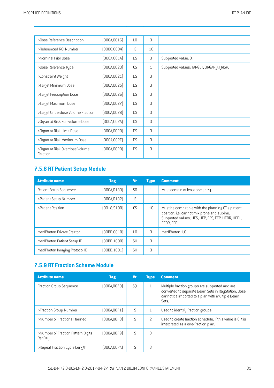| >Dose Reference Description                | [300A, 0016] | L <sub>0</sub> | 3            |                                          |
|--------------------------------------------|--------------|----------------|--------------|------------------------------------------|
| >Referenced R0I Number                     | (3006,0084)  | IS.            | 1C           |                                          |
| >Nominal Prior Dose                        | [300A, 001A] | <b>DS</b>      | 3            | Supported value: 0.                      |
| >Dose Reference Type                       | (300A, 0020) | <b>CS</b>      | $\mathbf{1}$ | Supported values: TARGET, ORGAN AT RISK. |
| >Constraint Weight                         | (300A, 0021) | <b>DS</b>      | 3            |                                          |
| >Target Minimum Dose                       | [300A, 0025] | <b>DS</b>      | 3            |                                          |
| >Target Prescription Dose                  | [300A, 0026] | <b>DS</b>      | 3            |                                          |
| >Target Maximum Dose                       | [300A, 0027] | <b>DS</b>      | 3            |                                          |
| >Target Underdose Volume Fraction          | [300A, 0028] | <b>DS</b>      | 3            |                                          |
| >Organ at Risk Full-volume Dose            | [300A,002A]  | <b>DS</b>      | 3            |                                          |
| >Organ at Risk Limit Dose                  | [300A,002B]  | <b>DS</b>      | 3            |                                          |
| >Organ at Risk Maximum Dose                | (300A, 002C) | <b>DS</b>      | 3            |                                          |
| >Organ at Risk Overdose Volume<br>Fraction | (300A, 002D) | <b>DS</b>      | 3            |                                          |

## **7.5.8 RT Patient Setup Module**

| <b>Attribute name</b>         | <b>Tag</b>   | Vr              | <b>Type</b>  | <b>Comment</b>                                                                                                                                                       |
|-------------------------------|--------------|-----------------|--------------|----------------------------------------------------------------------------------------------------------------------------------------------------------------------|
| Patient Setup Sequence        | (300A,0180)  | S <sub>0</sub>  | $\mathbf{1}$ | Must contain at least one entry.                                                                                                                                     |
| >Patient Setup Number         | (300A,0182)  | IS.             | $\mathbf{1}$ |                                                                                                                                                                      |
| >Patient Position             | [0018, 5100] | C.S             | 1C           | Must be compatible with the planning CT's patient<br>position. i.e. cannot mix prone and supine.<br>Supported values: HFS, HFP, FFS, FFP, HFDR, HFDL,<br>FFDR. FFDL. |
| med Photon Private Creator    | (30BB,0010)  | $\overline{10}$ | 3            | medPhoton 1.0                                                                                                                                                        |
| medPhoton Patient Setup ID    | (30BB,1000)  | <b>SH</b>       | 3            |                                                                                                                                                                      |
| medPhoton Imaging Protocol ID | (30BB,1001)  | <b>SH</b>       | 3            |                                                                                                                                                                      |

## **7.5.9 RTFraction Scheme Module**

| <b>Attribute name</b>                         | Tag          | <b>Vr</b>      | <b>Type</b>              | <b>Comment</b>                                                                                                                                                    |
|-----------------------------------------------|--------------|----------------|--------------------------|-------------------------------------------------------------------------------------------------------------------------------------------------------------------|
| <b>Fraction Group Sequence</b>                | (300A,0070)  | S <sub>0</sub> | 1                        | Multiple fraction groups are supported and are<br>converted to separate Beam Sets in RayStation. Dose<br>cannot be imported to a plan with multiple Beam<br>Sets. |
| >Fraction Group Number                        | (300A,0071)  | <b>IS</b>      |                          | Used to identify fraction groups.                                                                                                                                 |
| >Number of Fractions Planned                  | [300A, 0078] | <b>IS</b>      | $\overline{\phantom{0}}$ | Used to create fraction schedule. If this value is 0 it is<br>interpreted as a one-fraction plan.                                                                 |
| >Number of Fraction Pattern Digits<br>Per Day | [300A, 0079] | <b>IS</b>      | 3                        |                                                                                                                                                                   |
| >Repeat Fraction Cycle Length                 | (300A,007A)  | IS.            | 3                        |                                                                                                                                                                   |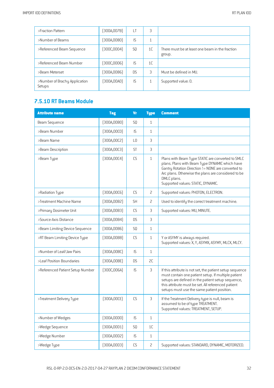| >Fraction Pattern                       | [300A,007B]  | LT        | 3              |                                                           |
|-----------------------------------------|--------------|-----------|----------------|-----------------------------------------------------------|
| >Number of Beams                        | (300A, 0080) | <b>IS</b> | Ŧ              |                                                           |
| >Referenced Beam Sequence               | [300C,0004]  | S0        | 1 <sup>C</sup> | There must be at least one beam in the fraction<br>group. |
| >Referenced Beam Number                 | (300C,0006)  | <b>IS</b> | 1 <sup>C</sup> |                                                           |
| >Beam Meterset                          | [300A,0086]  | <b>DS</b> | 3              | Must be defined in MU.                                    |
| >Number of Brachy Application<br>Setups | (300A,00A0)  | <b>IS</b> | Ŧ              | Supported value: 0.                                       |

## **7.5.10 RT** Beams Module

| <b>Attribute name</b>            | <b>Tag</b>   | <b>Vr</b> | <b>Type</b>  | <b>Comment</b>                                                                                                                                                                                                                                                           |
|----------------------------------|--------------|-----------|--------------|--------------------------------------------------------------------------------------------------------------------------------------------------------------------------------------------------------------------------------------------------------------------------|
| Beam Sequence                    | (300A, 00B0) | SQ.       | $\mathbf{1}$ |                                                                                                                                                                                                                                                                          |
| >Beam Number                     | [300A, 00C0] | IS        | $\mathbf{1}$ |                                                                                                                                                                                                                                                                          |
| >Beam Name                       | [300A, 00C2] | L0        | 3            |                                                                                                                                                                                                                                                                          |
| >Beam Description                | [300A, 00C3] | <b>ST</b> | 3            |                                                                                                                                                                                                                                                                          |
| >Beam Type                       | [300A, 00C4] | CS        | $\mathbf{1}$ | Plans with Beam Type STATIC are converted to SMLC<br>plans. Plans with Beam Type DYNAMIC which have<br>Gantry Rotation Direction != NONE are converted to<br>Arc plans. Otherwise the plans are considered to be<br>DMLC plans.<br>Supported values: STATIC, DYNAMIC.    |
| >Radiation Type                  | [300A, 00C6] | C.S       | 2            | Supported values: PHOTON, ELECTRON.                                                                                                                                                                                                                                      |
| >Treatment Machine Name          | [300A,00B2]  | <b>SH</b> | 2            | Used to identify the correct treatment machine.                                                                                                                                                                                                                          |
| >Primary Dosimeter Unit          | [300A, 00B3] | CS        | 3            | Supported values: MU, MINUTE.                                                                                                                                                                                                                                            |
| >Source-Axis Distance            | [300A,00B4]  | <b>DS</b> | 3            |                                                                                                                                                                                                                                                                          |
| >Beam Limiting Device Sequence   | [300A,00B6]  | SQ        | $\mathbf{1}$ |                                                                                                                                                                                                                                                                          |
| >RT Beam Limiting Device Type    | [300A,00B8]  | CS        | $\mathbf{1}$ | Y or ASYMY is always required.<br>Supported values: X, Y, ASYMX, ASYMY, MLCX, MLCY.                                                                                                                                                                                      |
| >Number of Leaf/Jaw Pairs        | [300A,00BC]  | IS        | $\mathbf{1}$ |                                                                                                                                                                                                                                                                          |
| >Leaf Position Boundaries        | [300A,00BE]  | <b>DS</b> | SC.          |                                                                                                                                                                                                                                                                          |
| >Referenced Patient Setup Number | [300C,006A]  | IS        | 3            | If this attribute is not set, the patient setup sequence<br>must contain one patient setup. If multiple patient<br>setups are defined in the patient setup sequence,<br>this attribute must be set. All referenced patient<br>setups must use the same patient position. |
| >Treatment Delivery Type         | [300A, 00CE] | CS        | 3            | If the Treatment Delivery type is null, beam is<br>assumed to be of type TREATMENT.<br>Supported values: TREATMENT, SETUP.                                                                                                                                               |
| >Number of Wedges                | (300A,00D0)  | IS.       | $\mathbf{1}$ |                                                                                                                                                                                                                                                                          |
| >Wedge Sequence                  | (300A, 00D1) | SQ        | 1C           |                                                                                                                                                                                                                                                                          |
| >Wedge Number                    | [300A,00D2]  | IS        | $\mathbf{1}$ |                                                                                                                                                                                                                                                                          |
| >Wedge Type                      | (300A, 00D3) | CS        | 2            | Supported values: STANDARD, DYNAMIC, MOTORIZED.                                                                                                                                                                                                                          |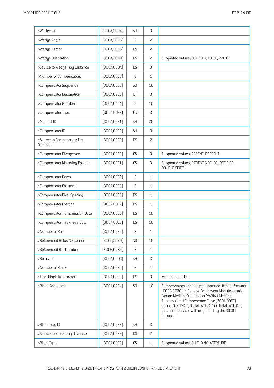| >Wedge ID                               | [300A,00D4]  | <b>SH</b>            | 3              |                                                                                                                                                                                                                                                                                                                      |
|-----------------------------------------|--------------|----------------------|----------------|----------------------------------------------------------------------------------------------------------------------------------------------------------------------------------------------------------------------------------------------------------------------------------------------------------------------|
| >Wedge Angle                            | (300A, 00D5) | IS                   | $\overline{c}$ |                                                                                                                                                                                                                                                                                                                      |
| >Wedge Factor                           | (300A,00D6)  | <b>DS</b>            | $\overline{c}$ |                                                                                                                                                                                                                                                                                                                      |
| >Wedge Orientation                      | (300A, 00D8) | <b>DS</b>            | $\overline{c}$ | Supported values: 0.0, 90.0, 180.0, 270.0.                                                                                                                                                                                                                                                                           |
| >Source to Wedge Tray Distance          | [300A,00DA]  | <b>DS</b>            | 3              |                                                                                                                                                                                                                                                                                                                      |
| >Number of Compensators                 | (300A, 00E0) | IS                   | $\mathbf{1}$   |                                                                                                                                                                                                                                                                                                                      |
| >Compensator Sequence                   | [300A, 00E3] | SQ                   | 1C             |                                                                                                                                                                                                                                                                                                                      |
| >Compensator Description                | [300A, 02EB] | LT                   | 3              |                                                                                                                                                                                                                                                                                                                      |
| >Compensator Number                     | [300A, 00E4] | IS                   | 1C             |                                                                                                                                                                                                                                                                                                                      |
| >Compensator Type                       | [300A,00EE]  | CS                   | 3              |                                                                                                                                                                                                                                                                                                                      |
| >Material ID                            | [300A, 00E1] | <b>SH</b>            | 2C             |                                                                                                                                                                                                                                                                                                                      |
| >Compensator ID                         | [300A, 00E5] | <b>SH</b>            | 3              |                                                                                                                                                                                                                                                                                                                      |
| >Source to Compensator Tray<br>Distance | [300A, 00E6] | <b>DS</b>            | $\overline{c}$ |                                                                                                                                                                                                                                                                                                                      |
| >Compensator Divergence                 | [300A, 02E0] | CS                   | 3              | Supported values: ABSENT, PRESENT.                                                                                                                                                                                                                                                                                   |
| >Compensator Mounting Position          | [300A, 02E1] | CS                   | 3              | Supported values: PATIENT SIDE, SOURCE SIDE,<br>DOUBLE SIDED.                                                                                                                                                                                                                                                        |
| >Compensator Rows                       | (300A, 00E7) | IS                   | $1\,$          |                                                                                                                                                                                                                                                                                                                      |
| >Compensator Columns                    | [300A, 00E8] | IS                   | $\mathbf{1}$   |                                                                                                                                                                                                                                                                                                                      |
| >Compensator Pixel Spacing              | (300A, 00E9) | <b>DS</b>            | $\mathbf{1}$   |                                                                                                                                                                                                                                                                                                                      |
| >Compensator Position                   | [300A,00EA]  | <b>DS</b>            | $\mathbf{1}$   |                                                                                                                                                                                                                                                                                                                      |
| >Compensator Transmission Data          | (300A, 00EB) | <b>DS</b>            | 1C             |                                                                                                                                                                                                                                                                                                                      |
| >Compensator Thickness Data             | [300A,00EC]  | <b>DS</b>            | 1C             |                                                                                                                                                                                                                                                                                                                      |
| >Number of Boli                         | (300A, 00ED) | $\mathsf{IS}\xspace$ | $\mathbf{1}$   |                                                                                                                                                                                                                                                                                                                      |
| >Referenced Bolus Sequence              | [300C,00B0]  | SQ                   | $1C$           |                                                                                                                                                                                                                                                                                                                      |
| >Referenced R0I Number                  | [3006,0084]  | IS                   | $\mathbf{1}$   |                                                                                                                                                                                                                                                                                                                      |
| >Bolus ID                               | [300A,00DC]  | <b>SH</b>            | 3              |                                                                                                                                                                                                                                                                                                                      |
| >Number of Blocks                       | (300A, 00F0) | IS                   | $\mathbf{1}$   |                                                                                                                                                                                                                                                                                                                      |
| >Total Block Tray Factor                | [300A, 00F2] | DS.                  | 3              | Must be 0.9 - 1.0.                                                                                                                                                                                                                                                                                                   |
| >Block Sequence                         | [300A, 00F4] | SQ                   | 1 <sup>C</sup> | Compensators are not yet supported. If Manufacturer<br>(0008,0070) in General Equipment Module equals<br>'Varian Medical Systems' or 'VARIAN Medical<br>Systems' and Compensator Type (300A,00EE)<br>equals 'OPTIMAL', 'TOTAL ACTUAL' or 'TOTAL ACTUAL',<br>this compensator will be ignored by the DICOM<br>import. |
| >Block Tray ID                          | [300A, 00F5] | <b>SH</b>            | 3              |                                                                                                                                                                                                                                                                                                                      |
| >Source to Block Tray Distance          | [300A, 00F6] | DS                   | $\overline{c}$ |                                                                                                                                                                                                                                                                                                                      |
| >Block Type                             | (300A, 00F8) | ${\sf CS}$           | $\mathbf{1}$   | Supported values: SHIELDING, APERTURE.                                                                                                                                                                                                                                                                               |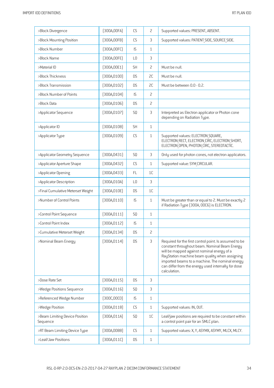| >Block Divergence                          | [300A,00FA]  | CS             | 2            | Supported values: PRESENT, ABSENT.                                                                                                                                                                                                                                                                                                |
|--------------------------------------------|--------------|----------------|--------------|-----------------------------------------------------------------------------------------------------------------------------------------------------------------------------------------------------------------------------------------------------------------------------------------------------------------------------------|
| >Block Mounting Position                   | [300A,00FB]  | CS             | 3            | Supported values: PATIENT SIDE, SOURCE SIDE.                                                                                                                                                                                                                                                                                      |
| >Block Number                              | [300A,00FC]  | IS             | $\mathbf{1}$ |                                                                                                                                                                                                                                                                                                                                   |
| >Block Name                                | [300A,00FE]  | L <sub>0</sub> | 3            |                                                                                                                                                                                                                                                                                                                                   |
| >Material ID                               | [300A, 00E1] | <b>SH</b>      | 2            | Must be null.                                                                                                                                                                                                                                                                                                                     |
| >Block Thickness                           | (300A, 0100) | <b>DS</b>      | SC           | Must be null.                                                                                                                                                                                                                                                                                                                     |
| >Block Transmission                        | [300A, 0102] | <b>DS</b>      | SC           | Must be between 0.0 - 0.2.                                                                                                                                                                                                                                                                                                        |
| >Block Number of Points                    | [300A, 0104] | IS             | 2            |                                                                                                                                                                                                                                                                                                                                   |
| >Block Data                                | [300A, 0106] | <b>DS</b>      | 2            |                                                                                                                                                                                                                                                                                                                                   |
| >Applicator Sequence                       | [300A, 0107] | SQ             | 3            | Interpreted as Electron applicator or Photon cone<br>depending on Radiation Type.                                                                                                                                                                                                                                                 |
| >Applicator ID                             | [300A, 0108] | <b>SH</b>      | $\mathbf 1$  |                                                                                                                                                                                                                                                                                                                                   |
| >Applicator Type                           | (300A, 0109) | CS             | $\mathbf 1$  | Supported values: ELECTRON SQUARE,<br>ELECTRON RECT, ELECTRON CIRC, ELECTRON SHORT,<br>ELECTRON OPEN, PHOTON CIRC, STEREOTACTIC.                                                                                                                                                                                                  |
| >Applicator Geometry Sequence              | [300A, 0431] | SQ             | 3            | Only used for photon cones, not electron applicators.                                                                                                                                                                                                                                                                             |
| >Applicator Aperture Shape                 | [300A, 0432] | CS             | $\mathbf{1}$ | Supported value: SYM CIRCULAR.                                                                                                                                                                                                                                                                                                    |
| >Applicator Opening                        | [300A, 0433] | FL.            | 1C           |                                                                                                                                                                                                                                                                                                                                   |
| >Applicator Description                    | [300A, 010A] | L <sub>0</sub> | 3            |                                                                                                                                                                                                                                                                                                                                   |
| >Final Cumulative Meterset Weight          | [300A, 010E] | <b>DS</b>      | 1C           |                                                                                                                                                                                                                                                                                                                                   |
| >Number of Control Points                  | [300A, 0110] | IS             | $\mathbf 1$  | Must be greater than or equal to 2. Must be exactly 2<br>if Radiation Type (300A, 00C6) is ELECTRON.                                                                                                                                                                                                                              |
| >Control Point Sequence                    | (300A, 0111) | SQ             | $\mathbf 1$  |                                                                                                                                                                                                                                                                                                                                   |
| >Control Point Index                       | [300A, 0112] | IS             | $\mathbf{1}$ |                                                                                                                                                                                                                                                                                                                                   |
| >Cumulative Meterset Weight                | [300A, 0134] | <b>DS</b>      | 2            |                                                                                                                                                                                                                                                                                                                                   |
| >Nominal Beam Energy                       | [300A, 0114] | <b>DS</b>      | 3            | Required for the first control point. Is assumed to be<br>constant throughout beam. Nominal Beam Energy<br>will be mapped against nominal energy of a<br>RayStation machine beam quality when assigning<br>imported beams to a machine. The nominal energy<br>can differ from the energy used internally for dose<br>calculation. |
| >Dose Rate Set                             | [300A, 0115] | <b>DS</b>      | 3            |                                                                                                                                                                                                                                                                                                                                   |
| >Wedge Positions Sequence                  | [300A, 0116] | SQ             | 3            |                                                                                                                                                                                                                                                                                                                                   |
| >Referenced Wedge Number                   | [300C, 00C0] | IS             | $\mathbf{1}$ |                                                                                                                                                                                                                                                                                                                                   |
| >Wedge Position                            | [300A, 0118] | ${\sf CS}$     | 1            | Supported values: IN, OUT.                                                                                                                                                                                                                                                                                                        |
| >Beam Limiting Device Position<br>Sequence | [300A, 011A] | SQ             | 1C           | Leaf/jaw positions are required to be constant within<br>a control point pair for an SMLC plan.                                                                                                                                                                                                                                   |
| >RT Beam Limiting Device Type              | (300A,00B8)  | CS             | $\mathbf{1}$ | Supported values: X, Y, ASYMX, ASYMY, MLCX, MLCY.                                                                                                                                                                                                                                                                                 |
| >Leaf/Jaw Positions                        | [300A, 011C] | <b>DS</b>      | $\mathbf{1}$ |                                                                                                                                                                                                                                                                                                                                   |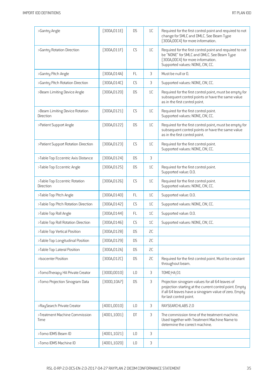| >Gantry Angle                               | [300A, 011E] | <b>DS</b>      | 1C | Required for the first control point and required to not<br>change for SMLC and DMLC. See Beam Type<br>[300A,00C4] for more information.                                                       |
|---------------------------------------------|--------------|----------------|----|------------------------------------------------------------------------------------------------------------------------------------------------------------------------------------------------|
| >Gantry Rotation Direction                  | [300A, 011F] | CS             | 1C | Required for the first control point and required to not<br>be "NONE" for SMLC and DMLC. See Beam Type<br>[300A,00C4] for more information.<br>Supported values: NONE, CW, CC.                 |
| >Gantry Pitch Angle                         | [300A, 014A] | <b>FL</b>      | 3  | Must be null or 0.                                                                                                                                                                             |
| >Gantry Pitch Rotation Direction            | [300A, 014C] | <b>CS</b>      | 3  | Supported values: NONE, CW, CC.                                                                                                                                                                |
| >Beam Limiting Device Angle                 | (300A, 0120) | <b>DS</b>      | 1C | Required for the first control point, must be empty for<br>subsequent control points or have the same value<br>as in the first control point.                                                  |
| >Beam Limiting Device Rotation<br>Direction | [300A, 0121] | CS             | 1C | Required for the first control point.<br>Supported values: NONE, CW, CC.                                                                                                                       |
| >Patient Support Angle                      | [300A, 0122] | <b>DS</b>      | 1C | Required for the first control point, must be empty for<br>subsequent control points or have the same value<br>as in the first control point.                                                  |
| >Patient Support Rotation Direction         | [300A, 0123] | CS             | 1C | Required for the first control point.<br>Supported values: NONE, CW, CC.                                                                                                                       |
| >Table Top Eccentric Axis Distance          | [300A, 0124] | <b>DS</b>      | 3  |                                                                                                                                                                                                |
| >Table Top Eccentric Angle                  | [300A, 0125] | <b>DS</b>      | 1C | Required for the first control point.<br>Supported value: 0.0.                                                                                                                                 |
| >Table Top Eccentric Rotation<br>Direction  | [300A, 0126] | CS             | 1C | Required for the first control point.<br>Supported values: NONE, CW, CC.                                                                                                                       |
| >Table Top Pitch Angle                      | (300A, 0140) | FL             | 1C | Supported value: 0.0.                                                                                                                                                                          |
| >Table Top Pitch Rotation Direction         | (300A, 0142) | CS             | 1C | Supported values: NONE, CW, CC.                                                                                                                                                                |
| >Table Top Roll Angle                       | (300A, 0144) | <b>FL</b>      | 1C | Supported value: 0.0.                                                                                                                                                                          |
| >Table Top Roll Rotation Direction          | (300A, 0146) | CS             | 1C | Supported values: NONE, CW, CC.                                                                                                                                                                |
| >Table Top Vertical Position                | (300A, 0128) | <b>DS</b>      | 2C |                                                                                                                                                                                                |
| >Table Top Longitudinal Position            | [300A, 0129] | <b>DS</b>      | SC |                                                                                                                                                                                                |
| >Table Top Lateral Position                 | [300A, 012A] | <b>DS</b>      | SC |                                                                                                                                                                                                |
| >Isocenter Position                         | [300A, 012C] | <b>DS</b>      | SC | Required for the first control point. Must be constant<br>throughout beam.                                                                                                                     |
| >TomoTherapy HA Private Creator             | (300D, 0010) | L <sub>0</sub> | 3  | <b>TOMO HA 01</b>                                                                                                                                                                              |
| >Tomo Projection Sinogram Data              | [300D, 10A7] | <b>DS</b>      | 3  | Projection sinogram values for all 64 leaves of<br>projection starting at the current control point. Empty<br>if all 64 leaves have a sinogram value of zero. Empty<br>for last control point. |
| >RaySearch Private Creator                  | (4001, 0010) | L <sub>0</sub> | 3  | RAYSEARCHLABS 2.0                                                                                                                                                                              |
| >Treatment Machine Commission<br>Time       | (4001, 1001) | DT             | 3  | The commission time of the treatment machine.<br>Used together with Treatment Machine Name to<br>determine the correct machine.                                                                |
| >Tomo IDMS Beam ID                          | (4001, 1021) | L <sub>0</sub> | 3  |                                                                                                                                                                                                |
| >Tomo IDMS Machine ID                       | (4001, 1020) | L <sub>0</sub> | 3  |                                                                                                                                                                                                |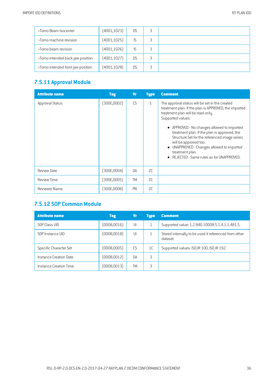| >Tomo Beam Isocenter              | (4001, 1023) | <b>DS</b> |   |  |
|-----------------------------------|--------------|-----------|---|--|
| >Tomo machine revision            | (4001, 1025) | IS.       | 3 |  |
| >Tomo beam revision               | [4001, 1026] | <b>IS</b> | 3 |  |
| >Tomo intended back jaw position  | (4001, 1027) | D.S       |   |  |
| >Tomo intended front jaw position | (4001, 1028) | <b>DS</b> | 3 |  |

## **7.5.11 Approval Module**

| <b>Attribute name</b> | <b>Tag</b>   | <b>Vr</b> | <b>Type</b>  | <b>Comment</b>                                                                                                                                                                                                                                                                                                                                                                                                                                                       |
|-----------------------|--------------|-----------|--------------|----------------------------------------------------------------------------------------------------------------------------------------------------------------------------------------------------------------------------------------------------------------------------------------------------------------------------------------------------------------------------------------------------------------------------------------------------------------------|
| Approval Status       | (300E, 0002) | CS        | $\mathbf{1}$ | The approval status will be set in the created<br>treatment plan. If the plan is APPROVED, the imported<br>treatment plan will be read-only.<br>Supported values:<br>• APPROVED - No changes allowed to imported<br>treatment plan. If the plan is approved, the<br>Structure Set for the referenced image series<br>will be approved too.<br>UNAPPROVED - Changes allowed to imported<br>$\bullet$<br>treatment plan.<br>• REJECTED - Same rules as for UNAPPROVED. |
| <b>Review Date</b>    | [300E, 0004] | <b>DA</b> | SC.          |                                                                                                                                                                                                                                                                                                                                                                                                                                                                      |
| <b>Review Time</b>    | [300E,0005]  | <b>TM</b> | SC           |                                                                                                                                                                                                                                                                                                                                                                                                                                                                      |
| Reviewer Name         | (300E,0008)  | PN        | SC.          |                                                                                                                                                                                                                                                                                                                                                                                                                                                                      |

## **7.5.12 SOP Common Module**

| <b>Attribute name</b>  | <b>Tag</b>   | Vr        | <b>Type</b> | <b>Comment</b>                                                    |
|------------------------|--------------|-----------|-------------|-------------------------------------------------------------------|
| SOP Class UID          | (0008, 0016) | UI        |             | Supported value: 1.2.840.10008.5.1.4.1.1.481.5.                   |
| SOP Instance UID       | (0008,0018)  | UI        |             | Stored internally to be used if referenced from other<br>dataset. |
| Specific Character Set | (0008,0005)  | C.S       | 1C          | Supported values: ISO IR 100, ISO IR 192.                         |
| Instance Creation Date | (0008, 0012) | <b>DA</b> | 3           |                                                                   |
| Instance Creation Time | (0008,0013)  | TМ        | 3           |                                                                   |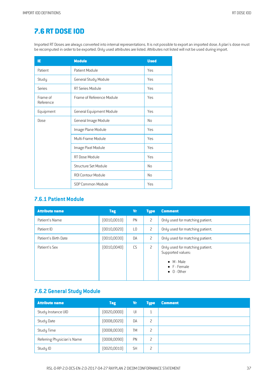# **7.6 RT [DOSE](#page-2-0) IOD**

Imported RT Doses are always converted into internal representations. It is not possible to export an imported dose. A plan's dose must be recomputed in order to be exported. Only used attributes are listed. Attributes not listed will not be used during import.

| IE                    | <b>Module</b>             | <b>Used</b> |
|-----------------------|---------------------------|-------------|
| Patient               | Patient Module            | Yes         |
| Study                 | General Study Module      | Yes         |
| Series                | RT Series Module          | Yes         |
| Frame of<br>Reference | Frame of Reference Module | Yes         |
| Equipment             | General Equipment Module  | Yes         |
| Dose                  | General Image Module      | No          |
|                       | Image Plane Module        | Yes         |
|                       | Multi-Frame Module        | Yes         |
|                       | Image Pixel Module        | Yes         |
|                       | RT Dose Module            | <b>Yes</b>  |
|                       | Structure Set Module      | No          |
|                       | ROI Contour Module        | No          |
|                       | SOP Common Module         | Yes         |

#### **7.6.1 Patient Module**

| <b>Attribute name</b> | <b>Tag</b>   | <b>Vr</b> | <b>Type</b>    | <b>Comment</b>                                                                                                            |
|-----------------------|--------------|-----------|----------------|---------------------------------------------------------------------------------------------------------------------------|
| Patient's Name        | (0010, 0010) | PN        | $\overline{c}$ | Only used for matching patient.                                                                                           |
| Patient ID            | (0010, 0020) | L0        | 2              | Only used for matching patient.                                                                                           |
| Patient's Birth Date  | (0010, 0030) | <b>DA</b> | 2              | Only used for matching patient.                                                                                           |
| Patient's Sex         | (0010, 0040) | CS        | 2              | Only used for matching patient.<br>Supported values:<br>$\bullet$ M - Male<br>$\bullet$ F - Female<br>$\bullet$ 0 - 0ther |

## **7.6.2 General Study Module**

| <b>Attribute name</b>      | <b>Tag</b>   | <b>Vr</b> | <b>Type</b> | <b>Comment</b> |
|----------------------------|--------------|-----------|-------------|----------------|
| Study Instance UID         | [0020,0000]  | UI        | 1           |                |
| Study Date                 | (0008, 0020) | DA        | 2           |                |
| Study Time                 | (0008, 0030) | <b>TM</b> | 2           |                |
| Referring Physician's Name | (0008,0090)  | PN        | 2           |                |
| Study ID                   | (0020, 0010) | <b>SH</b> | 2           |                |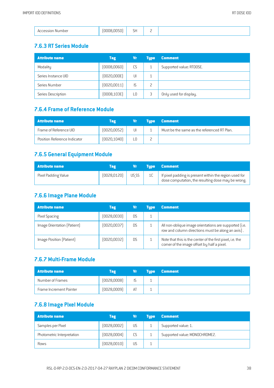|  | RT DOSE IOD |  |
|--|-------------|--|
|--|-------------|--|

|--|

#### **7.6.3 RT SeriesModule**

| <b>Attribute name</b> | <b>Tag</b>   | Vr | <b>Tupe</b> | <b>Comment</b>           |
|-----------------------|--------------|----|-------------|--------------------------|
| Modality              | (0008, 0060) | CS |             | Supported value: RTDOSE. |
| Series Instance UID   | [0020,000E]  | UI |             |                          |
| Series Number         | [0020, 0011] | IS |             |                          |
| Series Description    | (0008, 103E) | L0 |             | Only used for display.   |

# **7.6.4 Frameof Reference Module**

| <b>Attribute name</b>        | Tag          | Vr . | <b>Type Comment</b>                         |
|------------------------------|--------------|------|---------------------------------------------|
| Frame of Reference UID       | [0020, 0052] | UI   | Must be the same as the referenced RT Plan. |
| Position Reference Indicator | [0020, 1040] |      |                                             |

## **7.6.5 General Equipment Module**

| <b>Attribute name</b> | Tag          | Vr I  | <b>Type Comment</b>                                                                                            |
|-----------------------|--------------|-------|----------------------------------------------------------------------------------------------------------------|
| Pixel Padding Value   | [0028, 0120] | US SS | I If pixel padding is present within the region used for<br>dose computation, the resulting dose may be wrong. |

## **7.6.6 Image Plane Module**

| <b>Attribute name</b>       | <b>Tag</b>   |     | Tupe | <b>Comment</b>                                                                                              |
|-----------------------------|--------------|-----|------|-------------------------------------------------------------------------------------------------------------|
| Pixel Spacing               | [0028,0030]  | D.S |      |                                                                                                             |
| Image Orientation (Patient) | [0020,0037]  | D.S |      | All non-oblique image orientations are supported (i.e.<br>row and column directions must be along an axis). |
| Image Position (Patient)    | (0020, 0032) | D.S |      | Note that this is the center of the first pixel, i.e. the<br>corner of the image offset by half a pixel.    |

#### **7.6.7 Multi-Frame Module**

| <b>Attribute name</b>   | Tag         | Vr 1 | <b>Example: Comment</b> |
|-------------------------|-------------|------|-------------------------|
| Number of Frames        | [0028,0008] |      |                         |
| Frame Increment Pointer | [0028,0009] | AT   |                         |

#### **7.6.8 Image PixelModule**

| <b>Attribute name</b>      | <b>Tag</b>   | Vr | <b>Tupe</b> | <b>Comment</b>                |
|----------------------------|--------------|----|-------------|-------------------------------|
| Samples per Pixel          | [0028,0002]  | US |             | Supported value: 1.           |
| Photometric Interpretation | [0028,0004]  | CS |             | Supported value: MONOCHROME2. |
| Rows                       | [0028, 0010] | US |             |                               |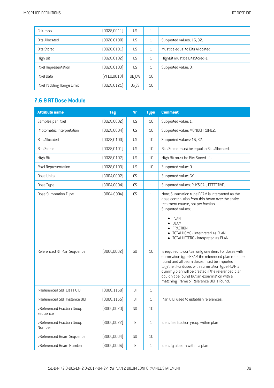| Columns                   | [0028, 0011] | US        |                |                                  |
|---------------------------|--------------|-----------|----------------|----------------------------------|
| <b>Bits Allocated</b>     | [0028, 0100] | <b>US</b> |                | Supported values: 16, 32.        |
| <b>Bits Stored</b>        | (0028, 0101) | US        |                | Must be equal to Bits Allocated. |
| High Bit                  | (0028, 0102) | US        |                | High Bit must be Bits Stored-1.  |
| Pixel Representation      | (0028, 0103) | US        |                | Supported value: 0.              |
| Pixel Data                | (7FE0,0010)  | OB OW     | 1 <sup>C</sup> |                                  |
| Pixel Padding Range Limit | (0028, 0121) | US SS     | 1 <sup>C</sup> |                                  |

## **7.6.9 RT Dose Module**

| <b>Attribute name</b>                              | <b>Tag</b>                 | <b>Vr</b>              | <b>Type</b>        | <b>Comment</b>                                                                                                                                                                                                                                                                                                                       |
|----------------------------------------------------|----------------------------|------------------------|--------------------|--------------------------------------------------------------------------------------------------------------------------------------------------------------------------------------------------------------------------------------------------------------------------------------------------------------------------------------|
| Samples per Pixel                                  | [0028,0002]                | US                     | 1C                 | Supported value: 1.                                                                                                                                                                                                                                                                                                                  |
| Photometric Interpretation                         | [0028,0004]                | CS                     | 1C                 | Supported value: MONOCHROME2.                                                                                                                                                                                                                                                                                                        |
| <b>Bits Allocated</b>                              | [0028, 0100]               | US                     | 1C                 | Supported values: 16, 32.                                                                                                                                                                                                                                                                                                            |
| <b>Bits Stored</b>                                 | (0028, 0101)               | <b>US</b>              | 1C                 | Bits Stored must be equal to Bits Allocated.                                                                                                                                                                                                                                                                                         |
| High Bit                                           | [0028, 0102]               | <b>US</b>              | 1C                 | High Bit must be Bits Stored - 1.                                                                                                                                                                                                                                                                                                    |
| Pixel Representation                               | [0028, 0103]               | US                     | 1C                 | Supported value: 0.                                                                                                                                                                                                                                                                                                                  |
| Dose Units                                         | [3004,0002]                | CS                     | $\mathbf{1}$       | Supported value: GY.                                                                                                                                                                                                                                                                                                                 |
| Dose Type                                          | [3004,0004]                | CS                     | $\mathbf{1}$       | Supported values: PHYSICAL, EFFECTIVE.                                                                                                                                                                                                                                                                                               |
| Dose Summation Type<br>Referenced RT Plan Sequence | [3004,000A]<br>(300C,0002) | CS<br>SQ               | $\mathbf{1}$<br>1C | Note: Summation type BEAM is interpreted as the<br>dose contribution from this beam over the entire<br>treatment course, not per fraction.<br>Supported values:<br>PLAN<br><b>BFAM</b><br>FRACTION<br>TOTALHOMO - Interpreted as PLAN<br>• TOTALHETERO - Interpreted as PLAN<br>Is required to contain only one item. For doses with |
|                                                    |                            |                        |                    | summation type BEAM the referenced plan must be<br>found and all beam doses must be imported<br>together. For doses with summation type PLAN a<br>dummy plan will be created if the referenced plan<br>couldn't be found but an examination with a<br>matching Frame of Reference UID is found.                                      |
| >Referenced SOP Class UID                          | (0008, 1150)               | $\mathsf{U}\mathsf{I}$ | $\mathbf{1}$       |                                                                                                                                                                                                                                                                                                                                      |
| >Referenced SOP Instance UID                       | [0008, 1155]               | UI                     | $\mathbf{1}$       | Plan UID, used to establish references.                                                                                                                                                                                                                                                                                              |
| >Referenced Fraction Group<br>Sequence             | [300C, 0020]               | SQ                     | 1C                 |                                                                                                                                                                                                                                                                                                                                      |
| >Referenced Fraction Group<br>Number               | [300C, 0022]               | IS                     | $1\,$              | Identifies fraction group within plan                                                                                                                                                                                                                                                                                                |
| >Referenced Beam Sequence                          | [300C,0004]                | SQ                     | 1C                 |                                                                                                                                                                                                                                                                                                                                      |
| >Referenced Beam Number                            | [300C,0006]                | IS                     | $\mathbf{1}$       | Identify a beam within a plan                                                                                                                                                                                                                                                                                                        |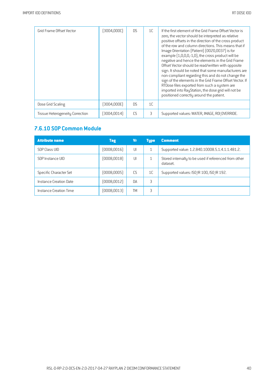| Grid Frame Offset Vector               | [3004,000C] | <b>DS</b> | 1 <sup>C</sup> | If the first element of the Grid Frame Offset Vector is<br>zero, the vector should be interpreted as relative<br>positive offsets in the direction of the cross product<br>of the row and column directions. This means that if<br>Image Orientation [Patient] [0020,0037] is for<br>example [1,0,0,0,-1,0], the cross product will be<br>negative and hence the elements in the Grid Frame<br>Offset Vector should be read/written with opposite<br>sign. It should be noted that some manufacturers are<br>non-compliant regarding this and do not change the<br>sign of the elements in the Grid Frame Offset Vector. If<br>RTDose files exported from such a system are<br>imported into RayStation, the dose grid will not be<br>positioned correctly around the patient. |
|----------------------------------------|-------------|-----------|----------------|--------------------------------------------------------------------------------------------------------------------------------------------------------------------------------------------------------------------------------------------------------------------------------------------------------------------------------------------------------------------------------------------------------------------------------------------------------------------------------------------------------------------------------------------------------------------------------------------------------------------------------------------------------------------------------------------------------------------------------------------------------------------------------|
| Dose Grid Scaling                      | [3004,000E] | D.S       | 1 <sup>C</sup> |                                                                                                                                                                                                                                                                                                                                                                                                                                                                                                                                                                                                                                                                                                                                                                                |
| <b>Tissue Heterogeneity Correction</b> | (3004,0014) | C.S       | 3              | Supported values: WATER, IMAGE, ROI OVERRIDE.                                                                                                                                                                                                                                                                                                                                                                                                                                                                                                                                                                                                                                                                                                                                  |

#### **7.6.10 SOP Common Module**

| <b>Attribute name</b>  | <b>Tag</b>   | Vr        | <b>Type</b> | <b>Comment</b>                                                    |
|------------------------|--------------|-----------|-------------|-------------------------------------------------------------------|
| SOP Class UID          | (0008, 0016) | UI        |             | Supported value: 1.2.840.10008.5.1.4.1.1.481.2.                   |
| SOP Instance UID       | (0008, 0018) | UI        |             | Stored internally to be used if referenced from other<br>dataset. |
| Specific Character Set | (0008,0005)  | C.S       | 1C          | Supported values: ISO IR 100, ISO IR 192.                         |
| Instance Creation Date | (0008, 0012) | <b>DA</b> | 3           |                                                                   |
| Instance Creation Time | (0008, 0013) | TМ        | 3           |                                                                   |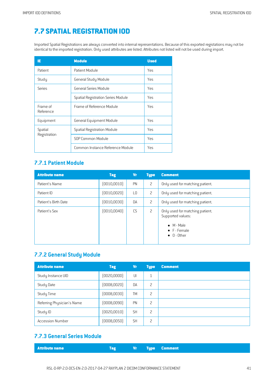# **7.7 SPATIAL [REGISTRATION](#page-2-1) IOD**

Imported Spatial Registrations are always converted into internal representations. Because of this exported registations may not be identical to the imported registration. Only used attributes are listed. Attributes not listed will not be used during import.

| IE                    | <b>Module</b>                             | <b>Used</b> |
|-----------------------|-------------------------------------------|-------------|
| Patient               | Patient Module                            | Yes         |
| Study                 | General Study Module                      | Yes         |
| <b>Series</b>         | General Series Module                     | Yes         |
|                       | <b>Spatial Registration Series Module</b> | Yes         |
| Frame of<br>Reference | Frame of Reference Module                 | Yes         |
| Equipment             | <b>General Equipment Module</b>           | Yes         |
| Spatial               | <b>Spatial Registration Module</b>        | Yes         |
| Registration          | SOP Common Module                         | Yes         |
|                       | Common Instance Reference Module          | Yes         |

## **7.7.1 Patient Module**

| <b>Attribute name</b> | <b>Tag</b>   | <b>Vr</b>      | <b>Type</b>    | <b>Comment</b>                                                                                                            |
|-----------------------|--------------|----------------|----------------|---------------------------------------------------------------------------------------------------------------------------|
| Patient's Name        | [0010, 0010] | PN             | 2              | Only used for matching patient.                                                                                           |
| Patient ID            | (0010, 0020) | L <sub>0</sub> | 2              | Only used for matching patient.                                                                                           |
| Patient's Birth Date  | (0010, 0030) | DA             | 2              | Only used for matching patient.                                                                                           |
| Patient's Sex         | (0010, 0040) | CS             | $\overline{c}$ | Only used for matching patient.<br>Supported values:<br>$\bullet$ M - Male<br>$\bullet$ F - Female<br>$\bullet$ 0 - Other |

#### **7.7.2 General Study Module**

| <b>Attribute name</b>      | <b>Tag</b>   | Vr        | <b>Type</b>    | <b>Comment</b> |
|----------------------------|--------------|-----------|----------------|----------------|
| Study Instance UID         | [0020,0000]  | UI        | 1<br>T         |                |
| Study Date                 | (0008, 0020) | DA        | 2              |                |
| Study Time                 | (0008, 0030) | TM        | $\overline{c}$ |                |
| Referring Physician's Name | (0008,0090)  | PN        | 2              |                |
| Study ID                   | (0020, 0010) | <b>SH</b> | $\overline{c}$ |                |
| <b>Accession Number</b>    | (0008, 0050) | <b>SH</b> | $\overline{c}$ |                |

## **7.7.3 General SeriesModule**

| <b>Attribute name</b><br>Tag |  |  | <b>Source Service Comment Service Comment</b> |
|------------------------------|--|--|-----------------------------------------------|
|------------------------------|--|--|-----------------------------------------------|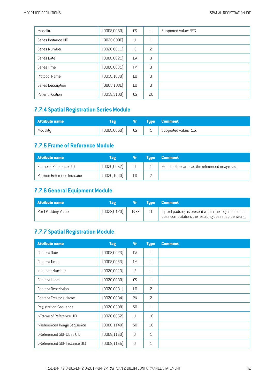| Modality            | (0008, 0060) | CS             | $\mathbf{1}$ | Supported value: REG. |
|---------------------|--------------|----------------|--------------|-----------------------|
| Series Instance UID | [0020,000E]  | UI             | 1            |                       |
| Series Number       | (0020, 0011) | IS.            | 2            |                       |
| Series Date         | (0008, 0021) | DA             | 3            |                       |
| Series Time         | (0008, 0031) | <b>TM</b>      | 3            |                       |
| Protocol Name       | (0018, 1030) | L <sub>0</sub> | 3            |                       |
| Series Description  | [0008, 103E] | L <sub>0</sub> | 3            |                       |
| Patient Position    | (0018, 5100) | CS             | 2C           |                       |

# **7.7.4 Spatial Registration SeriesModule**

| <b>Attribute name</b> | <b>ag</b>    | Vr ' |   | Type Comment          |
|-----------------------|--------------|------|---|-----------------------|
| Modality              | (0008, 0060) | CS.  | ᅩ | Supported value: REG. |

## **7.7.5 Frameof Reference Module**

| <b>Attribute name</b>        | Tag          | Vr | <b>Tupe</b> | <b>Comment</b>                                |
|------------------------------|--------------|----|-------------|-----------------------------------------------|
| Frame of Reference UID       | [0020, 0052] | UI |             | Must be the same as the referenced image set. |
| Position Reference Indicator | [0020, 1040] |    |             |                                               |

## **7.7.6 General Equipment Module**

| Attribute name      | Tag          | Vr.   | Type Comment                                                                                                 |
|---------------------|--------------|-------|--------------------------------------------------------------------------------------------------------------|
| Pixel Padding Value | [0028, 0120] | US SS | If pixel padding is present within the region used for<br>dose computation, the resulting dose may be wrong. |

# **7.7.7 Spatial Registration Module**

| <b>Attribute name</b>         | <b>Tag</b>   | <b>Vr</b>      | <b>Type</b>    | <b>Comment</b> |
|-------------------------------|--------------|----------------|----------------|----------------|
| Content Date                  | (0008, 0023) | <b>DA</b>      | $\mathbf{1}$   |                |
| <b>Content Time</b>           | (0008, 0033) | <b>TM</b>      | $\mathbf{1}$   |                |
| Instance Number               | [0020, 0013] | IS             | $\mathbf{1}$   |                |
| Content Label                 | (0070, 0080) | CS             | $\mathbf{1}$   |                |
| <b>Content Description</b>    | (0070,0081)  | L <sub>0</sub> | $\overline{c}$ |                |
| <b>Content Creator's Name</b> | (0070, 0084) | PN             | $\overline{c}$ |                |
| Registration Sequence         | [0070, 0308] | SQ             | $\mathbf{1}$   |                |
| >Frame of Reference UID       | (0020, 0052) | U              | 1 <sup>C</sup> |                |
| >Referenced Image Sequence    | (0008, 1140) | SQ             | 1C             |                |
| >Referenced SOP Class UID     | (0008, 1150) | U              | $\mathbf{1}$   |                |
| >Referenced SOP Instance UID  | (0008,1155)  | UI             | $\mathbf{1}$   |                |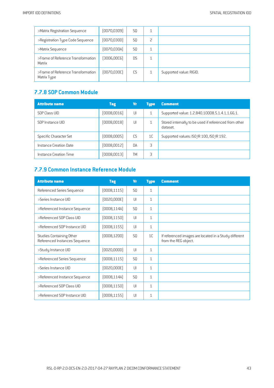| >Matrix Registration Sequence                     | (0070, 0309) | S <sub>0</sub> |   |                         |
|---------------------------------------------------|--------------|----------------|---|-------------------------|
| >Registration Type Code Sequence                  | [0070, 0300] | S <sub>0</sub> | 2 |                         |
| >Matrix Sequence                                  | [0070, 030A] | S <sub>0</sub> | 1 |                         |
| >Frame of Reference Transformation<br>Matrix      | [3006,00C6]  | <b>DS</b>      |   |                         |
| >Frame of Reference Transformation<br>Matrix Type | [0070, 0300] | CS             |   | Supported value: RIGID. |

#### **7.7.8 SOP Common Module**

| <b>Attribute name</b>  | Tag          | Vr  | <b>Type</b>    | <b>Comment</b>                                                    |
|------------------------|--------------|-----|----------------|-------------------------------------------------------------------|
| SOP Class UID          | [0008,0016]  | UI  |                | Supported value: 1.2.840.10008.5.1.4.1.1.66.1.                    |
| SOP Instance UID       | [0008,0018]  | UI  |                | Stored internally to be used if referenced from other<br>dataset. |
| Specific Character Set | (0008,0005)  | C.S | 1 <sup>C</sup> | Supported values: ISO IR 100, ISO IR 192.                         |
| Instance Creation Date | [0008,0012]  | DA  | 3              |                                                                   |
| Instance Creation Time | [0008, 0013] | TΜ  | 3              |                                                                   |

## **7.7.9 Common Instance Reference Module**

| <b>Attribute name</b>                                     | <b>Tag</b>   | <b>Vr</b>      | <b>Type</b>  | <b>Comment</b>                                                                |
|-----------------------------------------------------------|--------------|----------------|--------------|-------------------------------------------------------------------------------|
| Referenced Series Sequence                                | [0008, 1115] | SQ             | $\mathbf{1}$ |                                                                               |
| >Series Instance UID                                      | (0020,000E)  | UI             | $\mathbf{1}$ |                                                                               |
| >Referenced Instance Sequence                             | [0008, 114A] | S <sub>0</sub> | $\mathbf{1}$ |                                                                               |
| >Referenced SOP Class UID                                 | (0008, 1150) | UI             | $\mathbf{1}$ |                                                                               |
| >Referenced SOP Instance UID                              | [0008, 1155] | UI             | $\mathbf{1}$ |                                                                               |
| Studies Containing Other<br>Referenced Instances Sequence | (0008, 1200) | SQ             | 1C           | If referenced images are located in a Study different<br>from the REG object. |
| >Study Instance UID                                       | (0020, 0000) | UI             | $\mathbf{1}$ |                                                                               |
| >Referenced Series Sequence                               | [0008, 1115] | <b>SQ</b>      | $\mathbf{1}$ |                                                                               |
| >Series Instance UID                                      | (0020,000E)  | UI             | $\mathbf{1}$ |                                                                               |
| >Referenced Instance Sequence                             | (0008, 114A) | S <sub>0</sub> | $\mathbf{1}$ |                                                                               |
| >Referenced SOP Class UID                                 | (0008, 1150) | UI             | $\mathbf{1}$ |                                                                               |
| >Referenced SOP Instance UID                              | [0008, 1155] | UI             | $\mathbf{1}$ |                                                                               |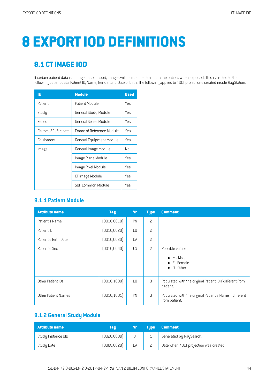# **8 EXPORTIOD [DEFINITIONS](#page-2-2)**

# **8.1 [CTIMAGE](#page-2-3) IOD**

If certain patient data is changed after import, images will be modified to match the patient when exported. This is limited to the following patient data: Patient ID, Name, Gender and Date of birth. The following applies to 4DCT projections created inside RayStation.

| IE.                | <b>Module</b>             | <b>Used</b> |
|--------------------|---------------------------|-------------|
| Patient            | Patient Module            | Yes         |
| Study              | General Study Module      | Yes         |
| Series             | General Series Module     | Yes         |
| Frame of Reference | Frame of Reference Module | Yes         |
| Equipment          | General Equipment Module  | Yes         |
| Image              | General Image Module      | No          |
|                    | Image Plane Module        | Yes         |
|                    | Image Pixel Module        | Yes         |
|                    | CT Image Module           | Yes         |
|                    | SOP Common Module         | Yes         |

#### **8.1.1 Patient Module**

| <b>Attribute name</b> | <b>Tag</b>   | Vr              | <b>Type</b>    | <b>Comment</b>                                                                |
|-----------------------|--------------|-----------------|----------------|-------------------------------------------------------------------------------|
| Patient's Name        | [0010, 0010] | <b>PN</b>       | $\overline{c}$ |                                                                               |
| Patient ID            | [0010, 0020] | L <sub>0</sub>  | 2              |                                                                               |
| Patient's Birth Date  | [0010, 0030] | <b>DA</b>       | $\overline{c}$ |                                                                               |
| Patient's Sex         | [0010, 0040] | CS              | $\overline{c}$ | Possible values:<br>$\bullet$ M - Male<br>• F - Female<br>$\bullet$ 0 - Other |
| Other Patient IDs     | (0010, 1000) | $\overline{10}$ | 3              | Populated with the original Patient ID if different from<br>patient.          |
| Other Patient Names   | [0010, 1001] | <b>PN</b>       | 3              | Populated with the original Patient's Name if different<br>from patient.      |

#### **8.1.2 General Study Module**

| <b>Attribute name</b> | Tag          |    | <b>Tupe</b> | <b>Comment</b>                         |
|-----------------------|--------------|----|-------------|----------------------------------------|
| Study Instance UID    | [0020,0000]  | UI |             | Generated by RaySearch.                |
| Study Date            | (0008, 0020) | DA |             | Date when 4DCT projection was created. |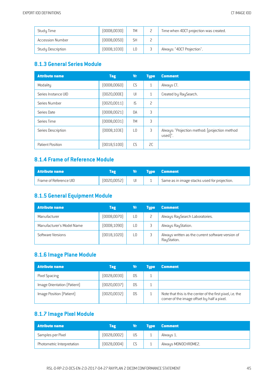| Study Time              | [0008,0030]  | <b>TM</b> |   | Time when 4DCT projection was created. |
|-------------------------|--------------|-----------|---|----------------------------------------|
| <b>Accession Number</b> | (0008, 0050) | <b>SH</b> |   |                                        |
| Study Description       | [0008, 1030] | LO.       | ◡ | Always: "4DCT Projection".             |

#### **8.1.3 General SeriesModule**

| <b>Attribute name</b> | <b>Tag</b>   | Vr             | <b>Type</b>  | <b>Comment</b>                                            |
|-----------------------|--------------|----------------|--------------|-----------------------------------------------------------|
| Modality              | (0008, 0060) | CS             | $\mathbf{1}$ | Always CT.                                                |
| Series Instance UID   | [0020,000E]  | UI             | $\mathbf{1}$ | Created by RaySearch.                                     |
| Series Number         | (0020, 0011) | IS             | 2            |                                                           |
| Series Date           | (0008, 0021) | <b>DA</b>      | 3            |                                                           |
| Series Time           | (0008, 0031) | <b>TM</b>      | 3            |                                                           |
| Series Description    | [0008, 103E] | L <sub>0</sub> | 3            | Always: "Projection method: [projection method<br>used]". |
| Patient Position      | (0018, 5100) | CS             | 2C           |                                                           |

#### **8.1.4 Frameof Reference Module**

| <b>Attribute name</b>  |              |    | Vr Type Comment                              |
|------------------------|--------------|----|----------------------------------------------|
| Frame of Reference UID | (0020, 0052) | UI | Same as in image stacks used for projection. |

## **8.1.5 General Equipment Module**

| <b>Attribute name</b>     | <b>Tag</b>   | Vr  | <b>Tupe</b> | <b>Comment</b>                                                   |
|---------------------------|--------------|-----|-------------|------------------------------------------------------------------|
| Manufacturer              | (0008, 0070) | LO. |             | Always RaySearch Laboratories.                                   |
| Manufacturer's Model Name | (0008, 1090) | L0  |             | Always RayStation.                                               |
| Software Versions         | [0018, 1020] | L0  |             | Always written as the current software version of<br>RayStation. |

#### **8.1.6 Image Plane Module**

| <b>Attribute name</b>       | <b>Tag</b>   | Vr        | <b>Tupe</b> | <b>Comment</b>                                                                                           |
|-----------------------------|--------------|-----------|-------------|----------------------------------------------------------------------------------------------------------|
| Pixel Spacing               | (0028, 0030) | DS        |             |                                                                                                          |
| Image Orientation (Patient) | [0020,0037]  | D.S       |             |                                                                                                          |
| Image Position (Patient)    | (0020, 0032) | <b>DS</b> |             | Note that this is the center of the first pixel, i.e. the<br>corner of the image offset by half a pixel. |

## **8.1.7 Image PixelModule**

| <b>Attribute name</b>      | Tag         |              | <b>Tupe</b> | <b>Comment</b>      |
|----------------------------|-------------|--------------|-------------|---------------------|
| Samples per Pixel          | [0028,0002] | US           |             | Always 1.           |
| Photometric Interpretation | (0028,0004) | $\sim$<br>LЭ |             | Always MONOCHROME2. |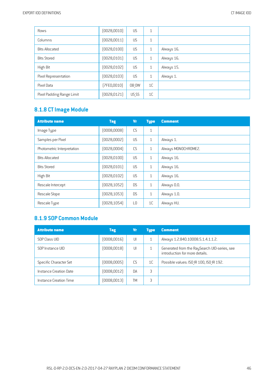| Rows                      | [0028, 0010] | <b>US</b> | 1              |            |
|---------------------------|--------------|-----------|----------------|------------|
| Columns                   | [0028, 0011] | <b>US</b> | 1              |            |
| <b>Bits Allocated</b>     | (0028, 0100) | <b>US</b> | $\mathbf{1}$   | Always 16. |
| <b>Bits Stored</b>        | (0028, 0101) | <b>US</b> | $\mathbf{1}$   | Always 16. |
| High Bit                  | (0028, 0102) | <b>US</b> | 1              | Always 15. |
| Pixel Representation      | [0028, 0103] | <b>US</b> | $\mathbf{1}$   | Always 1.  |
| Pixel Data                | [7FE0,0010]  | OB OW     | 1C             |            |
| Pixel Padding Range Limit | [0028, 0121] | US SS     | 1 <sup>C</sup> |            |

# **8.1.8 CTImage Module**

| <b>Attribute name</b>      | <b>Tag</b>   | <b>Vr</b>      | <b>Type</b>    | <b>Comment</b>      |
|----------------------------|--------------|----------------|----------------|---------------------|
| Image Type                 | (0008,0008)  | CS             | $\mathbf{1}$   |                     |
| Samples per Pixel          | [0028,0002]  | US             | $\mathbf{1}$   | Always 1.           |
| Photometric Interpretation | [0028,0004]  | CS             | $\mathbf{1}$   | Always MONOCHROME2. |
| <b>Bits Allocated</b>      | [0028, 0100] | US             | $\mathbf{1}$   | Always 16.          |
| <b>Bits Stored</b>         | [0028, 0101] | US             | $\mathbf{1}$   | Always 16.          |
| High Bit                   | [0028, 0102] | US             | $\mathbf{1}$   | Always 16.          |
| Rescale Intercept          | [0028, 1052] | <b>DS</b>      | $\mathbf{1}$   | Always 0.0.         |
| Rescale Slope              | [0028, 1053] | D.S            | $\mathbf{1}$   | Always 1.0.         |
| Rescale Type               | [0028, 1054] | L <sub>0</sub> | 1 <sup>C</sup> | Always HU.          |

## **8.1.9 SOP Common Module**

| <b>Attribute name</b>  | Tag          | Vr  | <b>Type</b>    | <b>Comment</b>                                                                 |
|------------------------|--------------|-----|----------------|--------------------------------------------------------------------------------|
| SOP Class UID          | (0008, 0016) | UI  |                | Always 1.2.840.10008.5.1.4.1.1.2.                                              |
| SOP Instance UID       | [0008, 0018] | UI  |                | Generated from the RaySearch UID-series, see<br>introduction for more details. |
| Specific Character Set | (0008,0005)  | C.S | 1 <sup>C</sup> | Possible values: ISO IR 100, ISO IR 192.                                       |
| Instance Creation Date | (0008, 0012) | DA  | 3              |                                                                                |
| Instance Creation Time | (0008, 0013) | TΜ  | 3              |                                                                                |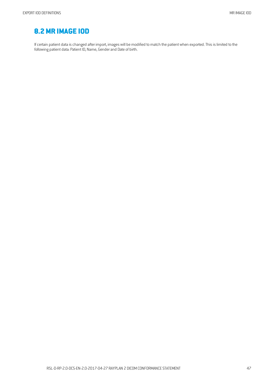## **[8.2MR](#page-2-4) IMAGE IOD**

If certain patient data is changed after import, images will be modified to match the patient when exported. This is limited to the following patient data: Patient ID, Name, Genderand Date of birth.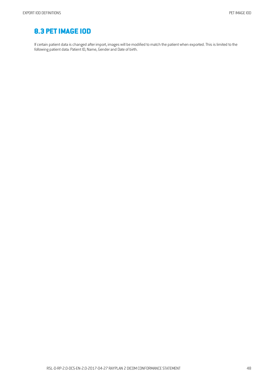# **8.3 [PETIMAGE](#page-2-5) IOD**

If certain patient data is changed after import, images will be modified to match the patient when exported. This is limited to the following patient data: Patient ID, Name, Genderand Date of birth.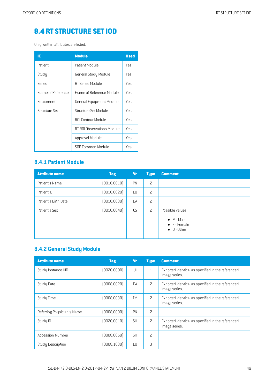# **8.4 RT [STRUCTURE](#page-2-6) SETIOD**

Only written attributes are listed.

| IE                 | <b>Module</b>             | <b>Used</b> |
|--------------------|---------------------------|-------------|
| Patient            | Patient Module            | Yes         |
| Study              | General Study Module      | Yes         |
| Series             | RT Series Module          | Yes         |
| Frame of Reference | Frame of Reference Module | Yes         |
| Equipment          | General Equipment Module  | Yes         |
| Structure Set      | Structure Set Module      | Yes         |
|                    | <b>ROI Contour Module</b> | Yes         |
|                    | RT ROLObservations Module | Yes         |
|                    | Approval Module           | Yes         |
|                    | SOP Common Module         | Yes         |

#### **8.4.1 Patient Module**

| <b>Attribute name</b> | <b>Tag</b>   | <b>Vr</b> | <b>Type</b>    | <b>Comment</b>                                            |
|-----------------------|--------------|-----------|----------------|-----------------------------------------------------------|
| Patient's Name        | (0010, 0010) | PN        | $\overline{c}$ |                                                           |
| Patient ID            | (0010, 0020) | L0        | 2              |                                                           |
| Patient's Birth Date  | (0010, 0030) | <b>DA</b> | $\overline{c}$ |                                                           |
| Patient's Sex         | [0010, 0040] | CS        | 2              | Possible values:                                          |
|                       |              |           |                | $\bullet$ M - Male<br>• F - Female<br>$\bullet$ 0 - 0ther |

## **8.4.2 General Study Module**

| <b>Attribute name</b>      | <b>Tag</b>   | <b>Vr</b>      | <b>Type</b>    | <b>Comment</b>                                                     |
|----------------------------|--------------|----------------|----------------|--------------------------------------------------------------------|
| Study Instance UID         | [0020,0000]  | UI             | $\mathbf{1}$   | Exported identical as specified in the referenced<br>image series. |
| <b>Study Date</b>          | (0008,0020)  | DA             | $\overline{c}$ | Exported identical as specified in the referenced<br>image series. |
| Study Time                 | (0008,0030)  | <b>TM</b>      | 2              | Exported identical as specified in the referenced<br>image series. |
| Referring Physician's Name | (0008,0090)  | PN             | 2              |                                                                    |
| Study ID                   | [0020, 0010] | <b>SH</b>      | 2              | Exported identical as specified in the referenced<br>image series. |
| <b>Accession Number</b>    | (0008, 0050) | <b>SH</b>      | $\mathcal{P}$  |                                                                    |
| <b>Study Description</b>   | [0008, 1030] | L <sub>0</sub> | 3              |                                                                    |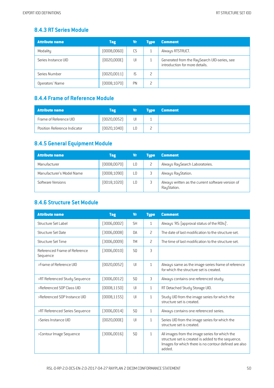#### **8.4.3 RT Series Module**

| <b>Attribute name</b> | <b>Tag</b>   | Vr | <b>Type</b> | <b>Comment</b>                                                                 |
|-----------------------|--------------|----|-------------|--------------------------------------------------------------------------------|
| Modality              | (0008, 0060) | CS |             | Always RTSTRUCT.                                                               |
| Series Instance UID   | [0020,000E]  | UI |             | Generated from the RaySearch UID-series, see<br>introduction for more details. |
| Series Number         | (0020, 0011) | IS |             |                                                                                |
| Operators' Name       | (0008, 1070) | PN |             |                                                                                |

#### **8.4.4 Frameof Reference Module**

| <b>Attribute name</b>        | <b>Tag</b>   | Vr. | <b>Example 1 Type</b> | <b>Comment</b> |
|------------------------------|--------------|-----|-----------------------|----------------|
| Frame of Reference UID       | [0020, 0052] |     |                       |                |
| Position Reference Indicator | [0020, 1040] | 0ء  |                       |                |

#### **8.4.5 General Equipment Module**

| <b>Attribute name</b>     | <b>Tag</b>   | Vr | <b>Tupe</b> | <b>Comment</b>                                                   |
|---------------------------|--------------|----|-------------|------------------------------------------------------------------|
| Manufacturer              | (0008, 0070) | L0 |             | Always RaySearch Laboratories.                                   |
| Manufacturer's Model Name | (0008, 1090) | L0 |             | Always RayStation.                                               |
| Software Versions         | [0018, 1020] | L0 |             | Always written as the current software version of<br>RayStation. |

## **8.4.6 Structure Set Module**

| <b>Attribute name</b>                     | <b>Tag</b>   | <b>Vr</b>       | <b>Type</b>    | <b>Comment</b>                                                                                                                                                          |
|-------------------------------------------|--------------|-----------------|----------------|-------------------------------------------------------------------------------------------------------------------------------------------------------------------------|
| <b>Structure Set Label</b>                | (3006,0002)  | <b>SH</b>       | 1              | Always 'RS: [approval status of the ROIs]'.                                                                                                                             |
| Structure Set Date                        | [3006,0008]  | DA              | 2              | The date of last modification to the structure set.                                                                                                                     |
| <b>Structure Set Time</b>                 | (3006,0009)  | <b>TM</b>       | 2              | The time of last modification to the structure set.                                                                                                                     |
| Referenced Frame of Reference<br>Sequence | (3006, 0010) | S <sub>0</sub>  | $\overline{3}$ |                                                                                                                                                                         |
| >Frame of Reference UID                   | [0020, 0052] | U               | $\mathbf{1}$   | Always same as the image series frame of reference<br>for which the structure set is created.                                                                           |
| >RT Referenced Study Sequence             | [3006, 0012] | S <sub>0</sub>  | 3              | Always contains one referenced study.                                                                                                                                   |
| >Referenced SOP Class UID                 | [0008, 1150] | UI              | 1              | RT Detached Study Storage UID.                                                                                                                                          |
| >Referenced SOP Instance UID              | (0008, 1155) | $\mathsf{III}$  | $\mathbf{1}$   | Study UID from the image series for which the<br>structure set is created.                                                                                              |
| >RT Referenced Series Sequence            | [3006, 0014] | S <sub>0</sub>  | 1              | Always contains one referenced series.                                                                                                                                  |
| >Series Instance UID                      | [0020,000E]  | U               | $\mathbf{1}$   | Series UID from the image series for which the<br>structure set is created.                                                                                             |
| >Contour Image Sequence                   | [3006, 0016] | SO <sub>2</sub> | $\mathbf{1}$   | All images from the image series for which the<br>structure set is created is added to the sequence.<br>Images for which there is no contour defined are also<br>added. |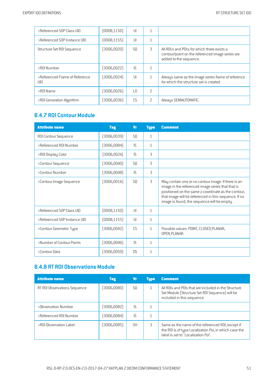| >Referenced SOP Class UID             | (0008, 1150) | UI             | ┸            |                                                                                                                            |
|---------------------------------------|--------------|----------------|--------------|----------------------------------------------------------------------------------------------------------------------------|
| >Referenced SOP Instance UID          | [0008, 1155] | UI             | 1            |                                                                                                                            |
| Structure Set ROI Sequence            | [3006, 0020] | S <sub>0</sub> | 3            | All ROI:s and POI:s for which there exists a<br>contour/point on the referenced image series are<br>added to the sequence. |
| >ROI Number                           | (3006, 0022) | IS.            | $\mathbf{1}$ |                                                                                                                            |
| >Referenced Frame of Reference<br>UID | (3006, 0024) | UI             | $\mathbf{1}$ | Always same as the image series frame of reference<br>for which the structure set is created.                              |
| >ROI Name                             | (3006,0026)  | LО             | 2            |                                                                                                                            |
| >ROI Generation Algorithm             | (3006,0036)  | CS             | 2            | Always SEMIAUTOMATIC.                                                                                                      |

## **8.4.7 ROI Contour Module**

| <b>Attribute name</b>        | <b>Tag</b>   | <b>Vr</b>      | <b>Type</b>  | <b>Comment</b>                                                                                                                                                                                                                                                          |
|------------------------------|--------------|----------------|--------------|-------------------------------------------------------------------------------------------------------------------------------------------------------------------------------------------------------------------------------------------------------------------------|
| ROI Contour Sequence         | (3006, 0039) | S <sub>0</sub> | $\mathbf{1}$ |                                                                                                                                                                                                                                                                         |
| >Referenced ROI Number       | (3006,0084)  | IS.            | $\mathbf{1}$ |                                                                                                                                                                                                                                                                         |
| >ROI Display Color           | [3006,002A]  | IS.            | 3            |                                                                                                                                                                                                                                                                         |
| >Contour Sequence            | (3006, 0040) | S <sub>0</sub> | 3            |                                                                                                                                                                                                                                                                         |
| >Contour Number              | (3006, 0048) | IS.            | 3            |                                                                                                                                                                                                                                                                         |
| >Contour Image Sequence      | [3006, 0016] | S <sub>0</sub> | 3            | May contain one or no contour image. If there is an<br>image in the referenced image series that that is<br>positioned on the same z-coordinate as the contour,<br>that image will be referenced in this sequence. If no<br>image is found, the sequence will be empty. |
| >Referenced SOP Class UID    | (0008, 1150) | $\mathsf{U}$   | $\mathbf{1}$ |                                                                                                                                                                                                                                                                         |
| >Referenced SOP Instance UID | [0008, 1155] | $  \cdot  $    | $\mathbf{1}$ |                                                                                                                                                                                                                                                                         |
| >Contour Geometric Type      | (3006, 0042) | CS             | $\mathbf{1}$ | Possible values: POINT, CLOSED PLANAR,<br>OPEN PLANAR.                                                                                                                                                                                                                  |
| >Number of Contour Points    | (3006,0046)  | IS.            | $\mathbf{1}$ |                                                                                                                                                                                                                                                                         |
| >Contour Data                | (3006, 0050) | <b>DS</b>      | $\mathbf{1}$ |                                                                                                                                                                                                                                                                         |

## **8.4.8 RT ROI ObservationsModule**

| <b>Attribute name</b>        | <b>Tag</b>  | Vr        | <b>Tupe</b> | <b>Comment</b>                                                                                                                                     |
|------------------------------|-------------|-----------|-------------|----------------------------------------------------------------------------------------------------------------------------------------------------|
| RT ROI Observations Sequence | (3006,0080) | S0        |             | All ROIs and POIs that are included in the Structure<br>Set Module (Structure Set ROI Sequence) will be<br>included in this sequence.              |
| >Observation Number          | (3006,0082) | IS.       |             |                                                                                                                                                    |
| >Referenced ROI Number       | (3006,0084) | ΙS        |             |                                                                                                                                                    |
| >ROI Observation Label       | (3006,0085) | <b>SH</b> | 3           | Same as the name of the referenced ROI, except if<br>the ROI is of type Localization Poi, in which case the<br>label is set to "Localization Poi". |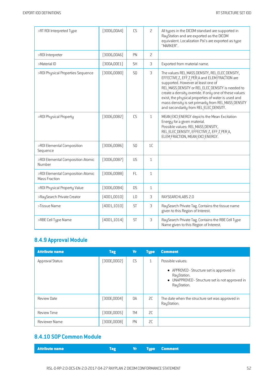| >RT ROI Interpreted Type                           | [3006,00A4]  | CS             | $\overline{c}$ | All types in the DICOM standard are supported in<br>RayStation and are exported as the DICOM<br>equivalent. Localization Poi's are exported as tupe<br>"MARKER".                                                                                                                                                                                                                                              |
|----------------------------------------------------|--------------|----------------|----------------|---------------------------------------------------------------------------------------------------------------------------------------------------------------------------------------------------------------------------------------------------------------------------------------------------------------------------------------------------------------------------------------------------------------|
| >R0I Interpreter                                   | [3006,00A6]  | PN             | $\overline{c}$ |                                                                                                                                                                                                                                                                                                                                                                                                               |
| >Material ID                                       | [300A, 00E1] | <b>SH</b>      | 3              | Exported from material name.                                                                                                                                                                                                                                                                                                                                                                                  |
| >R0I Physical Properties Sequence                  | (3006,00B0)  | SQ             | 3              | The values REL MASS DENSITY, REL ELEC DENSITY,<br>EFFECTIVE Z, EFF Z PER A and ELEM FRACTION are<br>supported. However at least one of<br>REL MASS DENSITY or REL ELEC DENSITY is needed to<br>create a density override. If only one of these values<br>exist, the physical properties of water is used and<br>mass density is set primarily from REL MASS DENSITY<br>and secondarily from REL ELEC DENSITY. |
| >ROI Physical Property                             | [3006,00B2]  | CS             | $\mathbf{1}$   | MEAN EXCI ENERGY depicts the Mean Excitation<br>Energy for a given material.<br>Possible values: REL_MASS_DENSITY,<br>REL ELEC DENSITY, EFFECTIVE Z, EFF Z PER A,<br>ELEM FRACTION, MEAN EXCI ENERGY.                                                                                                                                                                                                         |
| >ROI Elemental Composition<br>Sequence             | [3006,00B6]  | SQ             | 1 <sup>C</sup> |                                                                                                                                                                                                                                                                                                                                                                                                               |
| >ROI Elemental Composition Atomic<br>Number        | [3006,00B7]  | US             | $\mathbf{1}$   |                                                                                                                                                                                                                                                                                                                                                                                                               |
| >ROI Elemental Composition Atomic<br>Mass Fraction | [3006,00B8]  | FL.            | $\mathbf{1}$   |                                                                                                                                                                                                                                                                                                                                                                                                               |
| >R0I Physical Property Value                       | [3006, 00B4] | <b>DS</b>      | $\mathbf{1}$   |                                                                                                                                                                                                                                                                                                                                                                                                               |
| >RaySearch Private Creator                         | (4001, 0010) | L <sub>0</sub> | 3              | RAYSEARCHLABS 2.0                                                                                                                                                                                                                                                                                                                                                                                             |
| >Tissue Name                                       | [4001, 1010] | ST             | 3              | RaySearch Private Tag. Contains the tissue name<br>given to this Region of Interest.                                                                                                                                                                                                                                                                                                                          |
| >RBE Cell Type Name                                | [4001, 1014] | ST             | 3              | RaySearch Private Tag. Contains the RBE Cell Type<br>Name given to this Region of Interest.                                                                                                                                                                                                                                                                                                                   |

## **8.4.9 Approval Module**

| <b>Attribute name</b> | <b>Tag</b>   | <b>Vr</b> | <b>Type</b>  | <b>Comment</b>                                                                                                             |
|-----------------------|--------------|-----------|--------------|----------------------------------------------------------------------------------------------------------------------------|
| Approval Status       | [300E,0002]  | CS        | $\mathbf{1}$ | Possible values:                                                                                                           |
|                       |              |           |              | • APPROVED - Structure set is approved in<br>RayStation.<br>• UNAPPROVED - Structure set is not approved in<br>RayStation. |
| <b>Review Date</b>    | [300E, 0004] | <b>DA</b> | SC.          | The date when the structure set was approved in<br>RayStation.                                                             |
| <b>Review Time</b>    | (300E, 0005) | <b>TM</b> | SC           |                                                                                                                            |
| Reviewer Name         | (300E,0008)  | PN        | 2C           |                                                                                                                            |

## **8.4.10 SOP Common Module**

| <b>Example 19 Service Comment 19 Service Comment</b> | Tag |
|------------------------------------------------------|-----|
|------------------------------------------------------|-----|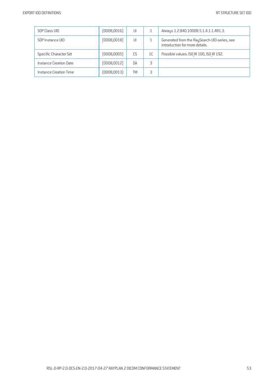| SOP Class UID          | (0008, 0016) | UI        |                | Always 1.2.840.10008.5.1.4.1.1.481.3.                                          |
|------------------------|--------------|-----------|----------------|--------------------------------------------------------------------------------|
| SOP Instance UID       | (0008, 0018) | UI        |                | Generated from the RaySearch UID-series, see<br>introduction for more details. |
| Specific Character Set | (0008,0005)  | CS.       | 1 <sup>C</sup> | Possible values: ISO IR 100, ISO IR 192.                                       |
| Instance Creation Date | (0008, 0012) | <b>DA</b> | 3              |                                                                                |
| Instance Creation Time | (0008, 0013) | TΜ        | 3              |                                                                                |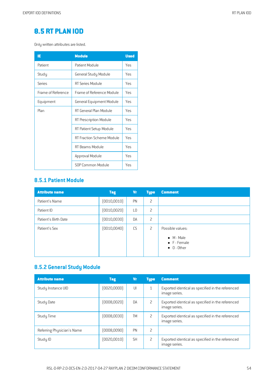# **8.5 RT [PLAN](#page-2-7) IOD**

Only written attributes are listed.

| IE                 | <b>Module</b>             | <b>Used</b> |
|--------------------|---------------------------|-------------|
| Patient            | Patient Module            | <b>Yes</b>  |
| Study              | General Study Module      | Yes         |
| Series             | RT Series Module          | Yes         |
| Frame of Reference | Frame of Reference Module | Yes         |
| Equipment          | General Equipment Module  | Yes         |
| Plan               | RT General Plan Module    | Yes         |
|                    | RT Prescription Module    | Yes         |
|                    | RT Patient Setup Module   | Yes         |
|                    | RT Fraction Scheme Module | Yes         |
|                    | RT Beams Module           | Yes         |
|                    | Approval Module           | Yes         |
|                    | SOP Common Module         | Yes         |

## **8.5.1 Patient Module**

| <b>Attribute name</b> | <b>Tag</b>   | Vr             | <b>Type</b>    | <b>Comment</b>                                                                |
|-----------------------|--------------|----------------|----------------|-------------------------------------------------------------------------------|
| Patient's Name        | (0010, 0010) | PN             | 2              |                                                                               |
| Patient ID            | (0010, 0020) | L <sub>0</sub> | 2              |                                                                               |
| Patient's Birth Date  | (0010, 0030) | DA             | 2              |                                                                               |
| Patient's Sex         | (0010, 0040) | CS             | $\overline{c}$ | Possible values:<br>$\bullet$ M - Male<br>• F - Female<br>$\bullet$ 0 - Other |

# **8.5.2 General Study Module**

| <b>Attribute name</b>      | <b>Tag</b>   | Vr        | <b>Type</b> | <b>Comment</b>                                                     |
|----------------------------|--------------|-----------|-------------|--------------------------------------------------------------------|
| Study Instance UID         | [0020,0000]  | U         | 1           | Exported identical as specified in the referenced<br>image series. |
| Study Date                 | (0008, 0020) | DA        | 2           | Exported identical as specified in the referenced<br>image series. |
| Study Time                 | (0008, 0030) | TM        | 2           | Exported identical as specified in the referenced<br>image series. |
| Referring Physician's Name | (0008,0090)  | PN        | 2           |                                                                    |
| Study ID                   | (0020, 0010) | <b>SH</b> | 2           | Exported identical as specified in the referenced<br>image series. |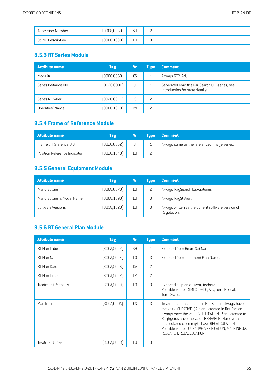| <b>Accession Number</b> | (0008, 0050) | <b>SH</b> | -      |  |
|-------------------------|--------------|-----------|--------|--|
| Study Description       | (0008, 1030) | ∟ບ        | ∽<br>÷ |  |

#### **8.5.3 RT SeriesModule**

| <b>Attribute name</b> | <b>Tag</b>   | Vr | <b>Tupe</b>   | <b>Comment</b>                                                                 |
|-----------------------|--------------|----|---------------|--------------------------------------------------------------------------------|
| Modality              | (0008, 0060) | CS |               | Always RTPLAN.                                                                 |
| Series Instance UID   | [0020,000E]  | UI |               | Generated from the RaySearch UID-series, see<br>introduction for more details. |
| Series Number         | [0020, 0011] | IS | 2             |                                                                                |
| Operators' Name       | (0008, 1070) | PN | $\mathcal{P}$ |                                                                                |

#### **8.5.4 Frameof Reference Module**

| <b>Attribute name</b>        | Tag          | Vr. | <b>Tupe</b> | <b>Comment</b>                              |
|------------------------------|--------------|-----|-------------|---------------------------------------------|
| Frame of Reference UID       | [0020, 0052] | UI  |             | Always same as the referenced image series. |
| Position Reference Indicator | [0020, 1040] |     |             |                                             |

#### **8.5.5 General Equipment Module**

| <b>Attribute name</b>     | <b>Tag</b>   | Vr | <b>Tupe</b> | <b>Comment</b>                                                   |
|---------------------------|--------------|----|-------------|------------------------------------------------------------------|
| Manufacturer              | (0008, 0070) | L0 |             | Always RaySearch Laboratories.                                   |
| Manufacturer's Model Name | (0008, 1090) | L0 |             | Always RayStation.                                               |
| Software Versions         | [0018, 1020] | L0 |             | Always written as the current software version of<br>RayStation. |

#### **8.5.6 RT General PlanModule**

| <b>Attribute name</b>      | <b>Tag</b>  | <b>Vr</b>       | <b>Type</b>              | <b>Comment</b>                                                                                                                                                                                                                                                                                                                                      |
|----------------------------|-------------|-----------------|--------------------------|-----------------------------------------------------------------------------------------------------------------------------------------------------------------------------------------------------------------------------------------------------------------------------------------------------------------------------------------------------|
| RT Plan Label              | [300A,0002] | <b>SH</b>       | 1                        | Exported from Beam Set Name.                                                                                                                                                                                                                                                                                                                        |
| RT Plan Name               | [300A,0003] | $\overline{10}$ | 3                        | Exported from Treatment Plan Name.                                                                                                                                                                                                                                                                                                                  |
| RT Plan Date               | (300A,0006) | DA              | 2                        |                                                                                                                                                                                                                                                                                                                                                     |
| RT Plan Time               | [300A,0007] | <b>TM</b>       | $\overline{\phantom{0}}$ |                                                                                                                                                                                                                                                                                                                                                     |
| <b>Treatment Protocols</b> | (300A,0009) | $\overline{10}$ | 3                        | Exported as plan delivery technique.<br>Possible values: SMLC, DMLC, Arc, TomoHelical,<br>TomoStatic.                                                                                                                                                                                                                                               |
| Plan Intent                | [300A,000A] | CS              | 3                        | Treatment plans created in RayStation always have<br>the value CURATIVE. QA plans created in RayStation<br>always have the value VERIFICATION. Plans created in<br>Rayhysics have the value RESEARCH. Plans with<br>recalculated dose might have RECALCULATION.<br>Possible values: CURATIVE, VERIFICATION, MACHINE QA,<br>RESEARCH, RECALCULATION. |
| <b>Treatment Sites</b>     | (300A,000B) | LО              | 3                        |                                                                                                                                                                                                                                                                                                                                                     |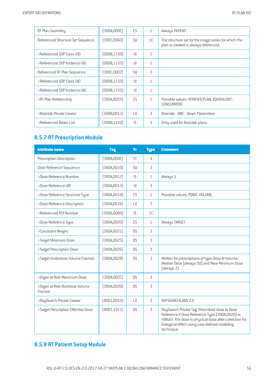| RT Plan Geometry                  | (300A,000C)  | CS              | $\mathbf{1}$ | Always PATIENT.                                                                               |
|-----------------------------------|--------------|-----------------|--------------|-----------------------------------------------------------------------------------------------|
| Referenced Structure Set Sequence | (300C,0060)  | S <sub>0</sub>  | 1C           | The structure set for the image series for which the<br>plan is created is always referenced. |
| >Referenced SOP Class UID         | [0008, 1150] | $\cup$          | $\mathbf{1}$ |                                                                                               |
| >Referenced SOP Instance UID      | [0008, 1155] | $\cup$          | $\mathbf{1}$ |                                                                                               |
| Referenced RT Plan Sequence       | (300C,0002)  | S <sub>0</sub>  | 3            |                                                                                               |
| >Referenced SOP Class UID         | [0008, 1150] | $\cup$          | $\mathbf{1}$ |                                                                                               |
| >Referenced SOP Instance UID      | (0008, 1155) | $\cup$          | $\mathbf{1}$ |                                                                                               |
| >RT Plan Relationship             | [300A, 0055] | CS              | $\mathbf{1}$ | Possible values: VERIFIED PLAN, EQUIVALENT,<br>CONCURRENT.                                    |
| >Brainlab Private Creator         | (300B, 0012) | $\overline{10}$ | 3            | Brainlab - ONC - Beam Parameters                                                              |
| >Referenced Beam List             | (300B,1210)  | IS.             | 3            | Only used for Brainlab plans.                                                                 |

## **8.5.7 RT Prescription Module**

| <b>Attribute name</b>                      | <b>Tag</b>   | <b>Vr</b>      | <b>Type</b>  | <b>Comment</b>                                                                                                                                                                                                             |
|--------------------------------------------|--------------|----------------|--------------|----------------------------------------------------------------------------------------------------------------------------------------------------------------------------------------------------------------------------|
| Prescription Description                   | [300A,000E]  | <b>ST</b>      | 3            |                                                                                                                                                                                                                            |
| Dose Reference Sequence                    | (300A, 0010) | SQ             | 3            |                                                                                                                                                                                                                            |
| >Dose Reference Number                     | [300A, 0012] | $\mathsf{IS}$  | $\mathbf{1}$ | Always 1.                                                                                                                                                                                                                  |
| >Dose Reference UID                        | [300A, 0013] | U              | 3            |                                                                                                                                                                                                                            |
| >Dose Reference Structure Type             | [300A, 0014] | CS             | $\mathbf{1}$ | Possible values: POINT, VOLUME.                                                                                                                                                                                            |
| >Dose Reference Description                | [300A, 0016] | L <sub>0</sub> | 3            |                                                                                                                                                                                                                            |
| >Referenced R0I Number                     | [3006,0084]  | IS             | 1C           |                                                                                                                                                                                                                            |
| >Dose Reference Type                       | (300A, 0020) | <b>CS</b>      | $\mathbf{1}$ | Always TARGET.                                                                                                                                                                                                             |
| >Constraint Weight                         | [300A, 0021] | <b>DS</b>      | 3            |                                                                                                                                                                                                                            |
| >Target Minimum Dose                       | [300A, 0025] | <b>DS</b>      | 3            |                                                                                                                                                                                                                            |
| >Target Prescription Dose                  | [300A, 0026] | <b>DS</b>      | 3            |                                                                                                                                                                                                                            |
| >Target Underdose Volume Fraction          | [300A, 0028] | <b>DS</b>      | 3            | Written for prescriptions of type Dose At Volume,<br>Median Dose (always 50) and Near Minimum Dose<br>(always 2).                                                                                                          |
| >Organ at Risk Maximum Dose                | [300A, 002C] | <b>DS</b>      | 3            |                                                                                                                                                                                                                            |
| >Organ at Risk Overdose Volume<br>Fraction | [300A, 002D] | <b>DS</b>      | 3            |                                                                                                                                                                                                                            |
| >RaySearch Private Creator                 | (4001, 0010) | L <sub>0</sub> | 3            | RAYSEARCHLABS 2.0                                                                                                                                                                                                          |
| >Target Prescription Effective Dose        | (4001, 1011) | <b>DS</b>      | 3            | RaySearch Private Tag. Prescribed dose to Dose<br>Reference if Dose Reference Type (300A,0020) is<br>TARGET. The dose is physical dose after correction for<br>biological effect using user-defined modeling<br>technique. |

## **8.5.8 RT Patient Setup Module**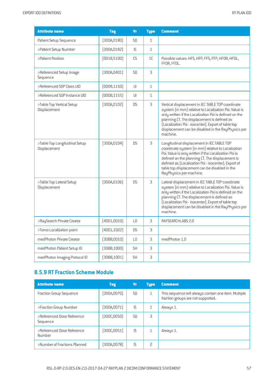| <b>Attribute name</b>                         | <b>Tag</b>   | <b>Vr</b>      | <b>Type</b>    | <b>Comment</b>                                                                                                                                                                                                                                                                                                                                   |
|-----------------------------------------------|--------------|----------------|----------------|--------------------------------------------------------------------------------------------------------------------------------------------------------------------------------------------------------------------------------------------------------------------------------------------------------------------------------------------------|
| Patient Setup Sequence                        | [300A, 0180] | SQ             | $\mathbf{1}$   |                                                                                                                                                                                                                                                                                                                                                  |
| >Patient Setup Number                         | [300A, 0182] | IS             | $\mathbf{1}$   |                                                                                                                                                                                                                                                                                                                                                  |
| >Patient Position                             | (0018, 5100) | <b>CS</b>      | 1 <sup>C</sup> | Possible values: HFS, HFP, FFS, FFP, HFDR, HFDL,<br>FFDR, FFDL.                                                                                                                                                                                                                                                                                  |
| >Referenced Setup Image<br>Sequence           | [300A, 0401] | SQ             | 3              |                                                                                                                                                                                                                                                                                                                                                  |
| >Referenced SOP Class UID                     | (0008, 1150) | UI             | $\mathbf{1}$   |                                                                                                                                                                                                                                                                                                                                                  |
| >Referenced SOP Instance UID                  | [0008, 1155] | UI             | $\mathbf{1}$   |                                                                                                                                                                                                                                                                                                                                                  |
| >Table Top Vertical Setup<br>Displacement     | [300A, 01D2] | <b>DS</b>      | 3              | Vertical displacement in IEC TABLE TOP coordinate<br>system (in mm) relative to Localization Poi. Value is<br>only written if the Localization Poi is defined on the<br>planning CT. The displacement is defined as<br>(Localization Poi - isocenter). Export of table top<br>displacement can be disabled in the RayPhysics per<br>machine.     |
| >Table Top Longitudinal Setup<br>Displacement | [300A, 01D4] | <b>DS</b>      | 3              | Longitudinal displacement in IEC TABLE TOP<br>coordinate system (in mm) relative to Localization<br>Poi. Value is only written if the Localization Poi is<br>defined on the planning CT. The displacement is<br>defined as (Localization Poi - isocenter). Export of<br>table top displacement can be disabled in the<br>RayPhysics per machine. |
| >Table Top Lateral Setup<br>Displacement      | [300A, 01D6] | <b>DS</b>      | 3              | Lateral displacement in IEC TABLE TOP coordinate<br>system (in mm) relative to Localization Poi. Value is<br>only written if the Localization Poi is defined on the<br>planning CT. The displacement is defined as<br>(Localization Poi - isocenter). Export of table top<br>displacement can be disabled in the RayPhysics per<br>machine.      |
| >RaySearch Private Creator                    | (4001, 0010) | L <sub>0</sub> | 3              | RAYSEARCHLABS 2.0                                                                                                                                                                                                                                                                                                                                |
| >Tomo Localization point                      | (4001, 1022) | <b>DS</b>      | 3              |                                                                                                                                                                                                                                                                                                                                                  |
| medPhoton Private Creator                     | (30BB,0010)  | L <sub>0</sub> | 3              | medPhoton 1.0                                                                                                                                                                                                                                                                                                                                    |
| medPhoton Patient Setup ID                    | (30BB, 1000) | <b>SH</b>      | 3              |                                                                                                                                                                                                                                                                                                                                                  |
| medPhoton Imaging Protocol ID                 | (30BB, 1001) | <b>SH</b>      | 3              |                                                                                                                                                                                                                                                                                                                                                  |

# **8.5.9 RTFraction Scheme Module**

| <b>Attribute name</b>                  | <b>Tag</b>   | Vr | <b>Type</b>  | <b>Comment</b>                                                                             |
|----------------------------------------|--------------|----|--------------|--------------------------------------------------------------------------------------------|
| <b>Fraction Group Sequence</b>         | (300A, 0070) | S0 | $\mathbf{1}$ | This sequence will always contain one item. Multiple<br>fraction groups are not supported. |
| >Fraction Group Number                 | (300A,0071)  | IS | 1            | Always 1.                                                                                  |
| >Referenced Dose Reference<br>Sequence | (300C,0050)  | S0 | 3            |                                                                                            |
| >Referenced Dose Reference<br>Number   | [300C, 0051] | IS | $\mathbf{1}$ | Always 1.                                                                                  |
| >Number of Fractions Planned           | [300A, 0078] | IS | 2            |                                                                                            |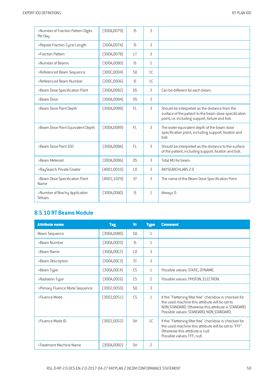| >Number of Fraction Pattern Digits<br>Per Day | [300A, 0079] | IS             | 3              |                                                                                                                                                             |
|-----------------------------------------------|--------------|----------------|----------------|-------------------------------------------------------------------------------------------------------------------------------------------------------------|
| >Repeat Fraction Cycle Length                 | [300A, 007A] | IS.            | 3              |                                                                                                                                                             |
| >Fraction Pattern                             | [300A,007B]  | LT             | 3              |                                                                                                                                                             |
| >Number of Beams                              | (300A,0080)  | IS.            | $\mathbf{1}$   |                                                                                                                                                             |
| >Referenced Beam Sequence                     | [300C,0004]  | S <sub>0</sub> | 1 <sup>C</sup> |                                                                                                                                                             |
| >Referenced Beam Number                       | [300C,0006]  | IS.            | 1 <sup>C</sup> |                                                                                                                                                             |
| >Beam Dose Specification Point                | [300A,0082]  | <b>DS</b>      | 3              | Can be different for each beam.                                                                                                                             |
| >Beam Dose                                    | [300A,0084]  | <b>DS</b>      | 3              |                                                                                                                                                             |
| >Beam Dose Point Depth                        | [300A,0088]  | <b>FL</b>      | 3              | Should be interpreted as the distance from the<br>surface of the patient to the beam dose specification<br>point, i.e. including support, fixture and boli. |
| >Beam Dose Point Equivalent Depth             | [300A,0089]  | <b>FL</b>      | 3              | The water equivalent depth of the beam dose<br>specification point, including support, fixation and<br>holi                                                 |
| >Beam Dose Point SSD                          | [300A,008A]  | FL.            | 3              | Should be interpreted as the distance to the surface<br>of the patient, including support, fixation and boli.                                               |
| >Beam Meterset                                | [300A,0086]  | D <sub>S</sub> | 3              | Total MU for beam.                                                                                                                                          |
| >RaySearch Private Creator                    | (4001, 0010) | L <sub>0</sub> | 3              | RAYSEARCHLABS 2.0                                                                                                                                           |
| >Beam Dose Specification Point<br><b>Name</b> | (4001, 1029) | <b>ST</b>      | 3              | The name of the Beam Dose Specification Point.                                                                                                              |
| >Number of Brachy Application<br>Setups       | (300A,00A0)  | IS             | $\mathbf{1}$   | Always 0.                                                                                                                                                   |

## **8.5.10 RT BeamsModule**

| <b>Attribute name</b>          | <b>Tag</b>   | <b>Vr</b>      | <b>Type</b>    | <b>Comment</b>                                                                                                                                                                                              |
|--------------------------------|--------------|----------------|----------------|-------------------------------------------------------------------------------------------------------------------------------------------------------------------------------------------------------------|
| Beam Sequence                  | [300A,00B0]  | SQ             | $\mathbf{1}$   |                                                                                                                                                                                                             |
| >Beam Number                   | [300A, 00C0] | IS.            | $\mathbf{1}$   |                                                                                                                                                                                                             |
| >Beam Name                     | [300A, 00C2] | L <sub>0</sub> | 3              |                                                                                                                                                                                                             |
| >Beam Description              | [300A, 00C3] | <b>ST</b>      | 3              |                                                                                                                                                                                                             |
| >Beam Type                     | [300A, 00C4] | CS             | $\mathbf{1}$   | Possible values: STATIC, DYNAMIC.                                                                                                                                                                           |
| >Radiation Type                | [300A, 00C6] | CS             | $\overline{c}$ | Possible values: PHOTON, ELECTRON.                                                                                                                                                                          |
| >Primary Fluence Mode Sequence | (3002,0050)  | SQ             | 3              |                                                                                                                                                                                                             |
| >Fluence Mode                  | (3002,0051)  | CS             | $\mathbf{1}$   | If the "Flattening filter free" checkbox is checked for<br>the used machine this attribute will be set to<br>NON STANDARD. Otherwise this attribute is STANDARD<br>Possible values: STANDARD, NON STANDARD. |
| >Fluence Mode ID               | (3002,0052)  | <b>SH</b>      | 1 <sup>C</sup> | If the "Flattening filter free" checkbox is checked for<br>the used machine this attribute will be set to "FFF".<br>Otherwise this attribute is null.<br>Possible values: FFF, null.                        |
| >Treatment Machine Name        | (300A,00B2)  | <b>SH</b>      | 2              |                                                                                                                                                                                                             |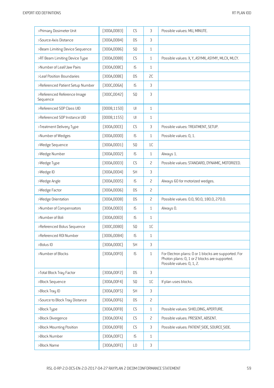| >Primary Dosimeter Unit                 | [300A,00B3]  | CS                     | 3              | Possible values: MU, MINUTE.                                                                                                       |
|-----------------------------------------|--------------|------------------------|----------------|------------------------------------------------------------------------------------------------------------------------------------|
| >Source-Axis Distance                   | (300A, 00B4) | <b>DS</b>              | 3              |                                                                                                                                    |
| >Beam Limiting Device Sequence          | (300A,00B6)  | SQ                     | $\mathbf{1}$   |                                                                                                                                    |
| >RT Beam Limiting Device Type           | (300A,00B8)  | CS                     | $\mathbf{1}$   | Possible values: X, Y, ASYMX, ASYMY, MLCX, MLCY.                                                                                   |
| >Number of Leaf/Jaw Pairs               | [300A,00BC]  | IS                     | $\mathbf{1}$   |                                                                                                                                    |
| >Leaf Position Boundaries               | [300A,00BE]  | <b>DS</b>              | 2C             |                                                                                                                                    |
| >Referenced Patient Setup Number        | [300C,006A]  | IS                     | 3              |                                                                                                                                    |
| >Referenced Reference Image<br>Sequence | [300C, 0042] | SQ                     | 3              |                                                                                                                                    |
| >Referenced SOP Class UID               | (0008, 1150) | U                      | $\mathbf{1}$   |                                                                                                                                    |
| >Referenced SOP Instance UID            | (0008, 1155) | $\mathsf{U}\mathsf{I}$ | $\mathbf{1}$   |                                                                                                                                    |
| >Treatment Delivery Type                | [300A,00CE]  | CS                     | 3              | Possible values: TREATMENT, SETUP.                                                                                                 |
| >Number of Wedges                       | (300A,00D0)  | IS                     | $\mathbf{1}$   | Possible values: 0, 1.                                                                                                             |
| >Wedge Sequence                         | (300A,00D1)  | SQ                     | 1C             |                                                                                                                                    |
| >Wedge Number                           | [300A,00D2]  | IS                     | $\mathbf{1}$   | Always 1.                                                                                                                          |
| >Wedge Type                             | (300A,00D3)  | CS                     | 2              | Possible values: STANDARD, DYNAMIC, MOTORIZED.                                                                                     |
| >Wedge ID                               | [300A,00D4]  | <b>SH</b>              | 3              |                                                                                                                                    |
| >Wedge Angle                            | (300A, 00D5) | IS                     | $\overline{c}$ | Always 60 for motorized wedges.                                                                                                    |
| >Wedge Factor                           | (300A,00D6)  | <b>DS</b>              | $\overline{c}$ |                                                                                                                                    |
| >Wedge Orientation                      | [300A,00D8]  | <b>DS</b>              | 2              | Possible values: 0.0, 90.0, 180.0, 270.0.                                                                                          |
| >Number of Compensators                 | (300A, 00E0) | IS                     | $\mathbf{1}$   | Always 0.                                                                                                                          |
| >Number of Boli                         | (300A, 00ED) | IS                     | $\mathbf{1}$   |                                                                                                                                    |
| >Referenced Bolus Sequence              | [300C,00B0]  | SQ                     | 1 <sup>C</sup> |                                                                                                                                    |
| >Referenced R0I Number                  | [3006,0084]  | IS                     | $\mathbf{1}$   |                                                                                                                                    |
| >Bolus ID                               | (300A,00DC)  | <b>SH</b>              | 3              |                                                                                                                                    |
| >Number of Blocks                       | (300A, 00F0) | IS                     | $\mathbf{1}$   | For Electron plans: 0 or 1 blocks are supported. For<br>Photon plans: 0, 1 or 2 blocks are supported.<br>Possible values: 0, 1, 2. |
| >Total Block Tray Factor                | [300A, 00F2] | <b>DS</b>              | 3              |                                                                                                                                    |
| >Block Sequence                         | [300A, 00F4] | SQ.                    | 1 <sup>C</sup> | If plan uses blocks.                                                                                                               |
| >Block Tray ID                          | [300A, 00F5] | <b>SH</b>              | 3              |                                                                                                                                    |
| >Source to Block Tray Distance          | [300A, 00F6] | DS                     | $\overline{c}$ |                                                                                                                                    |
| >Block Type                             | [300A, 00F8] | CS                     | $\mathbf{1}$   | Possible values: SHIELDING, APERTURE.                                                                                              |
| >Block Divergence                       | [300A,00FA]  | ${\sf CS}$             | 2              | Possible values: PRESENT, ABSENT.                                                                                                  |
| >Block Mounting Position                | [300A,00FB]  | CS                     | 3              | Possible values: PATIENT SIDE, SOURCE SIDE.                                                                                        |
| >Block Number                           | [300A,00FC]  | IS                     | $\mathbf{1}$   |                                                                                                                                    |
| >Block Name                             | [300A,00FE]  | LO                     | $\mathsf 3$    |                                                                                                                                    |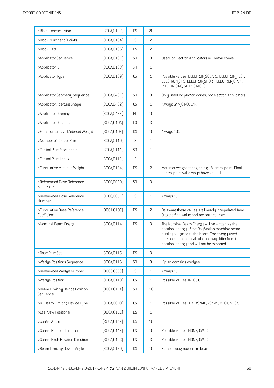| >Block Transmission                        | [300A, 0102] | <b>DS</b>      | 2C             |                                                                                                                                                                                                                                                     |
|--------------------------------------------|--------------|----------------|----------------|-----------------------------------------------------------------------------------------------------------------------------------------------------------------------------------------------------------------------------------------------------|
| >Block Number of Points                    | [300A, 0104] | IS             | 2              |                                                                                                                                                                                                                                                     |
| >Block Data                                | [300A, 0106] | <b>DS</b>      | 2              |                                                                                                                                                                                                                                                     |
| >Applicator Sequence                       | [300A, 0107] | SQ             | 3              | Used for Electron applicators or Photon cones.                                                                                                                                                                                                      |
| >Applicator ID                             | [300A, 0108] | <b>SH</b>      | $\mathbf{1}$   |                                                                                                                                                                                                                                                     |
| >Applicator Type                           | [300A, 0109] | CS             | $\mathbf{1}$   | Possible values: ELECTRON SQUARE, ELECTRON RECT,<br>ELECTRON CIRC, ELECTRON SHORT, ELECTRON OPEN,<br>PHOTON CIRC, STEREOTACTIC.                                                                                                                     |
| >Applicator Geometry Sequence              | [300A, 0431] | SQ             | 3              | Only used for photon cones, not electron applicators.                                                                                                                                                                                               |
| >Applicator Aperture Shape                 | [300A, 0432] | CS             | $\mathbf{1}$   | Always SYM CIRCULAR.                                                                                                                                                                                                                                |
| >Applicator Opening                        | [300A, 0433] | <b>FL</b>      | 1C             |                                                                                                                                                                                                                                                     |
| >Applicator Description                    | [300A, 010A] | L <sub>0</sub> | 3              |                                                                                                                                                                                                                                                     |
| >Final Cumulative Meterset Weight          | [300A, 010E] | DS.            | 1C             | Always 1.0.                                                                                                                                                                                                                                         |
| >Number of Control Points                  | [300A, 0110] | IS             | $\mathbf{1}$   |                                                                                                                                                                                                                                                     |
| >Control Point Sequence                    | (300A, 0111) | SQ             | $\mathbf{1}$   |                                                                                                                                                                                                                                                     |
| >Control Point Index                       | [300A, 0112] | IS             | $\mathbf{1}$   |                                                                                                                                                                                                                                                     |
| >Cumulative Meterset Weight                | [300A, 0134] | <b>DS</b>      | 2              | Meterset weight at beginning of control point. Final<br>control point will always have value 1.                                                                                                                                                     |
| >Referenced Dose Reference<br>Sequence     | [300C, 0050] | SQ             | 3              |                                                                                                                                                                                                                                                     |
| >Referenced Dose Reference<br>Number       | [300C, 0051] | IS             | $\mathbf{1}$   | Always 1.                                                                                                                                                                                                                                           |
| >Cumulative Dose Reference<br>Coefficient  | [300A, 010C] | <b>DS</b>      | $\overline{c}$ | Be aware these values are linearly interpolated from<br>O to the final value and are not accurate.                                                                                                                                                  |
| >Nominal Beam Energy                       | [300A, 0114] | <b>DS</b>      | 3              | The Nominal Beam Energy will be written as the<br>nominal energy of the RayStation machine beam<br>quality assigned to the beam. The energy used<br>internally for dose calculation may differ from the<br>nominal energy and will not be exported. |
| >Dose Rate Set                             | [300A, 0115] | <b>DS</b>      | 3              |                                                                                                                                                                                                                                                     |
| >Wedge Positions Sequence                  | [300A, 0116] | SQ             | 3              | If plan contains wedges.                                                                                                                                                                                                                            |
| >Referenced Wedge Number                   | [300C, 00C0] | IS             | $\mathbf{1}$   | Always 1.                                                                                                                                                                                                                                           |
| >Wedge Position                            | (300A, 0118) | CS             | $\mathbf{1}$   | Possible values: IN, OUT.                                                                                                                                                                                                                           |
| >Beam Limiting Device Position<br>Sequence | [300A, 011A] | SQ             | 1C             |                                                                                                                                                                                                                                                     |
| >RT Beam Limiting Device Type              | [300A,00B8]  | CS             | $\mathbf{1}$   | Possible values: X, Y, ASYMX, ASYMY, MLCX, MLCY.                                                                                                                                                                                                    |
| >Leaf/Jaw Positions                        | [300A, 011C] | <b>DS</b>      | $\mathbf{1}$   |                                                                                                                                                                                                                                                     |
| >Gantry Angle                              | [300A, 011E] | <b>DS</b>      | 1C             |                                                                                                                                                                                                                                                     |
| >Gantry Rotation Direction                 | [300A, 011F] | CS             | 1 <sup>C</sup> | Possible values: NONE, CW, CC.                                                                                                                                                                                                                      |
| >Gantry Pitch Rotation Direction           | [300A, 014C] | CS             | 3              | Possible values: NONE, CW, CC.                                                                                                                                                                                                                      |
| >Beam Limiting Device Angle                | (300A, 0120) | <b>DS</b>      | 1C             | Same throughout entire beam.                                                                                                                                                                                                                        |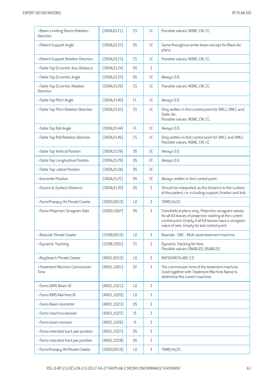| >Beam Limiting Device Rotation<br>Direction | (300A, 0121) | CS             | 1 <sup>C</sup> | Possible values: NONE, CW, CC.                                                                                                                                                                                         |
|---------------------------------------------|--------------|----------------|----------------|------------------------------------------------------------------------------------------------------------------------------------------------------------------------------------------------------------------------|
| >Patient Support Angle                      | [300A, 0122] | <b>DS</b>      | 1C             | Same throughout entire beam except for Wave Arc<br>plans.                                                                                                                                                              |
| >Patient Support Rotation Direction         | [300A, 0123] | CS             | 1C             | Possible values: NONE, CW, CC.                                                                                                                                                                                         |
| >Table Top Eccentric Axis Distance          | [300A, 0124] | <b>DS</b>      | 3              |                                                                                                                                                                                                                        |
| >Table Top Eccentric Angle                  | [300A, 0125] | <b>DS</b>      | 1C             | Always 0.0.                                                                                                                                                                                                            |
| >Table Top Eccentric Rotation<br>Direction  | [300A, 0126] | CS             | 1 <sup>C</sup> | Possible values: NONE, CW, CC.                                                                                                                                                                                         |
| >Table Top Pitch Angle                      | [300A, 0140] | FL             | $1\mathsf{C}$  | Always 0.0.                                                                                                                                                                                                            |
| >Table Top Pitch Rotation Direction         | [300A, 0142] | CS             | 1C             | Only written in first control point for SMLC, DMLC and<br>Static Arc.<br>Possible values: NONE, CW, CC.                                                                                                                |
| >Table Top Roll Angle                       | [300A, 0144] | FL             | 1C             | Always 0.0.                                                                                                                                                                                                            |
| >Table Top Roll Rotation Direction          | [300A, 0146] | CS             | 1 <sup>C</sup> | Only written in first control point for SMLC and DMLC.<br>Possible values: NONE, CW, CC.                                                                                                                               |
| >Table Top Vertical Position                | [300A, 0128] | <b>DS</b>      | 2C             | Always 0.0.                                                                                                                                                                                                            |
| >Table Top Longitudinal Position            | (300A, 0129) | <b>DS</b>      | SC             | Always 0.0.                                                                                                                                                                                                            |
| >Table Top Lateral Position                 | [300A, 012A] | <b>DS</b>      | 2C             |                                                                                                                                                                                                                        |
| >Isocenter Position                         | [300A, 012C] | <b>DS</b>      | SC             | Always written in first control point.                                                                                                                                                                                 |
| >Source to Surface Distance                 | (300A, 0130) | <b>DS</b>      | 3              | Should be interpreted as the distance to the surface<br>of the patient, i.e. including support, fixation and boli.                                                                                                     |
| >TomoTherapy HA Private Creator             | (300D, 0010) | L <sub>0</sub> | 3              | <b>TOMO HA 01</b>                                                                                                                                                                                                      |
| >Tomo Projection Sinogram Data              | [300D, 10A7] | <b>DS</b>      | 3              | TomoHelical plans only. Projection sinogram values<br>for all 64 leaves of projection starting at the current<br>control point. Empty if all 64 leaves have a sinogram<br>value of zero. Empty for last control point. |
| >Brainlab Private Creator                   | (320B, 0010) | L <sub>0</sub> | 3              | Brainlab - ONC - Multi-axial treatment machine                                                                                                                                                                         |
| >Dynamic Tracking                           | [320B, 1001] | CS             | 3              | Dynamic Tracking for Vero.<br>Possible values: ENABLED, DISABLED.                                                                                                                                                      |
| >RaySearch Private Creator                  | (4001,0010)  | L <sub>0</sub> | 3              | RAYSEARCHLABS 2.0                                                                                                                                                                                                      |
| >Treatment Machine Commission<br>Time       | (4001, 1001) | DT             | 3              | The commission time of the treatment machine.<br>Used together with Treatment Machine Name to<br>determine the correct machine.                                                                                        |
| >Tomo IDMS Beam ID                          | (4001, 1021) | LO             | 3              |                                                                                                                                                                                                                        |
| >Tomo IDMS Machine ID                       | (4001, 1020) | L <sub>0</sub> | 3              |                                                                                                                                                                                                                        |
| >Tomo Beam Isocenter                        | [4001, 1023] | <b>DS</b>      | 3              |                                                                                                                                                                                                                        |
| >Tomo machine revision                      | [4001, 1025] | IS             | 3              |                                                                                                                                                                                                                        |
| >Tomo beam revision                         | [4001, 1026] | IS.            | 3              |                                                                                                                                                                                                                        |
| >Tomo intended back jaw position            | [4001, 1027] | <b>DS</b>      | 3              |                                                                                                                                                                                                                        |
| >Tomo intended front jaw position           | (4001, 1028) | <b>DS</b>      | 3              |                                                                                                                                                                                                                        |
| >TomoTherapy HA Private Creator             | (300D, 0010) | L <sub>0</sub> | 3              | <b>TOMO HA 01</b>                                                                                                                                                                                                      |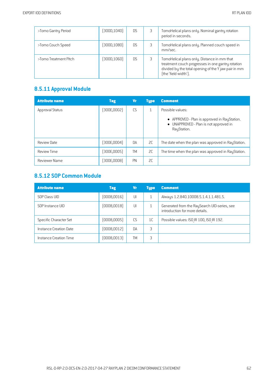| >Tomo Gantry Period   | (300D, 1040) | D.S       | TomoHelical plans only. Nominal gantry rotation<br>period in seconds.                                                                                                            |
|-----------------------|--------------|-----------|----------------------------------------------------------------------------------------------------------------------------------------------------------------------------------|
| >Tomo Couch Speed     | (300D, 1080) | <b>DS</b> | TomoHelical plans only. Planned couch speed in<br>mm/sec.                                                                                                                        |
| >Tomo Treatment Pitch | (300D, 1060) | D.S       | TomoHelical plans only. Distance in mm that<br>treatment couch progresses in one gantry rotation<br>divided by the total opening of the Y jaw pair in mm<br>[the 'field width']. |

## **8.5.11 Approval Module**

| <b>Attribute name</b> | <b>Tag</b>  | <b>Vr</b> | <b>Type</b>  | <b>Comment</b>                                                                                                   |
|-----------------------|-------------|-----------|--------------|------------------------------------------------------------------------------------------------------------------|
| Approval Status       | (300E,0002) | CS        | $\mathbf{1}$ | Possible values:                                                                                                 |
|                       |             |           |              | • APPROVED - Plan is approved in RayStation.<br>UNAPPROVED - Plan is not approved in<br>$\bullet$<br>RayStation. |
| Review Date           | (300E,0004) | <b>DA</b> | SC           | The date when the plan was approved in RayStation.                                                               |
| <b>Review Time</b>    | (300E,0005) | <b>TM</b> | 2C           | The time when the plan was approved in RayStation.                                                               |
| Reviewer Name         | (300E,0008) | PN        | SC.          |                                                                                                                  |

## **8.5.12 SOP Common Module**

| <b>Attribute name</b>  | <b>Tag</b>   | IVr | <b>Type</b>    | <b>Comment</b>                                                                 |
|------------------------|--------------|-----|----------------|--------------------------------------------------------------------------------|
| SOP Class UID          | (0008, 0016) | UI  |                | Always 1.2.840.10008.5.1.4.1.1.481.5.                                          |
| SOP Instance UID       | (0008, 0018) | UI  |                | Generated from the RaySearch UID-series, see<br>introduction for more details. |
| Specific Character Set | (0008,0005)  | CS. | 1 <sup>C</sup> | Possible values: ISO IR 100, ISO IR 192.                                       |
| Instance Creation Date | (0008, 0012) | DA  | 3              |                                                                                |
| Instance Creation Time | [0008, 0013] | TΜ  | 3              |                                                                                |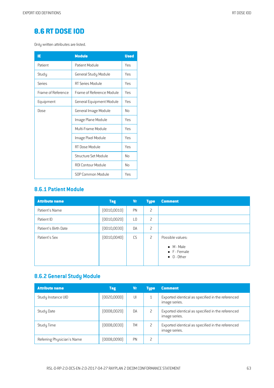# **8.6 RT [DOSE](#page-2-8) IOD**

Only written attributes are listed.

| ΙE                 | <b>Module</b>             | <b>Used</b> |
|--------------------|---------------------------|-------------|
| Patient            | Patient Module            | Yes         |
| Study              | General Study Module      | Yes         |
| Series             | RT Series Module          | <b>Yes</b>  |
| Frame of Reference | Frame of Reference Module | Yes         |
| Equipment          | General Equipment Module  | Yes         |
| Dose               | General Image Module      | Nο          |
|                    | Image Plane Module        | Yes         |
|                    | Multi-Frame Module        | Yes         |
|                    | Image Pixel Module        | Yes         |
|                    | RT Dose Module            | Yes         |
|                    | Structure Set Module      | No          |
|                    | ROI Contour Module        | Nο          |
|                    | SOP Common Module         | Yes         |

#### **8.6.1 Patient Module**

| <b>Attribute name</b> | <b>Tag</b>   | Vr             | <b>Type</b>    | <b>Comment</b>                                                 |
|-----------------------|--------------|----------------|----------------|----------------------------------------------------------------|
| Patient's Name        | (0010, 0010) | PN             | $\overline{c}$ |                                                                |
| Patient ID            | (0010, 0020) | L <sub>0</sub> | $\overline{c}$ |                                                                |
| Patient's Birth Date  | (0010, 0030) | DA             | 2              |                                                                |
| Patient's Sex         | (0010, 0040) | CS             | 2              | Possible values:<br>$\bullet$ M - Male<br>$\bullet$ F - Female |
|                       |              |                |                | $\bullet$ 0 - 0ther                                            |

# **8.6.2 General Study Module**

| <b>Attribute name</b>      | <b>Tag</b>   | Vr        | <b>Type</b> | <b>Comment</b>                                                     |
|----------------------------|--------------|-----------|-------------|--------------------------------------------------------------------|
| Study Instance UID         | [0020,0000]  | UI        |             | Exported identical as specified in the referenced<br>image series. |
| Study Date                 | (0008,0020)  | DA        | 2           | Exported identical as specified in the referenced<br>image series. |
| Study Time                 | (0008, 0030) | TM        | 2           | Exported identical as specified in the referenced<br>image series. |
| Referring Physician's Name | (0008,0090)  | <b>PN</b> | 2           |                                                                    |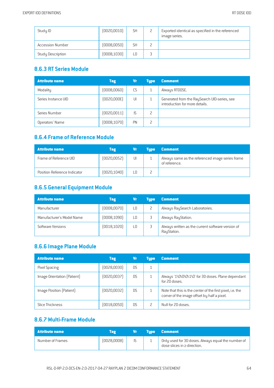| Study ID                 | [0020, 0010] | <b>SH</b> | ட | Exported identical as specified in the referenced<br>image series. |
|--------------------------|--------------|-----------|---|--------------------------------------------------------------------|
| <b>Accession Number</b>  | (0008, 0050) | <b>SH</b> |   |                                                                    |
| <b>Study Description</b> | (0008, 1030) | L0        | ◡ |                                                                    |

#### **8.6.3 RT SeriesModule**

| <b>Attribute name</b> | <b>Tag</b>   | Vr        | <b>Tupe</b> | <b>Comment</b>                                                                 |
|-----------------------|--------------|-----------|-------------|--------------------------------------------------------------------------------|
| Modality              | (0008, 0060) | CS        |             | Always RTDOSE.                                                                 |
| Series Instance UID   | [0020,000E]  | UI        |             | Generated from the RaySearch UID-series, see<br>introduction for more details. |
| Series Number         | [0020, 0011] | IS        |             |                                                                                |
| Operators' Name       | (0008, 1070) | <b>PN</b> | 2           |                                                                                |

#### **8.6.4 Frameof Reference Module**

| <b>Attribute name</b>        | Tag          | NП | <b>Tupe</b> | <b>Comment</b>                                                    |
|------------------------------|--------------|----|-------------|-------------------------------------------------------------------|
| Frame of Reference UID       | (0020, 0052) | UI |             | Always same as the referenced image series frame<br>of reference. |
| Position Reference Indicator | [0020, 1040] |    |             |                                                                   |

## **8.6.5 General Equipment Module**

| <b>Attribute name</b>     | <b>Tag</b>   | Vr | <b>Tupe</b> | <b>Comment</b>                                                   |
|---------------------------|--------------|----|-------------|------------------------------------------------------------------|
| Manufacturer              | (0008, 0070) | L0 |             | Always RaySearch Laboratories.                                   |
| Manufacturer's Model Name | (0008, 1090) | L0 |             | Always RayStation.                                               |
| Software Versions         | [0018, 1020] | ΙO |             | Always written as the current software version of<br>RayStation. |

## **8.6.6 Image Plane Module**

| <b>Attribute name</b>       | <b>Tag</b>   | Vr        | <b>Type</b> | <b>Comment</b>                                                                                           |
|-----------------------------|--------------|-----------|-------------|----------------------------------------------------------------------------------------------------------|
| Pixel Spacing               | (0028,0030)  | D.S       |             |                                                                                                          |
| Image Orientation (Patient) | (0020, 0037) | <b>DS</b> |             | Always '1\0\0\0\1\0' for 3D doses. Plane dependant<br>for 2D doses.                                      |
| Image Position (Patient)    | [0020,0032]  | <b>DS</b> |             | Note that this is the center of the first pixel, i.e. the<br>corner of the image offset by half a pixel. |
| Slice Thickness             | (0018,0050)  | DS        |             | Null for 2D doses.                                                                                       |

#### **8.6.7 Multi-Frame Module**

| Attribute name   | Tag         | Vr. | <b>Type Comment</b>                                                               |
|------------------|-------------|-----|-----------------------------------------------------------------------------------|
| Number of Frames | [0028,0008] | IS. | Only used for 3D doses. Always equal the number of<br>dose slices in z-direction. |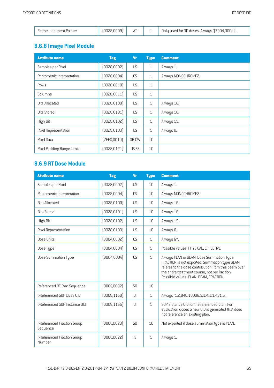| Frame Increment Pointer | [0028,0009] |  | Only used for 3D doses. Always '(3004,000c)'. |
|-------------------------|-------------|--|-----------------------------------------------|

# **8.6.8 Image PixelModule**

| <b>Attribute name</b>      | <b>Tag</b>   | <b>Vr</b>        | <b>Type</b>  | <b>Comment</b>      |
|----------------------------|--------------|------------------|--------------|---------------------|
| Samples per Pixel          | [0028,0002]  | US               | $\mathbf{1}$ | Always 1.           |
| Photometric Interpretation | (0028,0004)  | CS               | $\mathbf{1}$ | Always MONOCHROME2. |
| Rows                       | [0028, 0010] | US               | $\mathbf{1}$ |                     |
| Columns                    | [0028, 0011] | US               | $\mathbf{1}$ |                     |
| <b>Bits Allocated</b>      | (0028, 0100) | US               | $\mathbf{1}$ | Always 16.          |
| <b>Bits Stored</b>         | (0028, 0101) | US               | $\mathbf{1}$ | Always 16.          |
| High Bit                   | [0028, 0102] | US               | $\mathbf{1}$ | Always 15.          |
| Pixel Representation       | [0028, 0103] | US               | $\mathbf{1}$ | Always 0.           |
| Pixel Data                 | [7FE0,0010]  | OB OW            | 1C           |                     |
| Pixel Padding Range Limit  | (0028, 0121) | US <sub>SS</sub> | 1C           |                     |

#### **8.6.9 RT Dose Module**

| <b>Attribute name</b>                  | <b>Tag</b>   | <b>Vr</b>      | <b>Type</b>    | <b>Comment</b>                                                                                                                                                                                                                                |
|----------------------------------------|--------------|----------------|----------------|-----------------------------------------------------------------------------------------------------------------------------------------------------------------------------------------------------------------------------------------------|
| Samples per Pixel                      | [0028,0002]  | <b>US</b>      | 1 <sup>C</sup> | Always 1.                                                                                                                                                                                                                                     |
| Photometric Interpretation             | [0028,0004]  | CS             | 1C             | Always MONOCHROME2.                                                                                                                                                                                                                           |
| <b>Bits Allocated</b>                  | [0028, 0100] | <b>US</b>      | 1C             | Always 16.                                                                                                                                                                                                                                    |
| <b>Bits Stored</b>                     | [0028, 0101] | <b>US</b>      | 1C             | Always 16.                                                                                                                                                                                                                                    |
| High Bit                               | [0028, 0102] | <b>US</b>      | 1 <sup>C</sup> | Always 15.                                                                                                                                                                                                                                    |
| Pixel Representation                   | [0028, 0103] | <b>US</b>      | 1 <sup>C</sup> | Always 0.                                                                                                                                                                                                                                     |
| Dose Units                             | (3004,0002)  | CS             | $\mathbf{1}$   | Always GY.                                                                                                                                                                                                                                    |
| Dose Type                              | [3004,0004]  | <b>CS</b>      | $\mathbf{1}$   | Possible values: PHYSICAL, EFFECTIVE.                                                                                                                                                                                                         |
| Dose Summation Type                    | [3004,000A]  | CS             | $\mathbf{1}$   | Always PLAN or BEAM. Dose Summation Type<br>FRACTION is not exported. Summation type BEAM<br>referes to the dose contribution from this beam over<br>the entire treatment course, not per fraction.<br>Possible values: PLAN, BEAM, FRACTION. |
| Referenced RT Plan Sequence            | [300C,0002]  | SQ             | 1C             |                                                                                                                                                                                                                                               |
| >Referenced SOP Class UID              | [0008, 1150] | U              | $\mathbf{1}$   | Always '1.2.840.10008.5.1.4.1.1.481.5'.                                                                                                                                                                                                       |
| >Referenced SOP Instance UID           | [0008, 1155] | U              | $\mathbf{1}$   | SOP Instance UID for the referenced plan. For<br>evaluation doses a new UID is generated that does<br>not reference an existing plan.                                                                                                         |
| >Referenced Fraction Group<br>Sequence | [300C, 0020] | S <sub>0</sub> | 1 <sup>C</sup> | Not exported if dose summation type is PLAN.                                                                                                                                                                                                  |
| >Referenced Fraction Group<br>Number   | [300C, 0022] | IS             | $\mathbf{1}$   | Always 1.                                                                                                                                                                                                                                     |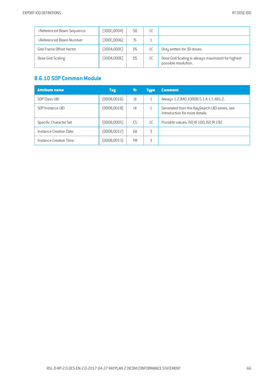| >Referenced Beam Sequence       | [300C,0004] | S0        | 1C |                                                                           |
|---------------------------------|-------------|-----------|----|---------------------------------------------------------------------------|
| >Referenced Beam Number         | (300C,0006) | IS.       |    |                                                                           |
| <b>Grid Frame Offset Vector</b> | (3004,000C) | <b>DS</b> | 1C | Only written for 3D doses.                                                |
| Dose Grid Scaling               | (3004,000E) | DS        | 1C | Dose Grid Scaling is always maximized for highest<br>possible resolution. |

#### **8.6.10 SOP Common Module**

| <b>Attribute name</b>  | <b>Tag</b>   | Vr        | <b>Tupe</b>    | <b>Comment</b>                                                                 |
|------------------------|--------------|-----------|----------------|--------------------------------------------------------------------------------|
| SOP Class UID          | [0008,0016]  | UI        |                | Always 1.2.840.10008.5.1.4.1.1.481.2.                                          |
| SOP Instance UID       | [0008, 0018] | UI        |                | Generated from the RaySearch UID-series, see<br>introduction for more details. |
| Specific Character Set | (0008,0005)  | CS.       | 1 <sup>C</sup> | Possible values: ISO IR 100, ISO IR 192.                                       |
| Instance Creation Date | [0008, 0012] | <b>DA</b> | 3              |                                                                                |
| Instance Creation Time | (0008, 0013) | TМ        | 3              |                                                                                |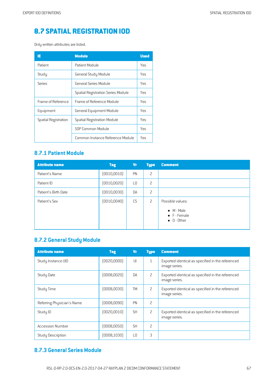# **8.7 SPATIAL [REGISTRATION](#page-2-9) IOD**

Only written attributes are listed.

| IE                   | <b>Module</b>                             | <b>Used</b> |
|----------------------|-------------------------------------------|-------------|
| Patient              | Patient Module                            | Yes         |
| Study                | General Study Module                      | Yes         |
| Series               | General Series Module                     | Yes         |
|                      | <b>Spatial Registration Series Module</b> | Yes         |
| Frame of Reference   | Frame of Reference Module                 | Yes         |
| Equipment            | General Equipment Module                  | Yes         |
| Spatial Registration | <b>Spatial Registration Module</b>        | Yes         |
|                      | SOP Common Module                         | Yes         |
|                      | Common Instance Reference Module          | Yes         |

#### **8.7.1 Patient Module**

| <b>Attribute name</b> | <b>Tag</b>   | Vr        | <b>Type</b> | <b>Comment</b>                                                                |
|-----------------------|--------------|-----------|-------------|-------------------------------------------------------------------------------|
| Patient's Name        | [0010, 0010] | PN        | 2           |                                                                               |
| Patient ID            | (0010, 0020) | L0        | 2           |                                                                               |
| Patient's Birth Date  | (0010, 0030) | <b>DA</b> | 2           |                                                                               |
| Patient's Sex         | (0010, 0040) | CS        | 2           | Possible values:<br>$\bullet$ M - Male<br>• F - Female<br>$\bullet$ 0 - Other |

## **8.7.2 General Study Module**

| <b>Attribute name</b>      | <b>Tag</b>   | <b>Vr</b> | <b>Type</b>    | <b>Comment</b>                                                     |
|----------------------------|--------------|-----------|----------------|--------------------------------------------------------------------|
| Study Instance UID         | [0020,0000]  | U         | $\mathbf{1}$   | Exported identical as specified in the referenced<br>image series. |
| <b>Study Date</b>          | [0008,0020]  | DA        | $\overline{c}$ | Exported identical as specified in the referenced<br>image series. |
| Study Time                 | [0008,0030]  | <b>TM</b> | 2              | Exported identical as specified in the referenced<br>image series. |
| Referring Physician's Name | (0008,0090)  | PN        | 2              |                                                                    |
| Study ID                   | [0020, 0010] | <b>SH</b> | 2              | Exported identical as specified in the referenced<br>image series. |
| <b>Accession Number</b>    | [0008, 0050] | <b>SH</b> | 2              |                                                                    |
| <b>Study Description</b>   | [0008, 1030] | L0        | 3              |                                                                    |

#### **8.7.3 General SeriesModule**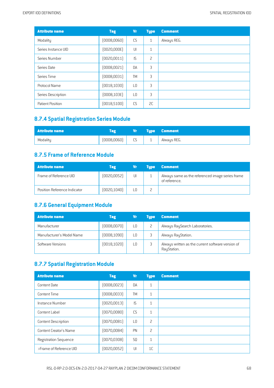| <b>Attribute name</b>   | <b>Tag</b>   | Vr              | <b>Type</b>    | <b>Comment</b> |
|-------------------------|--------------|-----------------|----------------|----------------|
| Modality                | (0008, 0060) | CS              | $\mathbf{1}$   | Always REG.    |
| Series Instance UID     | [0020,000E]  | UI              | $\mathbf{1}$   |                |
| Series Number           | (0020, 0011) | IS              | $\overline{c}$ |                |
| Series Date             | (0008,0021)  | DA              | 3              |                |
| Series Time             | (0008,0031)  | <b>TM</b>       | 3              |                |
| Protocol Name           | [0018, 1030] | L0              | 3              |                |
| Series Description      | (0008, 103E) | $\overline{10}$ | 3              |                |
| <b>Patient Position</b> | [0018, 5100] | CS              | 2C             |                |

## **8.7.4 Spatial Registration SeriesModule**

| <b>Attribute name</b> |              | Vr |          | <b>Type Comment</b> |
|-----------------------|--------------|----|----------|---------------------|
| Modality              | (0008, 0060) | CS | <b>.</b> | Always REG.         |

#### **8.7.5 Frameof Reference Module**

| <b>Attribute name</b>        | Tag          | Vr | <b>Tupe</b> | <b>Comment</b>                                                    |
|------------------------------|--------------|----|-------------|-------------------------------------------------------------------|
| Frame of Reference UID       | [0020, 0052] | UI |             | Always same as the referenced image series frame<br>of reference. |
| Position Reference Indicator | [0020, 1040] | L0 |             |                                                                   |

## **8.7.6 General Equipment Module**

| <b>Attribute name</b>     | <b>Tag</b>   | Vr | <b>Tupe</b> | <b>Comment</b>                                                   |
|---------------------------|--------------|----|-------------|------------------------------------------------------------------|
| Manufacturer              | [0008,0070]  | L0 |             | Always RaySearch Laboratories.                                   |
| Manufacturer's Model Name | [0008, 1090] | L0 |             | Always RayStation.                                               |
| Software Versions         | [0018, 1020] | L0 |             | Always written as the current software version of<br>RayStation. |

### **8.7.7 Spatial Registration Module**

| <b>Attribute name</b>         | <b>Tag</b>   | Vr             | <b>Type</b>    | <b>Comment</b> |
|-------------------------------|--------------|----------------|----------------|----------------|
| <b>Content Date</b>           | (0008, 0023) | <b>DA</b>      | $\mathbf{1}$   |                |
| <b>Content Time</b>           | (0008, 0033) | <b>TM</b>      | $\mathbf{1}$   |                |
| Instance Number               | [0020, 0013] | IS             | $\mathbf{1}$   |                |
| Content Label                 | [0070,0080]  | CS             | $\mathbf{1}$   |                |
| <b>Content Description</b>    | [0070,0081]  | L0             | 2              |                |
| <b>Content Creator's Name</b> | [0070,0084]  | PN             | 2              |                |
| Registration Sequence         | [0070, 0308] | S <sub>0</sub> | $\mathbf{1}$   |                |
| >Frame of Reference UID       | (0020, 0052) | UI             | 1 <sup>C</sup> |                |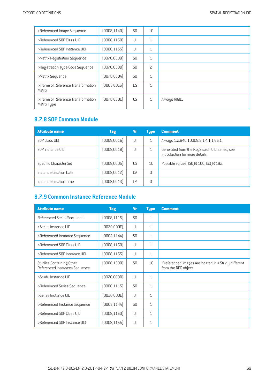| >Referenced Image Sequence                        | (0008, 1140) | S <sub>0</sub> | 1 <sup>C</sup> |               |
|---------------------------------------------------|--------------|----------------|----------------|---------------|
| >Referenced SOP Class UID                         | (0008, 1150) | $  \cdot  $    | $\mathbf{1}$   |               |
| >Referenced SOP Instance UID                      | (0008, 1155) | $  \cdot  $    | $\mathbf{1}$   |               |
| >Matrix Registration Sequence                     | (0070,0309)  | S <sub>0</sub> | $\mathbf{1}$   |               |
| >Registration Type Code Sequence                  | (0070,030D)  | S <sub>0</sub> | $\overline{c}$ |               |
| >Matrix Sequence                                  | (0070,030A)  | S <sub>0</sub> | $\mathbf{1}$   |               |
| >Frame of Reference Transformation<br>Matrix      | [3006,0006]  | <b>DS</b>      | $\mathbf{1}$   |               |
| >Frame of Reference Transformation<br>Matrix Type | [0070, 0300] | CS             | $\mathbf{1}$   | Always RIGID. |

## **8.7.8 SOP Common Module**

| <b>Attribute name</b>  | <b>Tag</b>   | Vr        | <b>Type</b>    | <b>Comment</b>                                                                 |
|------------------------|--------------|-----------|----------------|--------------------------------------------------------------------------------|
| SOP Class UID          | (0008, 0016) | UI        |                | Always 1.2.840.10008.5.1.4.1.1.66.1.                                           |
| SOP Instance UID       | (0008, 0018) | UI        |                | Generated from the RaySearch UID-series, see<br>introduction for more details. |
| Specific Character Set | (0008,0005)  | CS.       | 1 <sup>C</sup> | Possible values: ISO IR 100, ISO IR 192.                                       |
| Instance Creation Date | (0008, 0012) | <b>DA</b> | 3              |                                                                                |
| Instance Creation Time | (0008, 0013) | TM        | 3              |                                                                                |

## **8.7.9 Common Instance Reference Module**

| <b>Attribute name</b>                                     | <b>Tag</b>   | <b>Vr</b>      | <b>Type</b>  | <b>Comment</b>                                                                |
|-----------------------------------------------------------|--------------|----------------|--------------|-------------------------------------------------------------------------------|
| Referenced Series Sequence                                | [0008, 1115] | S <sub>0</sub> | $\mathbf{1}$ |                                                                               |
| >Series Instance UID                                      | (0020,000E)  | J              | $\mathbf{1}$ |                                                                               |
| >Referenced Instance Sequence                             | [0008, 114A] | <b>SQ</b>      | $\mathbf{1}$ |                                                                               |
| >Referenced SOP Class UID                                 | (0008, 1150) | UI             | $\mathbf{1}$ |                                                                               |
| >Referenced SOP Instance UID                              | [0008, 1155] | UI             | $\mathbf{1}$ |                                                                               |
| Studies Containing Other<br>Referenced Instances Sequence | (0008, 1200) | S <sub>0</sub> | 1C           | If referenced images are located in a Study different<br>from the REG object. |
| >Study Instance UID                                       | [0020,0000]  | UI             | $\mathbf{1}$ |                                                                               |
| >Referenced Series Sequence                               | (0008, 1115) | SQ             | $\mathbf{1}$ |                                                                               |
| >Series Instance UID                                      | (0020,000E)  | UI             | $\mathbf{1}$ |                                                                               |
| >Referenced Instance Sequence                             | [0008, 114A] | <b>SQ</b>      | $\mathbf{1}$ |                                                                               |
| >Referenced SOP Class UID                                 | (0008, 1150) | UI             | $\mathbf{1}$ |                                                                               |
| >Referenced SOP Instance UID                              | [0008, 1155] | UI             | $\mathbf{1}$ |                                                                               |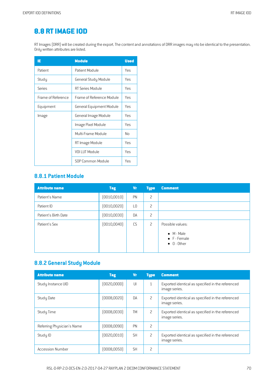# **8.8 [RTIMAGE](#page-2-10) IOD**

RT Images (DRR) will be created during the export. The content and annotations of DRR images may nto be identical to the presentation. Only written attributes are listed.

| IE                 | <b>Module</b>             | <b>Used</b> |
|--------------------|---------------------------|-------------|
| Patient            | Patient Module            | Yes         |
| Study              | General Study Module      | Yes         |
| Series             | RT Series Module          | Yes         |
| Frame of Reference | Frame of Reference Module | Yes         |
| Equipment          | General Equipment Module  | Yes         |
| Image              | General Image Module      | Yes         |
|                    | lmage Pixel Module        | Yes         |
|                    | Multi-Frame Module        | No          |
|                    | RT Image Module           | Yes         |
|                    | VOI LUT Module            | Yes         |
|                    | SOP Common Module         | Yes         |

#### **8.8.1 Patient Module**

| <b>Attribute name</b> | <b>Tag</b>   | <b>Vr</b>      | <b>Type</b> | <b>Comment</b>                                            |
|-----------------------|--------------|----------------|-------------|-----------------------------------------------------------|
| Patient's Name        | (0010, 0010) | PN             | 2           |                                                           |
| Patient ID            | (0010, 0020) | L <sub>0</sub> | 2           |                                                           |
| Patient's Birth Date  | (0010, 0030) | DA             | 2           |                                                           |
| Patient's Sex         | (0010, 0040) | CS             | 2           | Possible values:                                          |
|                       |              |                |             | $\bullet$ M - Male<br>• F - Female<br>$\bullet$ 0 - Other |

#### **8.8.2 General Study Module**

| <b>Attribute name</b>      | Tag          | <b>Vr</b> | <b>Type</b>    | <b>Comment</b>                                                     |
|----------------------------|--------------|-----------|----------------|--------------------------------------------------------------------|
| Study Instance UID         | [0020,0000]  | U         | $\mathbf{1}$   | Exported identical as specified in the referenced<br>image series. |
| Study Date                 | (0008,0020)  | DA        | 2              | Exported identical as specified in the referenced<br>image series. |
| Study Time                 | (0008,0030)  | <b>TM</b> | 2              | Exported identical as specified in the referenced<br>image series. |
| Referring Physician's Name | [0008,0090]  | PN        | 2              |                                                                    |
| Study ID                   | [0020,0010]  | <b>SH</b> | $\overline{c}$ | Exported identical as specified in the referenced<br>image series. |
| <b>Accession Number</b>    | (0008, 0050) | <b>SH</b> | 2              |                                                                    |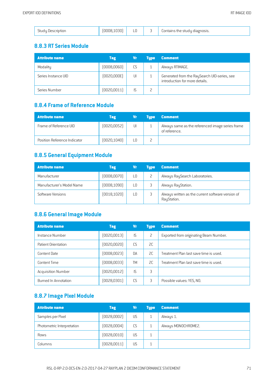| .30'<br>inut<br>scription | $\cap$<br>LU |  | I diagnosis.<br>$-1$<br>lontains the l<br>stuut |
|---------------------------|--------------|--|-------------------------------------------------|
|---------------------------|--------------|--|-------------------------------------------------|

#### **8.8.3 RT SeriesModule**

| <b>Attribute name</b> | <b>Tag</b>   | Vr | <b>Tupe</b> | Comment                                                                        |
|-----------------------|--------------|----|-------------|--------------------------------------------------------------------------------|
| Modality              | (0008, 0060) | CS |             | Always RTIMAGE.                                                                |
| Series Instance UID   | [0020,000E]  | UI |             | Generated from the RaySearch UID-series, see<br>introduction for more details. |
| Series Number         | [0020, 0011] |    |             |                                                                                |

#### **8.8.4 Frameof Reference Module**

| Attribute name               | <b>Tag</b>   | Vr  | <b>Tupe</b> | <b>Comment</b>                                                    |
|------------------------------|--------------|-----|-------------|-------------------------------------------------------------------|
| Frame of Reference UID       | (0020, 0052) | UI  |             | Always same as the referenced image series frame<br>of reference. |
| Position Reference Indicator | [0020, 1040] | LO. |             |                                                                   |

## **8.8.5 General Equipment Module**

| <b>Attribute name</b>     | <b>Tag</b>   | Vr | <b>Tupe</b> | <b>Comment</b>                                                   |
|---------------------------|--------------|----|-------------|------------------------------------------------------------------|
| Manufacturer              | (0008, 0070) | L0 |             | Always RaySearch Laboratories.                                   |
| Manufacturer's Model Name | (0008, 1090) | L0 |             | Always RayStation.                                               |
| Software Versions         | [0018, 1020] | L0 |             | Always written as the current software version of<br>RayStation. |

#### **8.8.6 General Image Module**

| <b>Attribute name</b>     | Tag          | Vr        | <b>Type</b> | <b>Comment</b>                         |
|---------------------------|--------------|-----------|-------------|----------------------------------------|
| Instance Number           | [0020, 0013] | IS        | 2           | Exported from originating Beam Number. |
| Patient Orientation       | (0020, 0020) | C.S       | 2C          |                                        |
| Content Date              | (0008, 0023) | <b>DA</b> | 2C          | Treatment Plan last save time is used. |
| Content Time              | (0008, 0033) | TΜ        | 2C          | Treatment Plan last save time is used. |
| <b>Acquisition Number</b> | [0020, 0012] | IS        | 3           |                                        |
| Burned In Annotation      | (0028, 0301) | CS        | 3           | Possible values: YES, NO.              |

## **8.8.7 Image PixelModule**

| <b>Attribute name</b>      | <b>Tag</b>   | Vr | <b>Type</b> | <b>Comment</b>      |
|----------------------------|--------------|----|-------------|---------------------|
| Samples per Pixel          | (0028,0002)  | US |             | Always 1.           |
| Photometric Interpretation | [0028,0004]  | CS |             | Always MONOCHROME2. |
| Rows                       | [0028, 0010] | US |             |                     |
| Columns                    | (0028, 0011) | US |             |                     |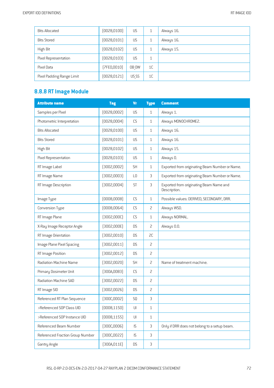| <b>Bits Allocated</b>     | [0028, 0100] | US    |                | Always 16. |
|---------------------------|--------------|-------|----------------|------------|
| <b>Bits Stored</b>        | [0028, 0101] | US    |                | Always 16. |
| High Bit                  | [0028, 0102] | US    |                | Always 15. |
| Pixel Representation      | [0028, 0103] | US    |                |            |
| Pixel Data                | [7FE0,0010]  | OB OW | 1 <sup>C</sup> |            |
| Pixel Padding Range Limit | [0028, 0121] | US SS | 1C             |            |

# **8.8.8 RTImage Module**

| <b>Attribute name</b>            | <b>Tag</b>   | <b>Vr</b>              | <b>Type</b>    | <b>Comment</b>                                          |
|----------------------------------|--------------|------------------------|----------------|---------------------------------------------------------|
| Samples per Pixel                | (0028,0002)  | US                     | $\mathbf{1}$   | Always 1.                                               |
| Photometric Interpretation       | [0028,0004]  | <b>CS</b>              | $\mathbf{1}$   | Always MONOCHROME2.                                     |
| <b>Bits Allocated</b>            | (0028, 0100) | US                     | $\mathbf{1}$   | Always 16.                                              |
| <b>Bits Stored</b>               | [0028, 0101] | US                     | $\mathbf{1}$   | Always 16.                                              |
| High Bit                         | [0028, 0102] | US                     | $\mathbf{1}$   | Always 15.                                              |
| Pixel Representation             | [0028, 0103] | US                     | $\mathbf{1}$   | Always 0.                                               |
| RT Image Label                   | [3002,0002]  | <b>SH</b>              | $\mathbf{1}$   | Exported from originating Beam Number or Name.          |
| RT Image Name                    | [3002,0003]  | L <sub>0</sub>         | 3              | Exported from originating Beam Number or Name.          |
| RT Image Description             | (3002,0004)  | <b>ST</b>              | 3              | Exported from originating Beam Name and<br>Description. |
| Image Type                       | (0008,0008)  | CS                     | $\mathbf{1}$   | Possible values: DERIVED, SECONDARY, DRR.               |
| Conversion Type                  | (0008, 0064) | CS                     | $\overline{c}$ | Always WSD.                                             |
| RT Image Plane                   | [3002,000C]  | CS                     | $\mathbf{1}$   | Always NORMAL.                                          |
| X-Ray Image Receptor Angle       | [3002,000E]  | <b>DS</b>              | $\overline{c}$ | Always 0.0.                                             |
| RT Image Orientation             | [3002,0010]  | <b>DS</b>              | SC             |                                                         |
| Image Plane Pixel Spacing        | (3002,0011)  | <b>DS</b>              | $\overline{c}$ |                                                         |
| RT Image Position                | [3002,0012]  | <b>DS</b>              | $\overline{c}$ |                                                         |
| Radiation Machine Name           | (3002,0020)  | <b>SH</b>              | $\overline{c}$ | Name of treatment machine.                              |
| Primary Dosimeter Unit           | [300A,00B3]  | CS                     | $\overline{c}$ |                                                         |
| Radiation Machine SAD            | [3002,0022]  | <b>DS</b>              | $\overline{c}$ |                                                         |
| RT Image SID                     | [3002,0026]  | <b>DS</b>              | $\overline{c}$ |                                                         |
| Referenced RT Plan Sequence      | [300C,0002]  | SQ                     | $\mathsf 3$    |                                                         |
| >Referenced SOP Class UID        | (0008, 1150) | $\mathsf{U}\mathsf{I}$ | 1              |                                                         |
| >Referenced SOP Instance UID     | [0008, 1155] | U                      | $\mathbf{1}$   |                                                         |
| Referenced Beam Number           | [300C,0006]  | IS                     | 3              | Only if DRR does not belong to a setup beam.            |
| Referenced Fraction Group Number | [300C, 0022] | IS                     | $\mathsf 3$    |                                                         |
| Gantry Angle                     | (300A, 011E) | DS                     | $\mathsf 3$    |                                                         |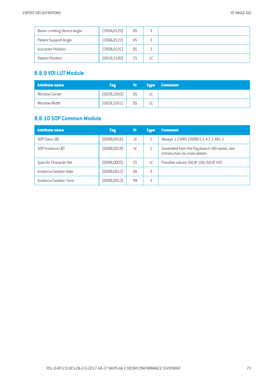| Beam Limiting Device Angle | [300A, 0120] | <b>DS</b> |    |  |
|----------------------------|--------------|-----------|----|--|
| Patient Support Angle      | [300A, 0122] | <b>DS</b> |    |  |
| <b>Isocenter Position</b>  | [300A, 012C] | <b>DS</b> |    |  |
| Patient Position           | [0018, 5100] | CS        | 1C |  |

## **8.8.9 VOILUTModule**

| <b>Attribute name</b> | Tag          | Vr | <b>Type</b>    | <b>Comment</b> |
|-----------------------|--------------|----|----------------|----------------|
| Window Center         | [0028, 1050] | DS | 1 <sup>C</sup> |                |
| Window Width          | [0028, 1051] | DS | 1C             |                |

## **8.8.10 SOP Common Module**

| <b>Attribute name</b>  | <b>Tag</b>   | Vr        | <b>Type</b>    | <b>Comment</b>                                                                 |
|------------------------|--------------|-----------|----------------|--------------------------------------------------------------------------------|
| SOP Class UID          | (0008, 0016) | UI        |                | Always 1.2.840.10008.5.1.4.1.1.481.1.                                          |
| SOP Instance UID       | (0008,0018)  | UI        |                | Generated from the RaySearch UID-series, see<br>introduction for more details. |
| Specific Character Set | (0008,0005)  | CS.       | 1 <sup>C</sup> | Possible values: ISO IR 100, ISO IR 192.                                       |
| Instance Creation Date | (0008, 0012) | <b>DA</b> | 3              |                                                                                |
| Instance Creation Time | (0008, 0013) | TM        | 3              |                                                                                |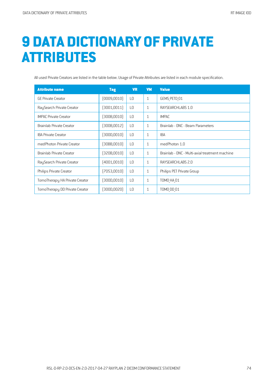## **9 DATA [DICTIONARY](#page-2-0) OF PRIVATE ATTRIBUTES**

All used Private Creators are listed in the table below. Usage of Private Attributes are listed in each module specification.

| <b>Attribute name</b>          | <b>Tag</b>   | <b>VR</b>      | <b>VM</b>    | <b>Value</b>                                   |
|--------------------------------|--------------|----------------|--------------|------------------------------------------------|
| <b>GE Private Creator</b>      | (0009, 0010) | L <sub>0</sub> | $\mathbf{1}$ | GEMS PETD 01                                   |
| RaySearch Private Creator      | [3001, 0011] | L <sub>0</sub> | $\mathbf{1}$ | RAYSEARCHLABS 1.0                              |
| <b>IMPAC Private Creator</b>   | [300B, 0010] | L <sub>0</sub> | $\mathbf{1}$ | <b>IMPAC</b>                                   |
| Brainlab Private Creator       | [300B,0012]  | L <sub>0</sub> | $\mathbf{1}$ | Brainlab - ONC - Beam Parameters               |
| <b>IBA Private Creator</b>     | [300D, 0010] | L <sub>0</sub> | $\mathbf{1}$ | <b>IBA</b>                                     |
| medPhoton Private Creator      | (30BB,0010)  | L <sub>0</sub> | $\mathbf{1}$ | medPhoton 1.0                                  |
| Brainlab Private Creator       | [320B, 0010] | L <sub>0</sub> | $\mathbf{1}$ | Brainlab - ONC - Multi-axial treatment machine |
| RaySearch Private Creator      | (4001, 0010) | L <sub>0</sub> | $\mathbf{1}$ | RAYSEARCHLABS 2.0                              |
| Philips Private Creator        | (7053,0010)  | L <sub>0</sub> | $\mathbf{1}$ | Philips PET Private Group                      |
| TomoTherapy HA Private Creator | (300D,0010)  | L <sub>0</sub> | $\mathbf{1}$ | T0M0_HA_01                                     |
| TomoTherapy DD Private Creator | (300D,0020)  | L <sub>0</sub> | $\mathbf{1}$ | TOMO DD 01                                     |